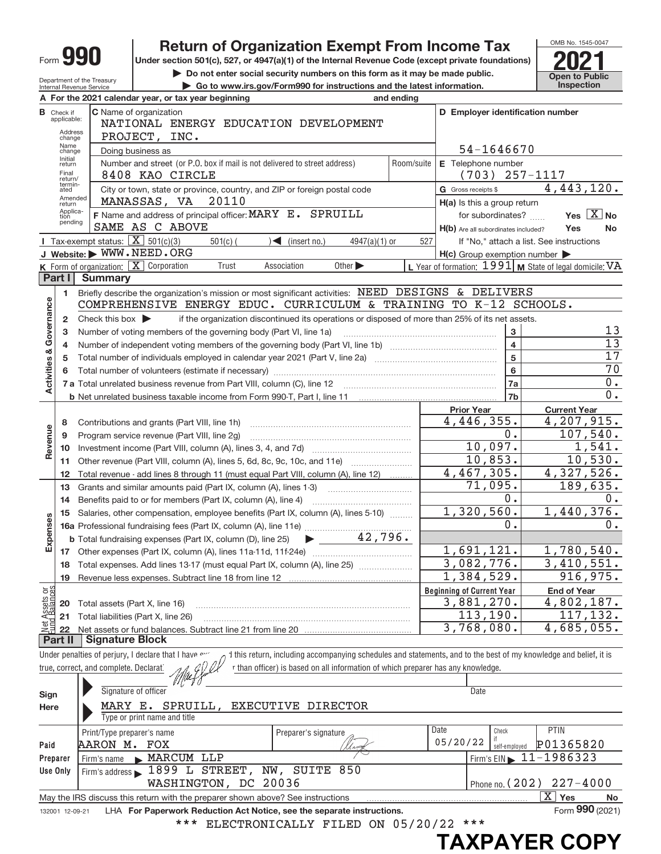|                         |                                                   |                                                          | <b>Return of Organization Exempt From Income Tax</b>                                                                                                                      |                                                     | OMB No. 1545-0047                                         |  |  |  |  |  |  |  |
|-------------------------|---------------------------------------------------|----------------------------------------------------------|---------------------------------------------------------------------------------------------------------------------------------------------------------------------------|-----------------------------------------------------|-----------------------------------------------------------|--|--|--|--|--|--|--|
|                         |                                                   | Form <b>YYU</b>                                          | Under section 501(c), 527, or 4947(a)(1) of the Internal Revenue Code (except private foundations)                                                                        |                                                     |                                                           |  |  |  |  |  |  |  |
|                         |                                                   | Department of the Treasury                               | Do not enter social security numbers on this form as it may be made public.                                                                                               |                                                     | <b>Open to Public</b>                                     |  |  |  |  |  |  |  |
|                         |                                                   | Internal Revenue Service                                 | Go to www.irs.gov/Form990 for instructions and the latest information.                                                                                                    |                                                     | <b>Inspection</b>                                         |  |  |  |  |  |  |  |
|                         |                                                   |                                                          | A For the 2021 calendar year, or tax year beginning<br>and ending                                                                                                         | D Employer identification number                    |                                                           |  |  |  |  |  |  |  |
|                         | <b>B</b> Check if<br>applicable:                  |                                                          | C Name of organization<br>NATIONAL ENERGY EDUCATION DEVELOPMENT                                                                                                           |                                                     |                                                           |  |  |  |  |  |  |  |
|                         | Address<br>change                                 |                                                          | PROJECT, INC.                                                                                                                                                             |                                                     |                                                           |  |  |  |  |  |  |  |
|                         | Name<br>54-1646670<br>Doing business as<br>change |                                                          |                                                                                                                                                                           |                                                     |                                                           |  |  |  |  |  |  |  |
|                         | Initial<br>return                                 |                                                          | Number and street (or P.O. box if mail is not delivered to street address)<br>Room/suite                                                                                  | E Telephone number                                  |                                                           |  |  |  |  |  |  |  |
|                         | Final<br>return/                                  |                                                          | 8408 KAO CIRCLE                                                                                                                                                           | $(703)$ 257-1117                                    |                                                           |  |  |  |  |  |  |  |
|                         | termin-<br>ated                                   | G Gross receipts \$                                      | 4,443,120.                                                                                                                                                                |                                                     |                                                           |  |  |  |  |  |  |  |
|                         | Amended<br>return                                 |                                                          | MANASSAS, VA 20110                                                                                                                                                        | H(a) Is this a group return                         |                                                           |  |  |  |  |  |  |  |
|                         | Applica-<br>tion<br>pending                       | F Name and address of principal officer: MARY E. SPRUILL | for subordinates?                                                                                                                                                         | Yes $X$ No                                          |                                                           |  |  |  |  |  |  |  |
|                         |                                                   |                                                          | SAME AS C ABOVE                                                                                                                                                           | H(b) Are all subordinates included?                 | Yes<br>No.                                                |  |  |  |  |  |  |  |
|                         |                                                   | Tax-exempt status: $X \overline{X}$ 501(c)(3)            | $\sqrt{\frac{1}{1}}$ (insert no.)<br>$501(c)$ (<br>$4947(a)(1)$ or                                                                                                        | 527                                                 | If "No," attach a list. See instructions                  |  |  |  |  |  |  |  |
|                         |                                                   |                                                          | J Website: WWW.NEED.ORG<br>K Form of organization: $X$ Corporation<br>Other $\blacktriangleright$<br>Association<br>Trust                                                 | $H(c)$ Group exemption number $\blacktriangleright$ | L Year of formation: $1991$ M State of legal domicile: VA |  |  |  |  |  |  |  |
|                         | Part I                                            | <b>Summary</b>                                           |                                                                                                                                                                           |                                                     |                                                           |  |  |  |  |  |  |  |
|                         | 1                                                 |                                                          | Briefly describe the organization's mission or most significant activities: NEED DESIGNS & DELIVERS                                                                       |                                                     |                                                           |  |  |  |  |  |  |  |
|                         |                                                   |                                                          | COMPREHENSIVE ENERGY EDUC. CURRICULUM & TRAINING TO K-12 SCHOOLS.                                                                                                         |                                                     |                                                           |  |  |  |  |  |  |  |
| Activities & Governance | 2                                                 | Check this box $\blacktriangleright$                     | if the organization discontinued its operations or disposed of more than 25% of its net assets.                                                                           |                                                     |                                                           |  |  |  |  |  |  |  |
|                         | 3                                                 |                                                          | Number of voting members of the governing body (Part VI, line 1a)                                                                                                         | 3                                                   | 13                                                        |  |  |  |  |  |  |  |
|                         | 4                                                 |                                                          |                                                                                                                                                                           | $\overline{\mathbf{4}}$                             | $\overline{13}$                                           |  |  |  |  |  |  |  |
|                         | 5                                                 |                                                          |                                                                                                                                                                           | 5                                                   | 17                                                        |  |  |  |  |  |  |  |
|                         | 6                                                 |                                                          |                                                                                                                                                                           | 6                                                   | 70                                                        |  |  |  |  |  |  |  |
|                         |                                                   |                                                          |                                                                                                                                                                           | <b>7a</b>                                           | $0$ .                                                     |  |  |  |  |  |  |  |
|                         |                                                   |                                                          |                                                                                                                                                                           | 7b                                                  | $\overline{0}$ .                                          |  |  |  |  |  |  |  |
|                         |                                                   |                                                          |                                                                                                                                                                           | <b>Prior Year</b>                                   | <b>Current Year</b>                                       |  |  |  |  |  |  |  |
|                         | 8                                                 |                                                          | Contributions and grants (Part VIII, line 1h)                                                                                                                             | 4,446,355.                                          | 4,207,915.                                                |  |  |  |  |  |  |  |
|                         | 9                                                 |                                                          | Program service revenue (Part VIII, line 2g)                                                                                                                              | 0.                                                  | 107,540.                                                  |  |  |  |  |  |  |  |
| Revenue                 | 10                                                |                                                          |                                                                                                                                                                           | 10,097.                                             | 1,541.                                                    |  |  |  |  |  |  |  |
|                         | 11                                                |                                                          | Other revenue (Part VIII, column (A), lines 5, 6d, 8c, 9c, 10c, and 11e)                                                                                                  | 10,853.                                             | 10,530.                                                   |  |  |  |  |  |  |  |
|                         | 12                                                |                                                          | Total revenue - add lines 8 through 11 (must equal Part VIII, column (A), line 12)                                                                                        | 4,467,305.                                          | 4,327,526.                                                |  |  |  |  |  |  |  |
|                         | 13                                                |                                                          | Grants and similar amounts paid (Part IX, column (A), lines 1-3)                                                                                                          | 71,095.                                             | 189,635.                                                  |  |  |  |  |  |  |  |
|                         | 14                                                |                                                          | Benefits paid to or for members (Part IX, column (A), line 4)                                                                                                             | 0.<br>1,320,560.                                    | $0$ .                                                     |  |  |  |  |  |  |  |
| ŵ                       | 15                                                |                                                          | Salaries, other compensation, employee benefits (Part IX, column (A), lines 5-10)                                                                                         | 0.                                                  | 1,440,376.                                                |  |  |  |  |  |  |  |
| Expense                 |                                                   |                                                          | $\blacktriangleright$ 42,796.                                                                                                                                             |                                                     | 0.                                                        |  |  |  |  |  |  |  |
|                         |                                                   |                                                          | <b>b</b> Total fundraising expenses (Part IX, column (D), line 25)                                                                                                        | 1,691,121.                                          | 1,780,540.                                                |  |  |  |  |  |  |  |
|                         | 17<br>18                                          |                                                          | Total expenses. Add lines 13-17 (must equal Part IX, column (A), line 25)                                                                                                 | 3,082,776.                                          | 3,410,551.                                                |  |  |  |  |  |  |  |
|                         | 19                                                |                                                          |                                                                                                                                                                           | $\overline{1,384,529}$ .                            | 916, 975.                                                 |  |  |  |  |  |  |  |
|                         |                                                   |                                                          |                                                                                                                                                                           | <b>Beginning of Current Year</b>                    | <b>End of Year</b>                                        |  |  |  |  |  |  |  |
|                         | 20                                                | Total assets (Part X, line 16)                           |                                                                                                                                                                           | 3,881,270.                                          | $\overline{4,802,187}$ .                                  |  |  |  |  |  |  |  |
|                         | 21                                                |                                                          | Total liabilities (Part X, line 26)                                                                                                                                       | 113, 190.                                           | 117,132.                                                  |  |  |  |  |  |  |  |
| Net Assets or           | 22                                                |                                                          |                                                                                                                                                                           | 3,768,080.                                          | 4,685,055.                                                |  |  |  |  |  |  |  |
|                         | Part II                                           | <b>Signature Block</b>                                   |                                                                                                                                                                           |                                                     |                                                           |  |  |  |  |  |  |  |
|                         |                                                   |                                                          | Under penalties of perjury, I declare that I have or<br>1 this return, including accompanying schedules and statements, and to the best of my knowledge and belief, it is |                                                     |                                                           |  |  |  |  |  |  |  |
|                         |                                                   | true, correct, and complete. Declarat                    | r than officer) is based on all information of which preparer has any knowledge.                                                                                          |                                                     |                                                           |  |  |  |  |  |  |  |
|                         |                                                   |                                                          |                                                                                                                                                                           |                                                     |                                                           |  |  |  |  |  |  |  |
| Sign                    |                                                   |                                                          | Signature of officer                                                                                                                                                      | Date                                                |                                                           |  |  |  |  |  |  |  |
| Here                    |                                                   |                                                          | MARY E. SPRUILL,<br>EXECUTIVE DIRECTOR                                                                                                                                    |                                                     |                                                           |  |  |  |  |  |  |  |
|                         |                                                   |                                                          | Type or print name and title                                                                                                                                              |                                                     |                                                           |  |  |  |  |  |  |  |
|                         |                                                   | Print/Type preparer's name                               | Preparer's signature                                                                                                                                                      | Date<br>Check                                       | PTIN                                                      |  |  |  |  |  |  |  |
| Paid                    |                                                   | AARON M. FOX                                             |                                                                                                                                                                           | 05/20/22<br>self-employed                           | P01365820                                                 |  |  |  |  |  |  |  |
| Preparer                |                                                   |                                                          | Firm's name MARCUM LLP                                                                                                                                                    |                                                     | Firm's $EIN \triangleright 11 - 1986323$                  |  |  |  |  |  |  |  |
| Use Only                |                                                   |                                                          | Firm's address 1899 L STREET, NW, SUITE 850                                                                                                                               |                                                     |                                                           |  |  |  |  |  |  |  |
|                         |                                                   |                                                          | WASHINGTON, DC 20036                                                                                                                                                      | Phone no. $(202)$                                   | $227 - 4000$                                              |  |  |  |  |  |  |  |
|                         |                                                   |                                                          | May the IRS discuss this return with the preparer shown above? See instructions                                                                                           |                                                     | $\overline{X}$ Yes<br>No                                  |  |  |  |  |  |  |  |
|                         | 132001 12-09-21                                   |                                                          | LHA For Paperwork Reduction Act Notice, see the separate instructions.                                                                                                    |                                                     | Form 990 (2021)                                           |  |  |  |  |  |  |  |
|                         |                                                   |                                                          | ELECTRONICALLY FILED ON 05/20/22<br>***                                                                                                                                   | $***$                                               |                                                           |  |  |  |  |  |  |  |

**TAXPAYER COPY**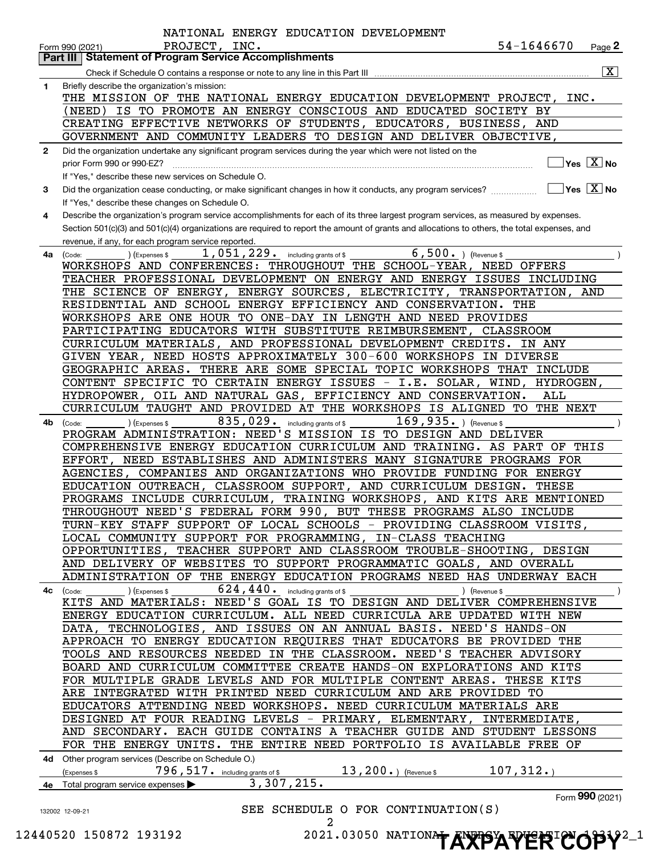|              | 54-1646670<br>PROJECT, INC.<br>$Page$ 2<br>Form 990 (2021)<br><b>Part III Statement of Program Service Accomplishments</b>                                      |
|--------------|-----------------------------------------------------------------------------------------------------------------------------------------------------------------|
|              | $\overline{\mathbf{X}}$                                                                                                                                         |
|              |                                                                                                                                                                 |
| 1.           | Briefly describe the organization's mission:                                                                                                                    |
|              | THE MISSION OF THE NATIONAL ENERGY EDUCATION DEVELOPMENT PROJECT, INC.                                                                                          |
|              | (NEED) IS TO PROMOTE AN ENERGY CONSCIOUS AND EDUCATED SOCIETY BY                                                                                                |
|              | CREATING EFFECTIVE NETWORKS OF STUDENTS, EDUCATORS, BUSINESS, AND                                                                                               |
|              | GOVERNMENT AND COMMUNITY LEADERS TO DESIGN AND DELIVER OBJECTIVE,                                                                                               |
| $\mathbf{2}$ | Did the organization undertake any significant program services during the year which were not listed on the                                                    |
|              | $]$ Yes $[\overline{\mathrm{X}}]$ No<br>prior Form 990 or 990-EZ?                                                                                               |
|              | If "Yes." describe these new services on Schedule O.                                                                                                            |
| 3            | $\boxed{\phantom{1}}$ Yes $\boxed{\text{X}}$ No<br>Did the organization cease conducting, or make significant changes in how it conducts, any program services? |
|              | If "Yes," describe these changes on Schedule O.                                                                                                                 |
| 4            | Describe the organization's program service accomplishments for each of its three largest program services, as measured by expenses.                            |
|              | Section 501(c)(3) and 501(c)(4) organizations are required to report the amount of grants and allocations to others, the total expenses, and                    |
|              | revenue, if any, for each program service reported.                                                                                                             |
| 4a           | $1,051,229.$ including grants of \$<br>$6,500.$ (Revenue \$<br>(Expenses \$<br>(Code:                                                                           |
|              | WORKSHOPS AND CONFERENCES: THROUGHOUT THE SCHOOL-YEAR, NEED OFFERS                                                                                              |
|              |                                                                                                                                                                 |
|              | TEACHER PROFESSIONAL DEVELOPMENT ON ENERGY AND ENERGY ISSUES INCLUDING                                                                                          |
|              | THE SCIENCE OF ENERGY, ENERGY SOURCES, ELECTRICITY, TRANSPORTATION, AND                                                                                         |
|              | RESIDENTIAL AND SCHOOL ENERGY EFFICIENCY AND CONSERVATION. THE                                                                                                  |
|              | WORKSHOPS ARE ONE HOUR TO ONE-DAY IN LENGTH AND NEED PROVIDES                                                                                                   |
|              | PARTICIPATING EDUCATORS WITH SUBSTITUTE REIMBURSEMENT, CLASSROOM                                                                                                |
|              | CURRICULUM MATERIALS, AND PROFESSIONAL DEVELOPMENT CREDITS. IN ANY                                                                                              |
|              | GIVEN YEAR, NEED HOSTS APPROXIMATELY 300-600 WORKSHOPS IN DIVERSE                                                                                               |
|              | GEOGRAPHIC AREAS. THERE ARE SOME SPECIAL TOPIC WORKSHOPS THAT INCLUDE                                                                                           |
|              | CONTENT SPECIFIC TO CERTAIN ENERGY ISSUES - I.E. SOLAR, WIND, HYDROGEN,                                                                                         |
|              | HYDROPOWER, OIL AND NATURAL GAS, EFFICIENCY AND CONSERVATION.<br>ALL                                                                                            |
|              | CURRICULUM TAUGHT AND PROVIDED AT THE WORKSHOPS IS ALIGNED TO THE NEXT                                                                                          |
| 4b           | 835,029.<br>$169,935.$ ) (Revenue \$<br>including grants of \$<br>(Expenses \$<br>(Code:                                                                        |
|              | PROGRAM ADMINISTRATION: NEED'S MISSION IS TO DESIGN AND DELIVER                                                                                                 |
|              | COMPREHENSIVE ENERGY EDUCATION CURRICULUM AND TRAINING. AS PART OF THIS                                                                                         |
|              | EFFORT, NEED ESTABLISHES AND ADMINISTERS MANY SIGNATURE PROGRAMS FOR                                                                                            |
|              | AGENCIES, COMPANIES AND ORGANIZATIONS WHO PROVIDE FUNDING FOR ENERGY                                                                                            |
|              | EDUCATION OUTREACH, CLASSROOM SUPPORT, AND CURRICULUM DESIGN. THESE                                                                                             |
|              | PROGRAMS INCLUDE CURRICULUM, TRAINING WORKSHOPS, AND KITS ARE MENTIONED                                                                                         |
|              |                                                                                                                                                                 |
|              | THROUGHOUT NEED'S FEDERAL FORM 990, BUT THESE PROGRAMS ALSO INCLUDE                                                                                             |
|              | TURN-KEY STAFF SUPPORT OF LOCAL SCHOOLS - PROVIDING CLASSROOM VISITS,                                                                                           |
|              | LOCAL COMMUNITY SUPPORT FOR PROGRAMMING, IN-CLASS TEACHING                                                                                                      |
|              | OPPORTUNITIES, TEACHER SUPPORT AND CLASSROOM TROUBLE-SHOOTING, DESIGN                                                                                           |
|              | AND DELIVERY OF WEBSITES TO SUPPORT PROGRAMMATIC GOALS, AND OVERALL                                                                                             |
|              | ADMINISTRATION OF THE ENERGY EDUCATION PROGRAMS NEED HAS UNDERWAY EACH                                                                                          |
| 4c           | $624, 440$ . including grants of \$<br>(Expenses \$<br>) (Revenue \$<br>(Code:                                                                                  |
|              | KITS AND MATERIALS: NEED'S GOAL IS TO DESIGN AND DELIVER COMPREHENSIVE                                                                                          |
|              | ENERGY EDUCATION CURRICULUM. ALL NEED CURRICULA ARE UPDATED WITH NEW                                                                                            |
|              | DATA, TECHNOLOGIES, AND ISSUES ON AN ANNUAL BASIS. NEED'S HANDS-ON                                                                                              |
|              | APPROACH TO ENERGY EDUCATION REQUIRES THAT EDUCATORS BE PROVIDED THE                                                                                            |
|              | TOOLS AND RESOURCES NEEDED IN THE CLASSROOM. NEED'S TEACHER ADVISORY                                                                                            |
|              | BOARD AND CURRICULUM COMMITTEE CREATE HANDS-ON EXPLORATIONS AND KITS                                                                                            |
|              | FOR MULTIPLE GRADE LEVELS AND FOR MULTIPLE CONTENT AREAS. THESE KITS                                                                                            |
|              | ARE INTEGRATED WITH PRINTED NEED CURRICULUM AND ARE PROVIDED TO                                                                                                 |
|              | EDUCATORS ATTENDING NEED WORKSHOPS. NEED CURRICULUM MATERIALS ARE                                                                                               |
|              |                                                                                                                                                                 |
|              | DESIGNED AT FOUR READING LEVELS - PRIMARY, ELEMENTARY, INTERMEDIATE,                                                                                            |
|              | AND SECONDARY. EACH GUIDE CONTAINS A TEACHER GUIDE AND STUDENT LESSONS                                                                                          |
|              | FOR THE ENERGY UNITS. THE ENTIRE NEED PORTFOLIO IS AVAILABLE FREE OF                                                                                            |
|              | 4d Other program services (Describe on Schedule O.)                                                                                                             |
|              | 107,312.<br>$13, 200.$ (Revenue \$<br>796, 517. including grants of \$<br>(Expenses \$                                                                          |
|              | 3,307,215.<br>4e Total program service expenses                                                                                                                 |
|              | Form 990 (2021)                                                                                                                                                 |
|              |                                                                                                                                                                 |
|              | SEE SCHEDULE O FOR CONTINUATION(S)<br>132002 12-09-21                                                                                                           |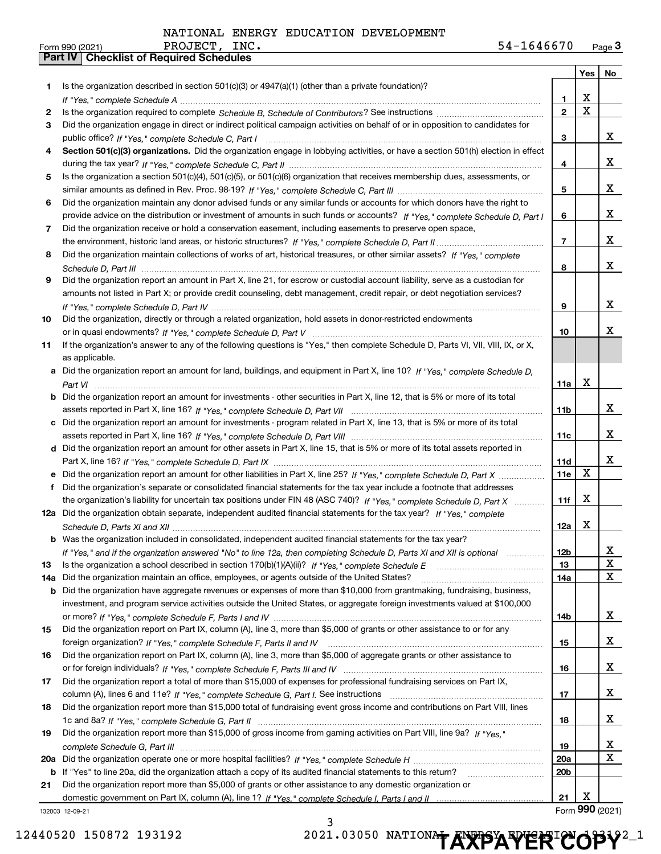|     |                                                                                                                                       |                 |             | Yes   No        |
|-----|---------------------------------------------------------------------------------------------------------------------------------------|-----------------|-------------|-----------------|
| 1.  | Is the organization described in section $501(c)(3)$ or $4947(a)(1)$ (other than a private foundation)?                               |                 |             |                 |
|     |                                                                                                                                       | 1.              | x           |                 |
| 2   |                                                                                                                                       | $\mathbf{2}$    | $\mathbf X$ |                 |
| З   | Did the organization engage in direct or indirect political campaign activities on behalf of or in opposition to candidates for       |                 |             |                 |
|     |                                                                                                                                       | 3               |             | x               |
| 4   | Section 501(c)(3) organizations. Did the organization engage in lobbying activities, or have a section 501(h) election in effect      |                 |             |                 |
|     |                                                                                                                                       | 4               |             | x               |
| 5   | Is the organization a section 501(c)(4), 501(c)(5), or 501(c)(6) organization that receives membership dues, assessments, or          |                 |             |                 |
|     |                                                                                                                                       | 5               |             | x               |
| 6   | Did the organization maintain any donor advised funds or any similar funds or accounts for which donors have the right to             |                 |             |                 |
|     | provide advice on the distribution or investment of amounts in such funds or accounts? If "Yes," complete Schedule D, Part I          | 6               |             | x               |
| 7   | Did the organization receive or hold a conservation easement, including easements to preserve open space,                             |                 |             |                 |
|     |                                                                                                                                       | $\overline{7}$  |             | x               |
| 8   | Did the organization maintain collections of works of art, historical treasures, or other similar assets? If "Yes," complete          |                 |             |                 |
|     |                                                                                                                                       | 8               |             | x               |
| 9   | Did the organization report an amount in Part X, line 21, for escrow or custodial account liability, serve as a custodian for         |                 |             |                 |
|     | amounts not listed in Part X; or provide credit counseling, debt management, credit repair, or debt negotiation services?             |                 |             |                 |
|     |                                                                                                                                       | 9               |             | x               |
| 10  | Did the organization, directly or through a related organization, hold assets in donor-restricted endowments                          |                 |             |                 |
|     |                                                                                                                                       | 10              |             | x               |
| 11  | If the organization's answer to any of the following questions is "Yes," then complete Schedule D, Parts VI, VII, VIII, IX, or X,     |                 |             |                 |
|     | as applicable.                                                                                                                        |                 |             |                 |
|     | a Did the organization report an amount for land, buildings, and equipment in Part X, line 10? If "Yes." complete Schedule D.         |                 |             |                 |
|     |                                                                                                                                       | 11a             | X           |                 |
|     | <b>b</b> Did the organization report an amount for investments - other securities in Part X, line 12, that is 5% or more of its total |                 |             |                 |
|     |                                                                                                                                       | 11 <sub>b</sub> |             | x               |
|     |                                                                                                                                       |                 |             |                 |
|     | c Did the organization report an amount for investments - program related in Part X, line 13, that is 5% or more of its total         |                 |             | x               |
|     |                                                                                                                                       | 11c             |             |                 |
|     | d Did the organization report an amount for other assets in Part X, line 15, that is 5% or more of its total assets reported in       |                 |             | x               |
|     |                                                                                                                                       | 11d             | X           |                 |
|     | e Did the organization report an amount for other liabilities in Part X, line 25? If "Yes," complete Schedule D, Part X               | <b>11e</b>      |             |                 |
| f   | Did the organization's separate or consolidated financial statements for the tax year include a footnote that addresses               |                 | X           |                 |
|     | the organization's liability for uncertain tax positions under FIN 48 (ASC 740)? If "Yes," complete Schedule D, Part X                | 11f             |             |                 |
|     | 12a Did the organization obtain separate, independent audited financial statements for the tax year? If "Yes," complete               |                 |             |                 |
|     |                                                                                                                                       | 12a             | X           |                 |
|     | <b>b</b> Was the organization included in consolidated, independent audited financial statements for the tax year?                    |                 |             |                 |
|     | If "Yes," and if the organization answered "No" to line 12a, then completing Schedule D, Parts XI and XII is optional                 | 12 <sub>b</sub> |             | 4               |
| 13  |                                                                                                                                       | 13              |             | X               |
| 14a | Did the organization maintain an office, employees, or agents outside of the United States?                                           | 14a             |             | X               |
|     | <b>b</b> Did the organization have aggregate revenues or expenses of more than \$10,000 from grantmaking, fundraising, business,      |                 |             |                 |
|     | investment, and program service activities outside the United States, or aggregate foreign investments valued at \$100,000            |                 |             |                 |
|     |                                                                                                                                       | 14b             |             | x               |
| 15  | Did the organization report on Part IX, column (A), line 3, more than \$5,000 of grants or other assistance to or for any             |                 |             |                 |
|     |                                                                                                                                       | 15              |             | x               |
| 16  | Did the organization report on Part IX, column (A), line 3, more than \$5,000 of aggregate grants or other assistance to              |                 |             |                 |
|     |                                                                                                                                       | 16              |             | x               |
| 17  | Did the organization report a total of more than \$15,000 of expenses for professional fundraising services on Part IX,               |                 |             |                 |
|     |                                                                                                                                       | 17              |             | x               |
| 18  | Did the organization report more than \$15,000 total of fundraising event gross income and contributions on Part VIII, lines          |                 |             |                 |
|     |                                                                                                                                       | 18              |             | x               |
| 19  | Did the organization report more than \$15,000 of gross income from gaming activities on Part VIII, line 9a? If "Yes."                |                 |             |                 |
|     |                                                                                                                                       | 19              |             | x               |
|     |                                                                                                                                       | 20a             |             | X               |
|     | <b>b</b> If "Yes" to line 20a, did the organization attach a copy of its audited financial statements to this return?                 | 20 <sub>b</sub> |             |                 |
| 21  | Did the organization report more than \$5,000 of grants or other assistance to any domestic organization or                           |                 |             |                 |
|     |                                                                                                                                       | 21              | X           |                 |
|     | 132003 12-09-21                                                                                                                       |                 |             | Form 990 (2021) |
|     |                                                                                                                                       |                 |             |                 |

12440520 150872 193192 **2021.03050 NATIONAL ENERGY ERICOPY**<sup>2</sup><sup>1</sup>

3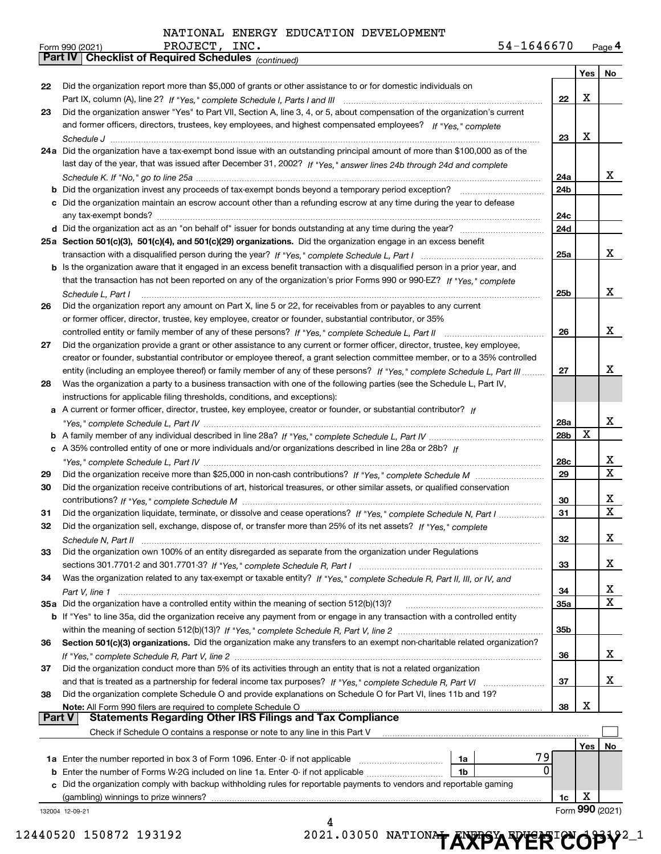*(continued)*

|               |                                                                                                                                                                                                 |                 | Yes | No              |
|---------------|-------------------------------------------------------------------------------------------------------------------------------------------------------------------------------------------------|-----------------|-----|-----------------|
| 22            | Did the organization report more than \$5,000 of grants or other assistance to or for domestic individuals on                                                                                   |                 |     |                 |
|               |                                                                                                                                                                                                 | 22              | X   |                 |
| 23            | Did the organization answer "Yes" to Part VII, Section A, line 3, 4, or 5, about compensation of the organization's current                                                                     |                 |     |                 |
|               | and former officers, directors, trustees, key employees, and highest compensated employees? If "Yes," complete                                                                                  |                 |     |                 |
|               |                                                                                                                                                                                                 | 23              | X   |                 |
|               | 24a Did the organization have a tax-exempt bond issue with an outstanding principal amount of more than \$100,000 as of the                                                                     |                 |     |                 |
|               | last day of the year, that was issued after December 31, 2002? If "Yes," answer lines 24b through 24d and complete                                                                              |                 |     |                 |
|               |                                                                                                                                                                                                 | 24a             |     | х               |
|               | Did the organization invest any proceeds of tax-exempt bonds beyond a temporary period exception?                                                                                               | 24b             |     |                 |
|               | c Did the organization maintain an escrow account other than a refunding escrow at any time during the year to defease                                                                          |                 |     |                 |
|               |                                                                                                                                                                                                 | 24c             |     |                 |
|               |                                                                                                                                                                                                 | 24d             |     |                 |
|               | 25a Section 501(c)(3), 501(c)(4), and 501(c)(29) organizations. Did the organization engage in an excess benefit                                                                                |                 |     |                 |
|               |                                                                                                                                                                                                 | 25a             |     | x               |
|               | <b>b</b> Is the organization aware that it engaged in an excess benefit transaction with a disqualified person in a prior year, and                                                             |                 |     |                 |
|               | that the transaction has not been reported on any of the organization's prior Forms 990 or 990-EZ? If "Yes." complete                                                                           |                 |     |                 |
|               | Schedule L, Part I                                                                                                                                                                              | 25 <sub>b</sub> |     | x               |
| 26            | Did the organization report any amount on Part X, line 5 or 22, for receivables from or payables to any current                                                                                 |                 |     |                 |
|               | or former officer, director, trustee, key employee, creator or founder, substantial contributor, or 35%                                                                                         |                 |     |                 |
|               | controlled entity or family member of any of these persons? If "Yes," complete Schedule L, Part II                                                                                              | 26              |     | x               |
| 27            | Did the organization provide a grant or other assistance to any current or former officer, director, trustee, key employee,                                                                     |                 |     |                 |
|               | creator or founder, substantial contributor or employee thereof, a grant selection committee member, or to a 35% controlled                                                                     |                 |     | х               |
|               | entity (including an employee thereof) or family member of any of these persons? If "Yes," complete Schedule L, Part III                                                                        | 27              |     |                 |
| 28            | Was the organization a party to a business transaction with one of the following parties (see the Schedule L, Part IV,                                                                          |                 |     |                 |
|               | instructions for applicable filing thresholds, conditions, and exceptions):<br>A current or former officer, director, trustee, key employee, creator or founder, or substantial contributor? If |                 |     |                 |
| а             |                                                                                                                                                                                                 | 28a             |     | х               |
|               |                                                                                                                                                                                                 | 28b             | X   |                 |
| с             | A 35% controlled entity of one or more individuals and/or organizations described in line 28a or 28b? If                                                                                        |                 |     |                 |
|               |                                                                                                                                                                                                 | 28c             |     | х               |
| 29            |                                                                                                                                                                                                 | 29              |     | $\mathbf x$     |
| 30            | Did the organization receive contributions of art, historical treasures, or other similar assets, or qualified conservation                                                                     |                 |     |                 |
|               |                                                                                                                                                                                                 | 30              |     | х               |
| 31            | Did the organization liquidate, terminate, or dissolve and cease operations? If "Yes," complete Schedule N, Part I                                                                              | 31              |     | $\mathbf X$     |
| 32            | Did the organization sell, exchange, dispose of, or transfer more than 25% of its net assets? If "Yes," complete                                                                                |                 |     |                 |
|               |                                                                                                                                                                                                 | 32              |     | х               |
| 33            | Did the organization own 100% of an entity disregarded as separate from the organization under Regulations                                                                                      |                 |     |                 |
|               |                                                                                                                                                                                                 | 33              |     | x               |
| 34            | Was the organization related to any tax-exempt or taxable entity? If "Yes," complete Schedule R, Part II, III, or IV, and                                                                       |                 |     |                 |
|               |                                                                                                                                                                                                 | 34              |     | х               |
|               | 35a Did the organization have a controlled entity within the meaning of section 512(b)(13)?                                                                                                     | 35a             |     | X               |
|               | b If "Yes" to line 35a, did the organization receive any payment from or engage in any transaction with a controlled entity                                                                     |                 |     |                 |
|               |                                                                                                                                                                                                 | 35 <sub>b</sub> |     |                 |
| 36            | Section 501(c)(3) organizations. Did the organization make any transfers to an exempt non-charitable related organization?                                                                      |                 |     |                 |
|               |                                                                                                                                                                                                 | 36              |     | x               |
| 37            | Did the organization conduct more than 5% of its activities through an entity that is not a related organization                                                                                |                 |     |                 |
|               |                                                                                                                                                                                                 | 37              |     | х               |
| 38            | Did the organization complete Schedule O and provide explanations on Schedule O for Part VI, lines 11b and 19?                                                                                  |                 |     |                 |
| <b>Part V</b> | Note: All Form 990 filers are required to complete Schedule O<br><b>Statements Regarding Other IRS Filings and Tax Compliance</b>                                                               | 38              | х   |                 |
|               | Check if Schedule O contains a response or note to any line in this Part V                                                                                                                      |                 |     |                 |
|               |                                                                                                                                                                                                 |                 | Yes | No              |
|               | 79<br>1a Enter the number reported in box 3 of Form 1096. Enter -0- if not applicable<br>1a                                                                                                     |                 |     |                 |
| b             | 0<br>Enter the number of Forms W-2G included on line 1a. Enter -0- if not applicable<br>1b                                                                                                      |                 |     |                 |
| c             | Did the organization comply with backup withholding rules for reportable payments to vendors and reportable gaming                                                                              |                 |     |                 |
|               | (gambling) winnings to prize winners?                                                                                                                                                           | 1c              | х   |                 |
|               | 132004 12-09-21                                                                                                                                                                                 |                 |     | Form 990 (2021) |
|               |                                                                                                                                                                                                 |                 |     |                 |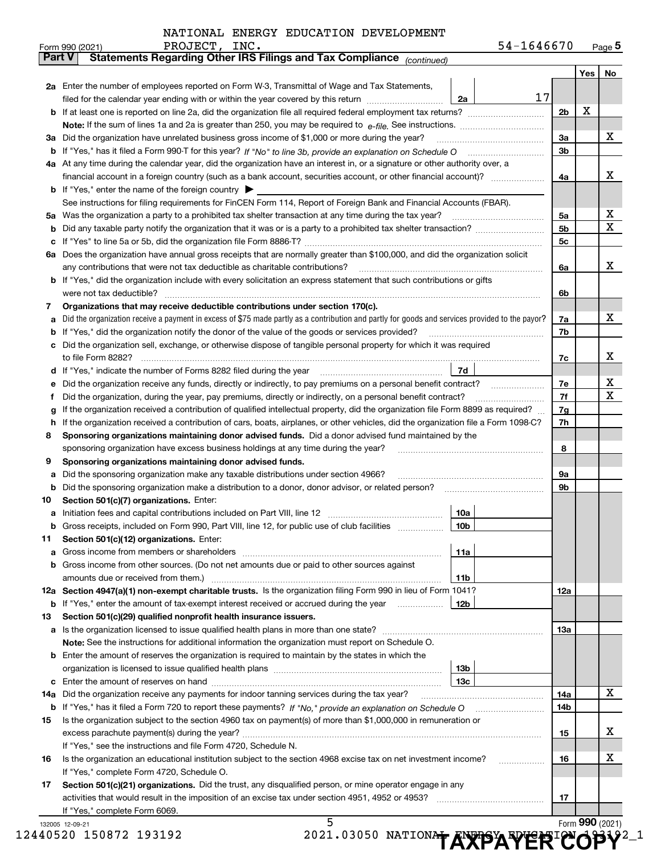|  |  |  |  | NATIONAL ENERGY EDUCATION DEVELOPMENT |
|--|--|--|--|---------------------------------------|
|--|--|--|--|---------------------------------------|

|    | PROJECT, INC.<br>Form 990 (2021)                                                                                                                                                                                                       | 54-1646670 |     |     | $_{\text{Page}}$ 5 |  |  |  |  |
|----|----------------------------------------------------------------------------------------------------------------------------------------------------------------------------------------------------------------------------------------|------------|-----|-----|--------------------|--|--|--|--|
|    | Statements Regarding Other IRS Filings and Tax Compliance (continued)<br><b>Part V</b>                                                                                                                                                 |            |     |     |                    |  |  |  |  |
|    |                                                                                                                                                                                                                                        |            |     | Yes | No                 |  |  |  |  |
|    | 2a Enter the number of employees reported on Form W-3, Transmittal of Wage and Tax Statements,                                                                                                                                         |            |     |     |                    |  |  |  |  |
|    | filed for the calendar year ending with or within the year covered by this return <i>manumumumum</i><br>2a                                                                                                                             | 17         |     |     |                    |  |  |  |  |
|    |                                                                                                                                                                                                                                        |            | 2b  | х   |                    |  |  |  |  |
|    |                                                                                                                                                                                                                                        |            |     |     |                    |  |  |  |  |
|    | 3a Did the organization have unrelated business gross income of \$1,000 or more during the year?                                                                                                                                       |            |     |     |                    |  |  |  |  |
|    |                                                                                                                                                                                                                                        |            |     |     |                    |  |  |  |  |
|    |                                                                                                                                                                                                                                        |            | 3b  |     |                    |  |  |  |  |
|    | 4a At any time during the calendar year, did the organization have an interest in, or a signature or other authority over, a                                                                                                           |            |     |     |                    |  |  |  |  |
|    |                                                                                                                                                                                                                                        |            | 4a  |     | х                  |  |  |  |  |
|    | <b>b</b> If "Yes," enter the name of the foreign country $\blacktriangleright$                                                                                                                                                         |            |     |     |                    |  |  |  |  |
|    | See instructions for filing requirements for FinCEN Form 114, Report of Foreign Bank and Financial Accounts (FBAR).                                                                                                                    |            |     |     |                    |  |  |  |  |
|    |                                                                                                                                                                                                                                        |            | 5a  |     | х                  |  |  |  |  |
| b  |                                                                                                                                                                                                                                        |            | 5b  |     | х                  |  |  |  |  |
| c  |                                                                                                                                                                                                                                        |            | 5c  |     |                    |  |  |  |  |
|    | 6a Does the organization have annual gross receipts that are normally greater than \$100,000, and did the organization solicit                                                                                                         |            |     |     |                    |  |  |  |  |
|    | any contributions that were not tax deductible as charitable contributions?                                                                                                                                                            |            | 6a  |     | х                  |  |  |  |  |
|    | <b>b</b> If "Yes," did the organization include with every solicitation an express statement that such contributions or gifts                                                                                                          |            |     |     |                    |  |  |  |  |
|    | were not tax deductible?                                                                                                                                                                                                               |            | 6b  |     |                    |  |  |  |  |
| 7  | Organizations that may receive deductible contributions under section 170(c).                                                                                                                                                          |            |     |     |                    |  |  |  |  |
| а  | Did the organization receive a payment in excess of \$75 made partly as a contribution and partly for goods and services provided to the payor?                                                                                        |            | 7a  |     | х                  |  |  |  |  |
| b  | If "Yes," did the organization notify the donor of the value of the goods or services provided?                                                                                                                                        |            | 7b  |     |                    |  |  |  |  |
| c  | Did the organization sell, exchange, or otherwise dispose of tangible personal property for which it was required                                                                                                                      |            |     |     |                    |  |  |  |  |
|    |                                                                                                                                                                                                                                        |            | 7c  |     | х                  |  |  |  |  |
|    | 7d  <br>d If "Yes," indicate the number of Forms 8282 filed during the year [11] [11] No. 2010 [12] Henry Marian Marian Marian Marian Marian Marian Marian Marian Marian Marian Marian Marian Marian Marian Marian Marian Marian Maria |            |     |     |                    |  |  |  |  |
|    |                                                                                                                                                                                                                                        |            | 7е  |     | х                  |  |  |  |  |
| е  | Did the organization receive any funds, directly or indirectly, to pay premiums on a personal benefit contract?                                                                                                                        |            |     |     |                    |  |  |  |  |
| f  | Did the organization, during the year, pay premiums, directly or indirectly, on a personal benefit contract?                                                                                                                           |            |     |     |                    |  |  |  |  |
| g  | If the organization received a contribution of qualified intellectual property, did the organization file Form 8899 as required?                                                                                                       |            | 7g  |     |                    |  |  |  |  |
| h. | If the organization received a contribution of cars, boats, airplanes, or other vehicles, did the organization file a Form 1098-C?                                                                                                     |            | 7h  |     |                    |  |  |  |  |
| 8  | Sponsoring organizations maintaining donor advised funds. Did a donor advised fund maintained by the                                                                                                                                   |            |     |     |                    |  |  |  |  |
|    | sponsoring organization have excess business holdings at any time during the year?                                                                                                                                                     |            | 8   |     |                    |  |  |  |  |
| 9  | Sponsoring organizations maintaining donor advised funds.                                                                                                                                                                              |            |     |     |                    |  |  |  |  |
| а  | Did the sponsoring organization make any taxable distributions under section 4966?                                                                                                                                                     |            | 9а  |     |                    |  |  |  |  |
| b  |                                                                                                                                                                                                                                        |            | 9b  |     |                    |  |  |  |  |
| 10 | Section 501(c)(7) organizations. Enter:                                                                                                                                                                                                |            |     |     |                    |  |  |  |  |
|    | 10a                                                                                                                                                                                                                                    |            |     |     |                    |  |  |  |  |
|    | 10 <sub>b</sub><br>Gross receipts, included on Form 990, Part VIII, line 12, for public use of club facilities                                                                                                                         |            |     |     |                    |  |  |  |  |
| 11 | Section 501(c)(12) organizations. Enter:                                                                                                                                                                                               |            |     |     |                    |  |  |  |  |
| а  | Gross income from members or shareholders<br>11a                                                                                                                                                                                       |            |     |     |                    |  |  |  |  |
|    | b Gross income from other sources. (Do not net amounts due or paid to other sources against                                                                                                                                            |            |     |     |                    |  |  |  |  |
|    | amounts due or received from them.)<br>11b                                                                                                                                                                                             |            |     |     |                    |  |  |  |  |
|    | 12a Section 4947(a)(1) non-exempt charitable trusts. Is the organization filing Form 990 in lieu of Form 1041?                                                                                                                         |            | 12a |     |                    |  |  |  |  |
|    | 12b<br><b>b</b> If "Yes," enter the amount of tax-exempt interest received or accrued during the year                                                                                                                                  |            |     |     |                    |  |  |  |  |
| 13 | Section 501(c)(29) qualified nonprofit health insurance issuers.                                                                                                                                                                       |            |     |     |                    |  |  |  |  |
| a  | Is the organization licensed to issue qualified health plans in more than one state?                                                                                                                                                   |            | 13a |     |                    |  |  |  |  |
|    | Note: See the instructions for additional information the organization must report on Schedule O.                                                                                                                                      |            |     |     |                    |  |  |  |  |
|    | <b>b</b> Enter the amount of reserves the organization is required to maintain by the states in which the                                                                                                                              |            |     |     |                    |  |  |  |  |
|    | 13b                                                                                                                                                                                                                                    |            |     |     |                    |  |  |  |  |
|    | 13c                                                                                                                                                                                                                                    |            |     |     |                    |  |  |  |  |
|    | 14a Did the organization receive any payments for indoor tanning services during the tax year?                                                                                                                                         |            | 14a |     | х                  |  |  |  |  |
|    |                                                                                                                                                                                                                                        |            | 14b |     |                    |  |  |  |  |
| 15 | Is the organization subject to the section 4960 tax on payment(s) of more than \$1,000,000 in remuneration or                                                                                                                          |            |     |     |                    |  |  |  |  |
|    |                                                                                                                                                                                                                                        |            | 15  |     | х                  |  |  |  |  |
|    | If "Yes," see the instructions and file Form 4720, Schedule N.                                                                                                                                                                         |            |     |     |                    |  |  |  |  |
| 16 | Is the organization an educational institution subject to the section 4968 excise tax on net investment income?                                                                                                                        |            | 16  |     | х                  |  |  |  |  |
|    | If "Yes," complete Form 4720, Schedule O.                                                                                                                                                                                              |            |     |     |                    |  |  |  |  |
|    |                                                                                                                                                                                                                                        |            |     |     |                    |  |  |  |  |
| 17 | Section 501(c)(21) organizations. Did the trust, any disqualified person, or mine operator engage in any                                                                                                                               |            |     |     |                    |  |  |  |  |
|    |                                                                                                                                                                                                                                        |            | 17  |     |                    |  |  |  |  |
|    | If "Yes," complete Form 6069.<br>5                                                                                                                                                                                                     |            |     |     |                    |  |  |  |  |
|    | 132005 12-09-21                                                                                                                                                                                                                        |            |     |     | Form 990 (2021)    |  |  |  |  |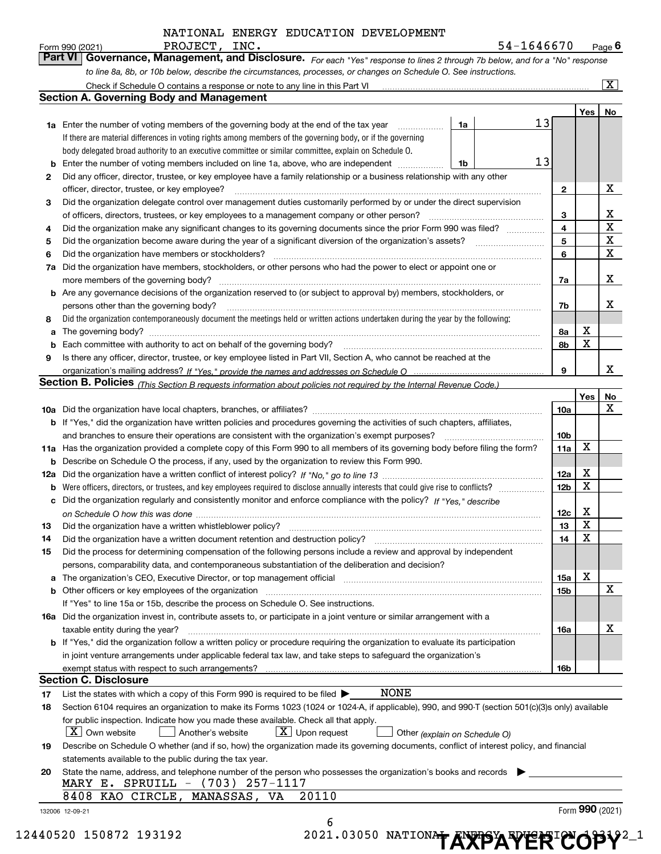132006 12-09-21 **Yes No 1a1b1a** Enter the number of voting members of the governing body at the end of the tax year **234567a** Did the organization have members, stockholders, or other persons who had the power to elect or appoint one or **89b** Enter the number of voting members included on line 1a, above, who are independent  $\ldots$ **234567a7b8a8b9b** Are any governance decisions of the organization reserved to (or subject to approval by) members, stockholders, or **a**The governing body? ~~~~~~~~~~~~~~~~~~~~~~~~~~~~~~~~~~~~~~~~~~~~~~~~~~~ **b** Each committee with authority to act on behalf of the governing body? **Yes No 10 a** Did the organization have local chapters, branches, or affiliates? ~~~~~~~~~~~~~~~~~~~~~~~~~~~~~~ **11a** Has the organization provided a complete copy of this Form 990 to all members of its governing body before filing the form? **b** If "Yes," did the organization have written policies and procedures governing the activities of such chapters, affiliates, **10a10b11a12a12b12c131415a15b16a16bb** Describe on Schedule O the process, if any, used by the organization to review this Form 990. **12a** *If "No," go to line 13* Did the organization have a written conflict of interest policy? ~~~~~~~~~~~~~~~~~~~~~ **b** Were officers, directors, or trustees, and key employees required to disclose annually interests that could give rise to conflicts? **c** Did the organization regularly and consistently monitor and enforce compliance with the policy? If "Yes," describe **131415a** The organization's CEO, Executive Director, or top management official manufactorrow manufactorrow manufactor **b16a** Did the organization invest in, contribute assets to, or participate in a joint venture or similar arrangement with a **b** If "Yes," did the organization follow a written policy or procedure requiring the organization to evaluate its participation **17181920***For each "Yes" response to lines 2 through 7b below, and for a "No" response to line 8a, 8b, or 10b below, describe the circumstances, processes, or changes on Schedule O. See instructions. If "Yes," provide the names and addresses on Schedule O* organization's mailing address? **Section B. Policies** <sub>(This Section B requests information about policies not required by the Internal Revenue Code.)</sub> *on Schedule O how this was done* ~~~~~~~~~~~~~~~~~~~~~~~~~~~~~~~~~~~~~~~~~~~~~ *(explain on Schedule O)* If there are material differences in voting rights among members of the governing body, or if the governing body delegated broad authority to an executive committee or similar committee, explain on Schedule O. Did the organization contemporaneously document the meetings held or written actions undertaken during the year by the following: Form (2021) **990** Form 990 (2021) PROJECT,INC**.**<br>**Part VI** | Governance, Management, and Disclosure. *For each* "Yes" response to lines 2 through 7b below, and for a "No" response Check if Schedule O contains a response or note to any line in this Part VI Did any officer, director, trustee, or key employee have a family relationship or a business relationship with any other officer, director, trustee, or key employee? ~~~~~~~~~~~~~~~~~~~~~~~~~~~~~~~~~~~~~~~~Did the organization delegate control over management duties customarily performed by or under the direct supervision of officers, directors, trustees, or key employees to a management company or other person? Did the organization make any significant changes to its governing documents since the prior Form 990 was filed? ~~~~~Did the organization become aware during the year of a significant diversion of the organization's assets? Did the organization have members or stockholders? ~~~~~~~~~~~~~~~~~~~~~~~~~~~~~~~~~~~ more members of the governing body? ~~~~~~~~~~~~~~~~~~~~~~~~~~~~~~~~~~~~~~~~~~persons other than the governing body? ~~~~~~~~~~~~~~~~~~~~~~~~~~~~~~~~~~~~~~~~~~~~~~~~~~~~~~~~~~~~~~~~~~~Is there any officer, director, trustee, or key employee listed in Part VII, Section A, who cannot be reached at the and branches to ensure their operations are consistent with the organization's exempt purposes? \_\_\_\_\_\_\_\_\_\_\_\_\_\_\_\_\_\_\_\_\_\_\_ Did the organization have a written whistleblower policy? Did the organization have a written document retention and destruction policy? ~~~~~~~~~~~~~~~~~~~~~~ Did the process for determining compensation of the following persons include a review and approval by independent persons, comparability data, and contemporaneous substantiation of the deliberation and decision? Other officers or key employees of the organization If "Yes" to line 15a or 15b, describe the process on Schedule O. See instructions. taxable entity during the year? ~~~~~~~~~~~~~~~~~~~~~~~~~~~~~~~~~~~~~~~~~~~~~~ in joint venture arrangements under applicable federal tax law, and take steps to safeguard the organization's exempt status with respect to such arrangements? List the states with which a copy of this Form 990 is required to be filed  $\blacktriangleright$ Section 6104 requires an organization to make its Forms 1023 (1024 or 1024-A, if applicable), 990, and 990-T (section 501(c)(3)s only) available for public inspection. Indicate how you made these available. Check all that apply.  $\vert$  Another's website Describe on Schedule O whether (and if so, how) the organization made its governing documents, conflict of interest policy, and financial statements available to the public during the tax year. State the name, address, and telephone number of the person who possesses the organization's books and records | **Section A. Governing Body and Management Section C. Disclosure**  $\boxed{\text{X}}$  X  $\boxed{\textbf{X}}$  Own website  $\boxed{\phantom{a}}$  Another's website  $\boxed{\textbf{X}}$  Upon request  $\boxed{\phantom{a}}$ 13 13 X X X X X X X X X X X X X X X X X X X X MARY E. SPRUILL - (703) 257-1117 8408 KAO CIRCLE, MANASSAS, VA 20110 NONE PROJECT, INC. 2002 2003 12:00 12:00 12:00 13:00 14:00 15 16 16 16 17:00 17:00 17:00 17:00 17:00 17:00 17:00 17:00 17:00 17:00 17:00 17:00 17:00 17:00 17:00 17:00 17:00 17:00 17:00 17:00 17:00 17:00 17:00 17:00 17:00 17:00 6

12440520 150872 193192 2021.03050 2021

| 021.03050 NATIONAL ANYBYANYERIA OBV2_1 |  |  |  |
|----------------------------------------|--|--|--|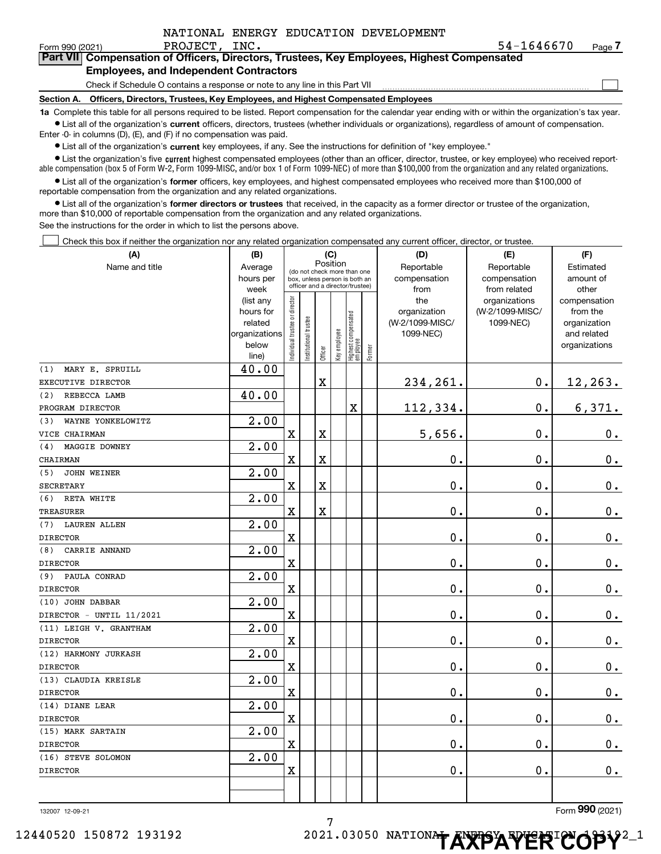|  | NATIONAL ENERGY EDUCATION DEVELOPMENT |
|--|---------------------------------------|
|  |                                       |

Form 990 (2021) PROJECT, INC. 5 $4$ - $1646670$  Page

 $\mathcal{L}^{\text{max}}$ 

| orm 990 (2021) | PROJECT, INC.                                                                              |  | 54-1646670 | Page <i>I</i> |
|----------------|--------------------------------------------------------------------------------------------|--|------------|---------------|
|                | Part VII Compensation of Officers, Directors, Trustees, Key Employees, Highest Compensated |  |            |               |
|                | <b>Employees, and Independent Contractors</b>                                              |  |            |               |

Check if Schedule O contains a response or note to any line in this Part VII

**Section A. Officers, Directors, Trustees, Key Employees, and Highest Compensated Employees**

**1a**  Complete this table for all persons required to be listed. Report compensation for the calendar year ending with or within the organization's tax year. **•** List all of the organization's current officers, directors, trustees (whether individuals or organizations), regardless of amount of compensation.

Enter -0- in columns (D), (E), and (F) if no compensation was paid.

 $\bullet$  List all of the organization's  $\sf current$  key employees, if any. See the instructions for definition of "key employee."

• List the organization's five current highest compensated employees (other than an officer, director, trustee, or key employee) who received report-■ List the organization's five current highest compensated employees (other than an officer, director, trustee, or key employee) who received report-<br>able compensation (box 5 of Form W-2, Form 1099-MISC, and/or box 1 of F

**•** List all of the organization's former officers, key employees, and highest compensated employees who received more than \$100,000 of reportable compensation from the organization and any related organizations.

**former directors or trustees**  ¥ List all of the organization's that received, in the capacity as a former director or trustee of the organization, more than \$10,000 of reportable compensation from the organization and any related organizations.

See the instructions for the order in which to list the persons above.

Check this box if neither the organization nor any related organization compensated any current officer, director, or trustee.  $\mathcal{L}^{\text{max}}$ 

| (A)                      | (B)               |                                         |                                                                  |                         | (C)          |                                  |            | (D)             | (E)                           | (F)                   |
|--------------------------|-------------------|-----------------------------------------|------------------------------------------------------------------|-------------------------|--------------|----------------------------------|------------|-----------------|-------------------------------|-----------------------|
| Name and title           | Average           | Position<br>(do not check more than one |                                                                  |                         |              |                                  | Reportable | Reportable      | Estimated                     |                       |
|                          | hours per         |                                         | box, unless person is both an<br>officer and a director/trustee) |                         |              |                                  |            | compensation    | compensation                  | amount of             |
|                          | week<br>(list any |                                         |                                                                  |                         |              |                                  |            | from<br>the     | from related<br>organizations | other<br>compensation |
|                          | hours for         |                                         |                                                                  |                         |              |                                  |            | organization    | (W-2/1099-MISC/               | from the              |
|                          | related           |                                         |                                                                  |                         |              |                                  |            | (W-2/1099-MISC/ | 1099-NEC)                     | organization          |
|                          | organizations     |                                         |                                                                  |                         |              |                                  |            | 1099-NEC)       |                               | and related           |
|                          | below             | ndividual trustee or director           | nstitutional trustee                                             |                         | Key employee | Highest compensated<br> employee |            |                 |                               | organizations         |
|                          | line)             |                                         |                                                                  | Officer                 |              |                                  | Former     |                 |                               |                       |
| MARY E. SPRUILL<br>(1)   | 40.00             |                                         |                                                                  |                         |              |                                  |            |                 |                               |                       |
| EXECUTIVE DIRECTOR       |                   |                                         |                                                                  | $\mathbf X$             |              |                                  |            | 234,261.        | $0$ .                         | 12,263.               |
| REBECCA LAMB<br>(2)      | 40.00             |                                         |                                                                  |                         |              |                                  |            |                 |                               |                       |
| PROGRAM DIRECTOR         |                   |                                         |                                                                  |                         |              | X                                |            | 112,334.        | $\mathbf 0$ .                 | 6,371.                |
| WAYNE YONKELOWITZ<br>(3) | 2.00              |                                         |                                                                  |                         |              |                                  |            |                 |                               |                       |
| VICE CHAIRMAN            |                   | $\overline{\mathbf{X}}$                 |                                                                  | X                       |              |                                  |            | 5,656.          | 0.                            | $\mathbf 0$ .         |
| MAGGIE DOWNEY<br>(4)     | 2.00              |                                         |                                                                  |                         |              |                                  |            |                 |                               |                       |
| CHAIRMAN                 |                   | $\overline{\textbf{X}}$                 |                                                                  | $\overline{\textbf{X}}$ |              |                                  |            | 0.              | 0.                            | $\mathbf 0$ .         |
| (5)<br>JOHN WEINER       | 2.00              |                                         |                                                                  |                         |              |                                  |            |                 |                               |                       |
| <b>SECRETARY</b>         |                   | $\overline{\textbf{X}}$                 |                                                                  | X                       |              |                                  |            | 0.              | $\mathbf 0$ .                 | 0.                    |
| (6) RETA WHITE           | 2.00              |                                         |                                                                  |                         |              |                                  |            |                 |                               |                       |
| <b>TREASURER</b>         |                   | $\overline{\textbf{X}}$                 |                                                                  | $\overline{\textbf{X}}$ |              |                                  |            | 0.              | $\mathbf 0$ .                 | $\mathbf 0$ .         |
| (7) LAUREN ALLEN         | 2.00              |                                         |                                                                  |                         |              |                                  |            |                 |                               |                       |
| <b>DIRECTOR</b>          |                   | $\rm X$                                 |                                                                  |                         |              |                                  |            | 0.              | $\mathbf 0$ .                 | $\mathbf 0$ .         |
| CARRIE ANNAND<br>(8)     | 2.00              |                                         |                                                                  |                         |              |                                  |            |                 |                               |                       |
| <b>DIRECTOR</b>          |                   | X                                       |                                                                  |                         |              |                                  |            | 0.              | 0.                            | $\mathbf 0$ .         |
| PAULA CONRAD<br>(9)      | 2.00              |                                         |                                                                  |                         |              |                                  |            |                 |                               |                       |
| <b>DIRECTOR</b>          |                   | $\rm X$                                 |                                                                  |                         |              |                                  |            | 0.              | $\mathbf 0$ .                 | $0_{\cdot}$           |
| (10) JOHN DABBAR         | 2.00              |                                         |                                                                  |                         |              |                                  |            |                 |                               |                       |
| DIRECTOR - UNTIL 11/2021 |                   | $\mathbf X$                             |                                                                  |                         |              |                                  |            | $\mathbf 0$ .   | $\mathbf 0$ .                 | $\mathbf 0$ .         |
| (11) LEIGH V. GRANTHAM   | 2.00              |                                         |                                                                  |                         |              |                                  |            |                 |                               |                       |
| <b>DIRECTOR</b>          |                   | $\overline{\textbf{X}}$                 |                                                                  |                         |              |                                  |            | 0.              | $\mathbf 0$ .                 | $\mathbf 0$ .         |
| (12) HARMONY JURKASH     | 2.00              |                                         |                                                                  |                         |              |                                  |            |                 |                               |                       |
| <b>DIRECTOR</b>          |                   | $\overline{\textbf{X}}$                 |                                                                  |                         |              |                                  |            | 0.              | $\mathbf 0$ .                 | $\mathbf 0$ .         |
| (13) CLAUDIA KREISLE     | $\overline{2.00}$ |                                         |                                                                  |                         |              |                                  |            |                 |                               |                       |
| <b>DIRECTOR</b>          |                   | $\overline{\textbf{X}}$                 |                                                                  |                         |              |                                  |            | 0.              | $\mathbf 0$ .                 | $\mathbf 0$ .         |
| (14) DIANE LEAR          | 2.00              |                                         |                                                                  |                         |              |                                  |            |                 |                               |                       |
| <b>DIRECTOR</b>          |                   | $\rm X$                                 |                                                                  |                         |              |                                  |            | $\mathbf 0$ .   | 0.                            | $\mathbf 0$ .         |
| (15) MARK SARTAIN        | 2.00              |                                         |                                                                  |                         |              |                                  |            |                 |                               |                       |
| <b>DIRECTOR</b>          |                   | $\mathbf x$                             |                                                                  |                         |              |                                  |            | 0.              | $\mathbf 0$ .                 | 0.                    |
| (16) STEVE SOLOMON       | 2.00              |                                         |                                                                  |                         |              |                                  |            |                 |                               |                       |
| <b>DIRECTOR</b>          |                   | X                                       |                                                                  |                         |              |                                  |            | 0.              | $\mathbf 0$ .                 | 0.                    |
|                          |                   |                                         |                                                                  |                         |              |                                  |            |                 |                               |                       |
|                          |                   |                                         |                                                                  |                         |              |                                  |            |                 |                               |                       |

7

132007 12-09-21

Form (2021) **990**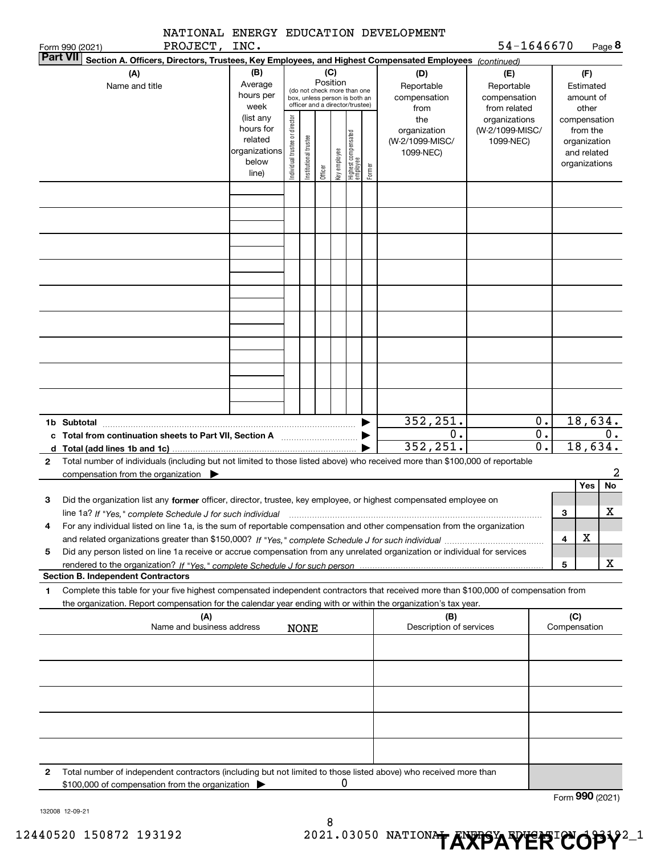|                 |                                                          |                           |                                                                      |                                |                       |          |              |                                                                                                 |        | NATIONAL ENERGY EDUCATION DEVELOPMENT                                                                                                                                                                                                                                            |                                                   |                             |              |                                                                          |                 |
|-----------------|----------------------------------------------------------|---------------------------|----------------------------------------------------------------------|--------------------------------|-----------------------|----------|--------------|-------------------------------------------------------------------------------------------------|--------|----------------------------------------------------------------------------------------------------------------------------------------------------------------------------------------------------------------------------------------------------------------------------------|---------------------------------------------------|-----------------------------|--------------|--------------------------------------------------------------------------|-----------------|
|                 | Form 990 (2021)                                          | PROJECT, INC.             |                                                                      |                                |                       |          |              |                                                                                                 |        |                                                                                                                                                                                                                                                                                  | 54-1646670                                        |                             |              |                                                                          | Page 8          |
| <b>Part VII</b> |                                                          |                           |                                                                      |                                |                       |          |              |                                                                                                 |        | Section A. Officers, Directors, Trustees, Key Employees, and Highest Compensated Employees (continued)                                                                                                                                                                           |                                                   |                             |              |                                                                          |                 |
|                 | (A)<br>Name and title                                    |                           | (B)<br>Average<br>hours per<br>week                                  |                                |                       | Position | (C)          | (do not check more than one<br>box, unless person is both an<br>officer and a director/trustee) |        | (D)<br>Reportable<br>compensation<br>from                                                                                                                                                                                                                                        | (E)<br>Reportable<br>compensation<br>from related |                             |              | (F)<br>Estimated<br>amount of<br>other                                   |                 |
|                 |                                                          |                           | (list any<br>hours for<br>related<br>organizations<br>below<br>line) | Individual trustee or director | Institutional trustee | Officer  | Key employee | Highest compensated<br>employee                                                                 | Former | the<br>organization<br>(W-2/1099-MISC/<br>1099-NEC)                                                                                                                                                                                                                              | organizations<br>(W-2/1099-MISC/<br>1099-NEC)     |                             |              | compensation<br>from the<br>organization<br>and related<br>organizations |                 |
|                 |                                                          |                           |                                                                      |                                |                       |          |              |                                                                                                 |        |                                                                                                                                                                                                                                                                                  |                                                   |                             |              |                                                                          |                 |
|                 |                                                          |                           |                                                                      |                                |                       |          |              |                                                                                                 |        |                                                                                                                                                                                                                                                                                  |                                                   |                             |              |                                                                          |                 |
|                 |                                                          |                           |                                                                      |                                |                       |          |              |                                                                                                 |        |                                                                                                                                                                                                                                                                                  |                                                   |                             |              |                                                                          |                 |
|                 |                                                          |                           |                                                                      |                                |                       |          |              |                                                                                                 |        |                                                                                                                                                                                                                                                                                  |                                                   |                             |              |                                                                          |                 |
|                 |                                                          |                           |                                                                      |                                |                       |          |              |                                                                                                 |        |                                                                                                                                                                                                                                                                                  |                                                   |                             |              |                                                                          |                 |
|                 | 1b Subtotal                                              |                           |                                                                      |                                |                       |          |              |                                                                                                 |        | 352,251.<br>$\mathbf 0$ .                                                                                                                                                                                                                                                        |                                                   | 0.<br>$\overline{0}$ .      |              |                                                                          | 18,634.<br>0.   |
| 2               |                                                          |                           |                                                                      |                                |                       |          |              |                                                                                                 |        | 352, 251.<br>Total number of individuals (including but not limited to those listed above) who received more than \$100,000 of reportable                                                                                                                                        |                                                   | $\overline{\mathfrak{o}}$ . |              | 18,634.                                                                  |                 |
|                 | compensation from the organization $\blacktriangleright$ |                           |                                                                      |                                |                       |          |              |                                                                                                 |        |                                                                                                                                                                                                                                                                                  |                                                   |                             |              |                                                                          | 2               |
|                 |                                                          |                           |                                                                      |                                |                       |          |              |                                                                                                 |        |                                                                                                                                                                                                                                                                                  |                                                   |                             |              | Yes                                                                      | <b>No</b>       |
| З               |                                                          |                           |                                                                      |                                |                       |          |              |                                                                                                 |        | Did the organization list any former officer, director, trustee, key employee, or highest compensated employee on                                                                                                                                                                |                                                   |                             |              |                                                                          | $\mathbf X$     |
| 4               |                                                          |                           |                                                                      |                                |                       |          |              |                                                                                                 |        | line 1a? If "Yes," complete Schedule J for such individual manufactured contained and the line 1a? If "Yes," complete Schedule J for such individual<br>For any individual listed on line 1a, is the sum of reportable compensation and other compensation from the organization |                                                   |                             | з            |                                                                          |                 |
|                 |                                                          |                           |                                                                      |                                |                       |          |              |                                                                                                 |        |                                                                                                                                                                                                                                                                                  |                                                   |                             | 4            | х                                                                        |                 |
| 5               |                                                          |                           |                                                                      |                                |                       |          |              |                                                                                                 |        | Did any person listed on line 1a receive or accrue compensation from any unrelated organization or individual for services                                                                                                                                                       |                                                   |                             |              |                                                                          |                 |
|                 | <b>Section B. Independent Contractors</b>                |                           |                                                                      |                                |                       |          |              |                                                                                                 |        |                                                                                                                                                                                                                                                                                  |                                                   |                             | 5            |                                                                          | x               |
| 1               |                                                          |                           |                                                                      |                                |                       |          |              |                                                                                                 |        | Complete this table for your five highest compensated independent contractors that received more than \$100,000 of compensation from                                                                                                                                             |                                                   |                             |              |                                                                          |                 |
|                 |                                                          | (A)                       |                                                                      |                                |                       |          |              |                                                                                                 |        | the organization. Report compensation for the calendar year ending with or within the organization's tax year.<br>(B)                                                                                                                                                            |                                                   |                             | (C)          |                                                                          |                 |
|                 |                                                          | Name and business address |                                                                      |                                | <b>NONE</b>           |          |              |                                                                                                 |        | Description of services                                                                                                                                                                                                                                                          |                                                   |                             | Compensation |                                                                          |                 |
|                 |                                                          |                           |                                                                      |                                |                       |          |              |                                                                                                 |        |                                                                                                                                                                                                                                                                                  |                                                   |                             |              |                                                                          |                 |
|                 |                                                          |                           |                                                                      |                                |                       |          |              |                                                                                                 |        |                                                                                                                                                                                                                                                                                  |                                                   |                             |              |                                                                          |                 |
|                 |                                                          |                           |                                                                      |                                |                       |          |              |                                                                                                 |        |                                                                                                                                                                                                                                                                                  |                                                   |                             |              |                                                                          |                 |
|                 |                                                          |                           |                                                                      |                                |                       |          |              |                                                                                                 |        |                                                                                                                                                                                                                                                                                  |                                                   |                             |              |                                                                          |                 |
|                 |                                                          |                           |                                                                      |                                |                       |          |              |                                                                                                 |        |                                                                                                                                                                                                                                                                                  |                                                   |                             |              |                                                                          |                 |
| 2               | \$100,000 of compensation from the organization          |                           |                                                                      |                                |                       |          | 0            |                                                                                                 |        | Total number of independent contractors (including but not limited to those listed above) who received more than                                                                                                                                                                 |                                                   |                             |              |                                                                          |                 |
|                 |                                                          |                           |                                                                      |                                |                       |          |              |                                                                                                 |        |                                                                                                                                                                                                                                                                                  |                                                   |                             |              |                                                                          | Form 990 (2021) |

132008 12-09-21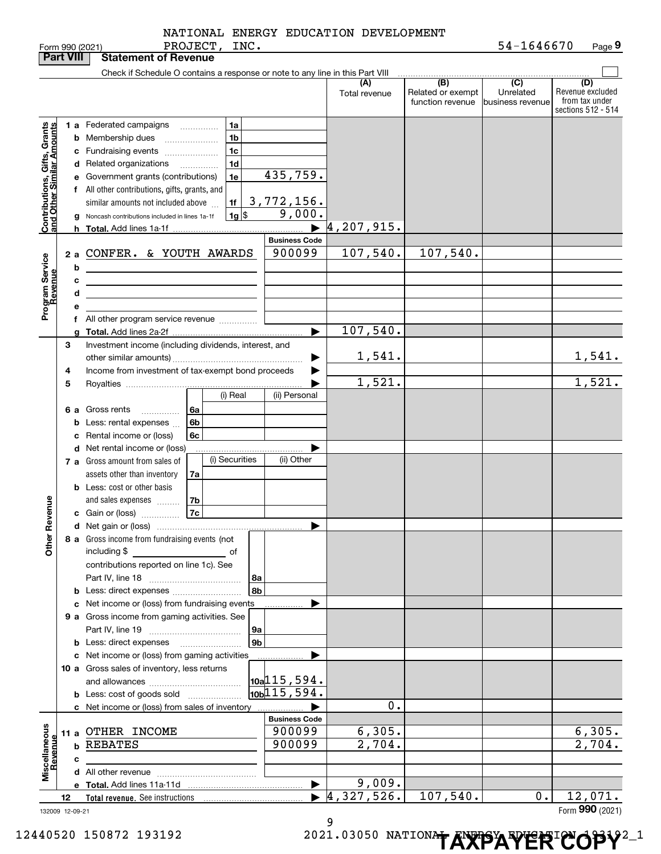|                                               |    |        | PROJECT, INC.<br>Form 990 (2021)                                                                                     |                                |                      |                                              | 54-1646670                                        | Page 9                                                          |
|-----------------------------------------------|----|--------|----------------------------------------------------------------------------------------------------------------------|--------------------------------|----------------------|----------------------------------------------|---------------------------------------------------|-----------------------------------------------------------------|
| <b>Part VIII</b>                              |    |        | <b>Statement of Revenue</b>                                                                                          |                                |                      |                                              |                                                   |                                                                 |
|                                               |    |        | Check if Schedule O contains a response or note to any line in this Part VIII                                        |                                |                      |                                              |                                                   |                                                                 |
|                                               |    |        |                                                                                                                      |                                | (A)<br>Total revenue | (B)<br>Related or exempt<br>function revenue | $\overline{(C)}$<br>Unrelated<br>business revenue | (D)<br>Revenue excluded<br>from tax under<br>sections 512 - 514 |
|                                               |    |        | 1a<br>1 a Federated campaigns                                                                                        |                                |                      |                                              |                                                   |                                                                 |
| Grants<br>mounts                              |    |        | 1 <sub>b</sub><br><b>b</b> Membership dues                                                                           |                                |                      |                                              |                                                   |                                                                 |
|                                               |    |        | 1 <sub>c</sub><br>c Fundraising events                                                                               |                                |                      |                                              |                                                   |                                                                 |
|                                               |    |        | 1 <sub>d</sub><br>d Related organizations<br>.                                                                       |                                |                      |                                              |                                                   |                                                                 |
|                                               |    |        | 1e<br>e Government grants (contributions)                                                                            | 435,759.                       |                      |                                              |                                                   |                                                                 |
|                                               |    |        | f All other contributions, gifts, grants, and                                                                        |                                |                      |                                              |                                                   |                                                                 |
| Contributions, Gifts,<br>and Other Similar Ar |    |        | 1f<br>similar amounts not included above                                                                             | 3,772,156.                     |                      |                                              |                                                   |                                                                 |
|                                               |    |        | $1g$ \$<br>Noncash contributions included in lines 1a-1f                                                             | 9,000.                         |                      |                                              |                                                   |                                                                 |
|                                               |    |        |                                                                                                                      | $\blacktriangleright$          | 4, 207, 915.         |                                              |                                                   |                                                                 |
|                                               |    |        |                                                                                                                      | <b>Business Code</b><br>900099 | 107,540.             | 107,540.                                     |                                                   |                                                                 |
| Program Service<br>Revenue                    |    |        | 2 a CONFER. & YOUTH AWARDS                                                                                           |                                |                      |                                              |                                                   |                                                                 |
|                                               |    | b      | <u> 1980 - Johann Barn, mars ann an t-Amhain Aonaich an t-Aonaich an t-Aonaich ann an t-Aonaich ann an t-Aonaich</u> |                                |                      |                                              |                                                   |                                                                 |
|                                               |    | c<br>d | <u> 1989 - Johann Barn, mars eta bat erroman erroman erroman erroman erroman erroman erroman erroman erroman err</u> |                                |                      |                                              |                                                   |                                                                 |
|                                               |    | е      | <u> 1980 - Johann Barn, amerikansk politiker (d. 1980)</u>                                                           |                                |                      |                                              |                                                   |                                                                 |
|                                               |    | f      | All other program service revenue                                                                                    |                                |                      |                                              |                                                   |                                                                 |
|                                               |    | a      |                                                                                                                      |                                | 107,540.             |                                              |                                                   |                                                                 |
|                                               | З  |        | Investment income (including dividends, interest, and                                                                |                                |                      |                                              |                                                   |                                                                 |
|                                               |    |        |                                                                                                                      | ▶                              | 1,541.               |                                              |                                                   | 1,541.                                                          |
|                                               | 4  |        | Income from investment of tax-exempt bond proceeds                                                                   |                                |                      |                                              |                                                   |                                                                 |
|                                               | 5  |        |                                                                                                                      |                                | 1,521.               |                                              |                                                   | 1,521.                                                          |
|                                               |    |        | (i) Real                                                                                                             | (ii) Personal                  |                      |                                              |                                                   |                                                                 |
|                                               |    | 6а     | Gross rents<br>l 6a                                                                                                  |                                |                      |                                              |                                                   |                                                                 |
|                                               |    | b      | 6 <sub>b</sub><br>Less: rental expenses                                                                              |                                |                      |                                              |                                                   |                                                                 |
|                                               |    |        | c Rental income or (loss)<br>6c                                                                                      |                                |                      |                                              |                                                   |                                                                 |
|                                               |    |        | d Net rental income or (loss)                                                                                        |                                |                      |                                              |                                                   |                                                                 |
|                                               |    |        | (i) Securities<br>7 a Gross amount from sales of                                                                     | (ii) Other                     |                      |                                              |                                                   |                                                                 |
|                                               |    |        | assets other than inventory<br>7a                                                                                    |                                |                      |                                              |                                                   |                                                                 |
|                                               |    |        | <b>b</b> Less: cost or other basis<br>and sales expenses                                                             |                                |                      |                                              |                                                   |                                                                 |
| evenue                                        |    |        | 7b<br>7c<br>c Gain or (loss)                                                                                         |                                |                      |                                              |                                                   |                                                                 |
|                                               |    |        |                                                                                                                      |                                |                      |                                              |                                                   |                                                                 |
| Other Re                                      |    |        | 8 a Gross income from fundraising events (not                                                                        |                                |                      |                                              |                                                   |                                                                 |
|                                               |    |        | including \$<br>____________________________ of                                                                      |                                |                      |                                              |                                                   |                                                                 |
|                                               |    |        | contributions reported on line 1c). See                                                                              |                                |                      |                                              |                                                   |                                                                 |
|                                               |    |        | l 8a                                                                                                                 |                                |                      |                                              |                                                   |                                                                 |
|                                               |    |        | 8b                                                                                                                   |                                |                      |                                              |                                                   |                                                                 |
|                                               |    |        | c Net income or (loss) from fundraising events                                                                       |                                |                      |                                              |                                                   |                                                                 |
|                                               |    |        | 9 a Gross income from gaming activities. See                                                                         |                                |                      |                                              |                                                   |                                                                 |
|                                               |    |        | 9a                                                                                                                   |                                |                      |                                              |                                                   |                                                                 |
|                                               |    |        | 9b<br><b>b</b> Less: direct expenses <b>manually</b>                                                                 |                                |                      |                                              |                                                   |                                                                 |
|                                               |    |        | c Net income or (loss) from gaming activities                                                                        |                                |                      |                                              |                                                   |                                                                 |
|                                               |    |        | 10 a Gross sales of inventory, less returns                                                                          | $\vert$ 10a $\vert$ 115,594.   |                      |                                              |                                                   |                                                                 |
|                                               |    |        |                                                                                                                      | $\sqrt{10b/115}$ , 594.        |                      |                                              |                                                   |                                                                 |
|                                               |    |        | <b>b</b> Less: cost of goods sold<br>c Net income or (loss) from sales of inventory                                  |                                | 0.                   |                                              |                                                   |                                                                 |
|                                               |    |        |                                                                                                                      | <b>Business Code</b>           |                      |                                              |                                                   |                                                                 |
|                                               |    |        | 11 a OTHER INCOME                                                                                                    | 900099                         | 6,305.               |                                              |                                                   | 6,305.                                                          |
|                                               |    | b      | <b>REBATES</b>                                                                                                       | 900099                         | 2,704.               |                                              |                                                   | 2,704.                                                          |
|                                               |    | c      |                                                                                                                      |                                |                      |                                              |                                                   |                                                                 |
| Miscellaneous<br>Revenue                      |    |        |                                                                                                                      |                                |                      |                                              |                                                   |                                                                 |
|                                               |    |        |                                                                                                                      | $\blacktriangleright$          | 9,009.               |                                              |                                                   |                                                                 |
|                                               | 12 |        |                                                                                                                      | $\blacktriangleright$          | 4,327,526.           | 107,540.                                     | 0.                                                | 12,071.                                                         |
| 132009 12-09-21                               |    |        |                                                                                                                      |                                | a                    |                                              |                                                   | Form 990 (2021)                                                 |

9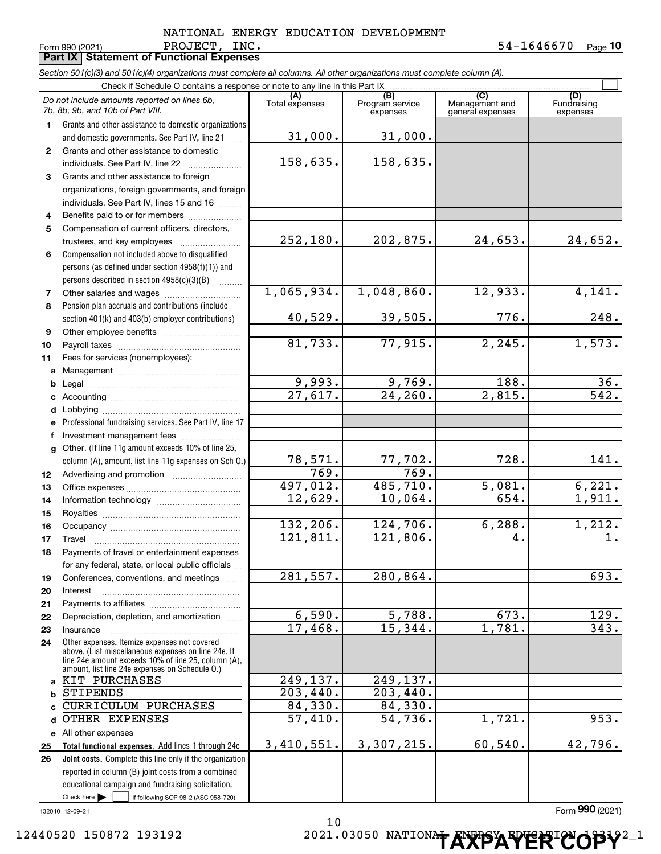#### Form 990 (2021) Page **Part IX Statement of Functional Expenses** PROJECT, INC. 54-1646670 NATIONAL ENERGY EDUCATION DEVELOPMENT

**10**

|                | Section 501(c)(3) and 501(c)(4) organizations must complete all columns. All other organizations must complete column (A).                                                                                   |                       |                                    |                                    |                                |
|----------------|--------------------------------------------------------------------------------------------------------------------------------------------------------------------------------------------------------------|-----------------------|------------------------------------|------------------------------------|--------------------------------|
|                | Check if Schedule O contains a response or note to any line in this Part IX                                                                                                                                  |                       |                                    | (C)                                |                                |
|                | Do not include amounts reported on lines 6b,<br>7b, 8b, 9b, and 10b of Part VIII.                                                                                                                            | (A)<br>Total expenses | (B)<br>Program service<br>expenses | Management and<br>general expenses | (D)<br>Fundraising<br>expenses |
| 1.             | Grants and other assistance to domestic organizations                                                                                                                                                        |                       |                                    |                                    |                                |
|                | and domestic governments. See Part IV, line 21                                                                                                                                                               | 31,000.               | 31,000.                            |                                    |                                |
| $\mathbf{2}$   | Grants and other assistance to domestic                                                                                                                                                                      |                       |                                    |                                    |                                |
|                | individuals. See Part IV, line 22                                                                                                                                                                            | 158,635.              | 158,635.                           |                                    |                                |
| 3              | Grants and other assistance to foreign                                                                                                                                                                       |                       |                                    |                                    |                                |
|                | organizations, foreign governments, and foreign                                                                                                                                                              |                       |                                    |                                    |                                |
|                | individuals. See Part IV, lines 15 and 16                                                                                                                                                                    |                       |                                    |                                    |                                |
| 4              | Benefits paid to or for members                                                                                                                                                                              |                       |                                    |                                    |                                |
| 5              | Compensation of current officers, directors,                                                                                                                                                                 |                       |                                    |                                    |                                |
|                | trustees, and key employees                                                                                                                                                                                  | 252,180.              | 202,875.                           | 24,653.                            | 24,652.                        |
| 6              | Compensation not included above to disqualified                                                                                                                                                              |                       |                                    |                                    |                                |
|                | persons (as defined under section 4958(f)(1)) and                                                                                                                                                            |                       |                                    |                                    |                                |
|                | persons described in section 4958(c)(3)(B)                                                                                                                                                                   |                       |                                    |                                    |                                |
| $\overline{7}$ |                                                                                                                                                                                                              | 1,065,934.            | 1,048,860.                         | 12,933.                            | 4,141.                         |
| 8              | Pension plan accruals and contributions (include                                                                                                                                                             |                       |                                    |                                    |                                |
|                | section 401(k) and 403(b) employer contributions)                                                                                                                                                            | 40,529.               | 39,505.                            | 776.                               | 248.                           |
| 9              |                                                                                                                                                                                                              |                       |                                    |                                    |                                |
| 10             |                                                                                                                                                                                                              | 81,733.               | 77,915.                            | 2, 245.                            | 1,573.                         |
| 11             | Fees for services (nonemployees):                                                                                                                                                                            |                       |                                    |                                    |                                |
| a              |                                                                                                                                                                                                              |                       |                                    |                                    |                                |
| b              |                                                                                                                                                                                                              | 9,993.                | 9,769.                             | 188.                               | 36.                            |
| с              |                                                                                                                                                                                                              | $\overline{27,617}$ . | 24, 260.                           | $\overline{2,815}$ .               | 542.                           |
| d              |                                                                                                                                                                                                              |                       |                                    |                                    |                                |
| е              | Professional fundraising services. See Part IV, line 17                                                                                                                                                      |                       |                                    |                                    |                                |
| f              | Investment management fees                                                                                                                                                                                   |                       |                                    |                                    |                                |
| g              | Other. (If line 11g amount exceeds 10% of line 25,                                                                                                                                                           |                       |                                    |                                    |                                |
|                | column (A), amount, list line 11g expenses on Sch O.)                                                                                                                                                        | 78,571 <b>.</b>       | 77,702.                            | 728.                               | 141.                           |
| 12             |                                                                                                                                                                                                              | 769.                  | 769.                               |                                    |                                |
| 13             |                                                                                                                                                                                                              | 497,012.              | 485,710.                           | 5,081.                             | 6,221.                         |
| 14             |                                                                                                                                                                                                              | 12,629.               | 10,064.                            | 654.                               | 1,911.                         |
| 15             |                                                                                                                                                                                                              |                       |                                    |                                    |                                |
| 16             |                                                                                                                                                                                                              | 132,206.              | 124,706.                           | 6, 288.                            | 1,212.                         |
| 17             |                                                                                                                                                                                                              | 121,811.              | 121,806.                           | 4.                                 | 1.                             |
| 18             | Payments of travel or entertainment expenses                                                                                                                                                                 |                       |                                    |                                    |                                |
|                | for any federal, state, or local public officials                                                                                                                                                            |                       |                                    |                                    |                                |
| 19             | Conferences, conventions, and meetings                                                                                                                                                                       | 281,557.              | 280,864.                           |                                    | 693.                           |
| 20             | Interest                                                                                                                                                                                                     |                       |                                    |                                    |                                |
| 21             |                                                                                                                                                                                                              |                       |                                    |                                    |                                |
| 22             | Depreciation, depletion, and amortization                                                                                                                                                                    | 6,590.                | 5,788.                             | 673.                               | 129.                           |
| 23             | Insurance                                                                                                                                                                                                    | 17,468.               | 15,344.                            | 1,781.                             | 343.                           |
| 24             | Other expenses. Itemize expenses not covered<br>above. (List miscellaneous expenses on line 24e. If<br>line 24e amount exceeds 10% of line 25, column (A).<br>amount, list line 24e expenses on Schedule O.) |                       |                                    |                                    |                                |
| a              | KIT PURCHASES                                                                                                                                                                                                | 249,137.              | 249,137.                           |                                    |                                |
| b              | <b>STIPENDS</b>                                                                                                                                                                                              | 203,440.              | $\overline{203}$ , 440.            |                                    |                                |
| C              | CURRICULUM PURCHASES                                                                                                                                                                                         | 84,330.               | 84,330.                            |                                    |                                |
| d              | OTHER EXPENSES                                                                                                                                                                                               | 57,410.               | 54,736.                            | 1,721.                             | 953.                           |
|                | e All other expenses                                                                                                                                                                                         |                       |                                    |                                    |                                |
| 25             | Total functional expenses. Add lines 1 through 24e                                                                                                                                                           | 3,410,551.            | 3,307,215.                         | 60, 540.                           | 42,796.                        |
| 26             | Joint costs. Complete this line only if the organization                                                                                                                                                     |                       |                                    |                                    |                                |
|                | reported in column (B) joint costs from a combined                                                                                                                                                           |                       |                                    |                                    |                                |
|                | educational campaign and fundraising solicitation.                                                                                                                                                           |                       |                                    |                                    |                                |
|                | Check here $\blacktriangleright$<br>if following SOP 98-2 (ASC 958-720)                                                                                                                                      |                       |                                    |                                    |                                |

132010 12-09-21

Form (2021) **990** 10 12440520 150872 193192 **2021.03050 NATIONAL ENERGY ERICOPY**<sup>2</sup><sup>1</sup>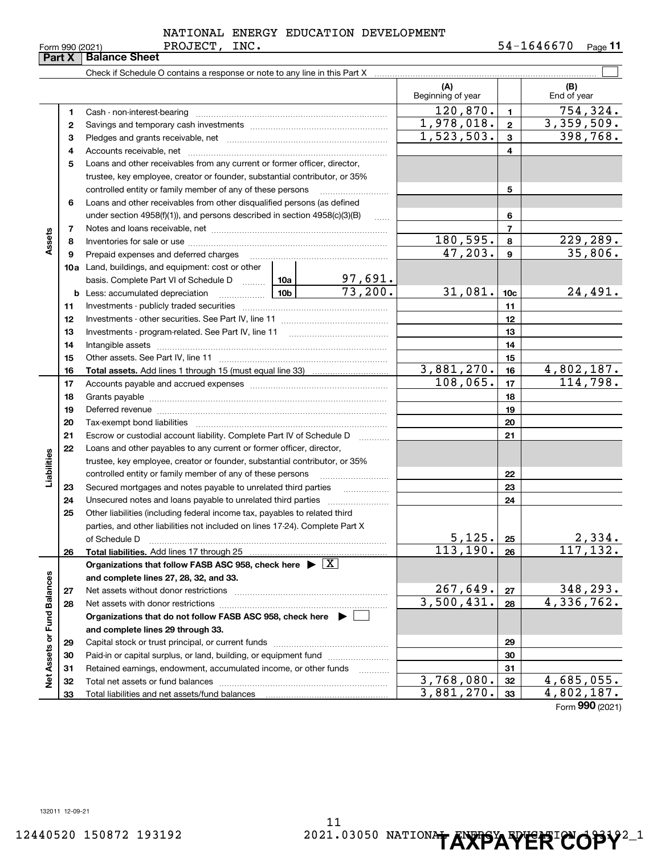|  | orm 990 (2021): |
|--|-----------------|

#### PROJECT, INC. NATIONAL ENERGY EDUCATION DEVELOPMENT

Form 990 (2021) PROJECT, INC. 5 4-1 6 4 6 6 7 0 <sub>Page</sub> 11

|                             | Part X   | <b>Balance Sheet</b>                                                                                             |                 |                           |                          |                 |                               |
|-----------------------------|----------|------------------------------------------------------------------------------------------------------------------|-----------------|---------------------------|--------------------------|-----------------|-------------------------------|
|                             |          |                                                                                                                  |                 |                           |                          |                 |                               |
|                             |          |                                                                                                                  |                 |                           | (A)<br>Beginning of year |                 | (B)<br>End of year            |
|                             | 1        |                                                                                                                  |                 |                           | 120,870.                 | $\mathbf{1}$    | 754,324.                      |
|                             | 2        |                                                                                                                  | 1,978,018.      | $\mathbf{2}$              | 3,359,509.               |                 |                               |
|                             | З        |                                                                                                                  |                 |                           | 1,523,503.               | $\mathbf{3}$    | 398,768.                      |
|                             | 4        |                                                                                                                  |                 |                           |                          | 4               |                               |
|                             | 5        | Loans and other receivables from any current or former officer, director,                                        |                 |                           |                          |                 |                               |
|                             |          | trustee, key employee, creator or founder, substantial contributor, or 35%                                       |                 |                           |                          |                 |                               |
|                             |          | controlled entity or family member of any of these persons                                                       |                 |                           |                          | 5               |                               |
|                             | 6        | Loans and other receivables from other disqualified persons (as defined                                          |                 |                           |                          |                 |                               |
|                             |          | under section $4958(f)(1)$ , and persons described in section $4958(c)(3)(B)$                                    |                 |                           |                          | 6               |                               |
|                             | 7        |                                                                                                                  |                 |                           |                          | $\overline{7}$  |                               |
| Assets                      | 8        |                                                                                                                  |                 |                           | <u>180,595.</u>          | 8               | <u>229,289.</u>               |
|                             | 9        | Prepaid expenses and deferred charges                                                                            |                 |                           | 47,203.                  | $\mathbf{9}$    | 35,806.                       |
|                             |          | <b>10a</b> Land, buildings, and equipment: cost or other                                                         |                 |                           |                          |                 |                               |
|                             |          | basis. Complete Part VI of Schedule D  10a                                                                       |                 | $\frac{97,691}{73,200}$ . |                          |                 |                               |
|                             |          | <b>b</b> Less: accumulated depreciation                                                                          | 10 <sub>b</sub> |                           | 31,081.                  | 10 <sub>c</sub> | 24,491.                       |
|                             | 11       |                                                                                                                  |                 |                           |                          | 11              |                               |
|                             | 12       |                                                                                                                  |                 |                           | 12                       |                 |                               |
|                             | 13       | Investments - program-related. See Part IV, line 11                                                              |                 |                           |                          | 13              |                               |
|                             | 14       |                                                                                                                  |                 | 14                        |                          |                 |                               |
|                             | 15       |                                                                                                                  |                 | 15                        |                          |                 |                               |
|                             | 16       |                                                                                                                  |                 |                           | 3,881,270.               | 16              | 4,802,187.                    |
|                             | 17       |                                                                                                                  | 108,065.        | 17                        | 114,798.                 |                 |                               |
|                             | 18       |                                                                                                                  |                 | 18                        |                          |                 |                               |
|                             | 19       | Deferred revenue manual contracts and contracts are all the contracts and contracts are contracted and contracts |                 |                           |                          | 19              |                               |
|                             | 20       |                                                                                                                  |                 |                           |                          | 20              |                               |
|                             | 21       | Escrow or custodial account liability. Complete Part IV of Schedule D                                            |                 |                           |                          | 21              |                               |
|                             | 22       | Loans and other payables to any current or former officer, director,                                             |                 |                           |                          |                 |                               |
| Liabilities                 |          | trustee, key employee, creator or founder, substantial contributor, or 35%                                       |                 |                           |                          |                 |                               |
|                             |          | controlled entity or family member of any of these persons                                                       |                 |                           |                          | 22              |                               |
|                             | 23       |                                                                                                                  |                 |                           |                          | 23              |                               |
|                             | 24       |                                                                                                                  |                 |                           |                          | 24              |                               |
|                             | 25       | Other liabilities (including federal income tax, payables to related third                                       |                 |                           |                          |                 |                               |
|                             |          | parties, and other liabilities not included on lines 17-24). Complete Part X                                     |                 |                           |                          |                 |                               |
|                             |          | of Schedule D                                                                                                    |                 |                           | 5,125.<br>113,190.       | 25              | 2,334.<br>117, 132.           |
|                             | 26       | Total liabilities. Add lines 17 through 25                                                                       |                 |                           |                          | 26              |                               |
|                             |          | Organizations that follow FASB ASC 958, check here $\blacktriangleright \boxed{X}$                               |                 |                           |                          |                 |                               |
|                             |          | and complete lines 27, 28, 32, and 33.                                                                           |                 |                           | 267,649.                 |                 |                               |
|                             | 27       | Net assets without donor restrictions                                                                            |                 |                           | 3,500,431.               | 27              | 348,293.<br>4,336,762.        |
|                             | 28       | Net assets with donor restrictions                                                                               |                 |                           |                          | 28              |                               |
|                             |          | Organizations that do not follow FASB ASC 958, check here $\blacktriangleright$ [                                |                 |                           |                          |                 |                               |
|                             |          | and complete lines 29 through 33.                                                                                |                 |                           |                          |                 |                               |
|                             | 29       | Paid-in or capital surplus, or land, building, or equipment fund                                                 |                 |                           |                          | 29              |                               |
|                             | 30       | Retained earnings, endowment, accumulated income, or other funds                                                 |                 |                           |                          | 30              |                               |
| Net Assets or Fund Balances | 31<br>32 | Total net assets or fund balances                                                                                |                 |                           | 3,768,080.               | 31<br>32        | 4,685,055.                    |
|                             | 33       | Total liabilities and net assets/fund balances                                                                   |                 |                           | 3,881,270.               | 33              | 4,802,187.                    |
|                             |          |                                                                                                                  |                 |                           |                          |                 | $F_{\text{arm}}$ 990 $(2021)$ |

Form (2021) **990**

132011 12-09-21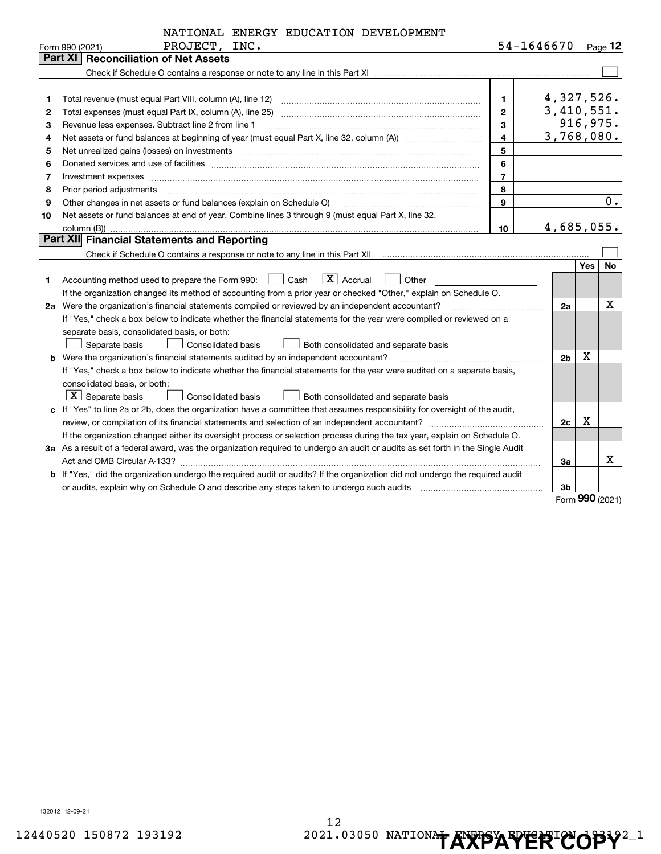|    | NATIONAL ENERGY EDUCATION DEVELOPMENT                                                                                                                                                                                          |                         |                          |     |           |
|----|--------------------------------------------------------------------------------------------------------------------------------------------------------------------------------------------------------------------------------|-------------------------|--------------------------|-----|-----------|
|    | PROJECT, INC.<br>Form 990 (2021)                                                                                                                                                                                               |                         | 54-1646670               |     | $Page$ 12 |
|    | Part XI<br><b>Reconciliation of Net Assets</b>                                                                                                                                                                                 |                         |                          |     |           |
|    |                                                                                                                                                                                                                                |                         |                          |     |           |
|    |                                                                                                                                                                                                                                |                         |                          |     |           |
| 1  |                                                                                                                                                                                                                                | 1.                      | 4,327,526.               |     |           |
| 2  |                                                                                                                                                                                                                                | $\mathbf{2}$            | $\overline{3,410,551}$ . |     |           |
| 3  | Revenue less expenses. Subtract line 2 from line 1                                                                                                                                                                             | 3                       |                          |     | 916,975.  |
| 4  |                                                                                                                                                                                                                                | $\overline{\mathbf{4}}$ | 3,768,080.               |     |           |
| 5  | Net unrealized gains (losses) on investments [11] matter contracts and the state of the state of the state of the state of the state of the state of the state of the state of the state of the state of the state of the stat | 5                       |                          |     |           |
| 6  |                                                                                                                                                                                                                                | 6                       |                          |     |           |
| 7  | Investment expenses www.communication.com/www.communication.com/www.communication.com/www.com                                                                                                                                  | $\overline{7}$          |                          |     |           |
| 8  | Prior period adjustments                                                                                                                                                                                                       | 8                       |                          |     |           |
| 9  | Other changes in net assets or fund balances (explain on Schedule O)                                                                                                                                                           | 9                       |                          |     | 0.        |
| 10 | Net assets or fund balances at end of year. Combine lines 3 through 9 (must equal Part X, line 32,                                                                                                                             |                         |                          |     |           |
|    | column (B))                                                                                                                                                                                                                    | 10                      | 4,685,055.               |     |           |
|    | Part XII Financial Statements and Reporting                                                                                                                                                                                    |                         |                          |     |           |
|    |                                                                                                                                                                                                                                |                         |                          |     |           |
|    |                                                                                                                                                                                                                                |                         |                          | Yes | <b>No</b> |
| 1  | $\boxed{\mathbf{X}}$ Accrual<br>Accounting method used to prepare the Form 990: <u>[16</u> ] Cash<br>Other                                                                                                                     |                         |                          |     |           |
|    | If the organization changed its method of accounting from a prior year or checked "Other," explain on Schedule O.                                                                                                              |                         |                          |     |           |
|    | 2a Were the organization's financial statements compiled or reviewed by an independent accountant?                                                                                                                             |                         | 2a                       |     | Х         |
|    | If "Yes," check a box below to indicate whether the financial statements for the year were compiled or reviewed on a                                                                                                           |                         |                          |     |           |
|    | separate basis, consolidated basis, or both:                                                                                                                                                                                   |                         |                          |     |           |
|    | Separate basis<br>Consolidated basis<br>Both consolidated and separate basis                                                                                                                                                   |                         |                          |     |           |
|    | <b>b</b> Were the organization's financial statements audited by an independent accountant?                                                                                                                                    |                         | 2 <sub>b</sub>           | x   |           |
|    | If "Yes," check a box below to indicate whether the financial statements for the year were audited on a separate basis,                                                                                                        |                         |                          |     |           |
|    | consolidated basis, or both:                                                                                                                                                                                                   |                         |                          |     |           |
|    | $\boxed{\textbf{X}}$ Separate basis<br>Consolidated basis<br>Both consolidated and separate basis                                                                                                                              |                         |                          |     |           |
|    | c If "Yes" to line 2a or 2b, does the organization have a committee that assumes responsibility for oversight of the audit,                                                                                                    |                         |                          |     |           |
|    |                                                                                                                                                                                                                                |                         | 2c                       | X   |           |
|    | If the organization changed either its oversight process or selection process during the tax year, explain on Schedule O.                                                                                                      |                         |                          |     |           |
|    | 3a As a result of a federal award, was the organization required to undergo an audit or audits as set forth in the Single Audit                                                                                                |                         |                          |     |           |
|    |                                                                                                                                                                                                                                |                         | За                       |     | x         |
|    | b If "Yes," did the organization undergo the required audit or audits? If the organization did not undergo the required audit                                                                                                  |                         |                          |     |           |
|    |                                                                                                                                                                                                                                |                         | 3b                       |     |           |

Form (2021) **990**

132012 12-09-21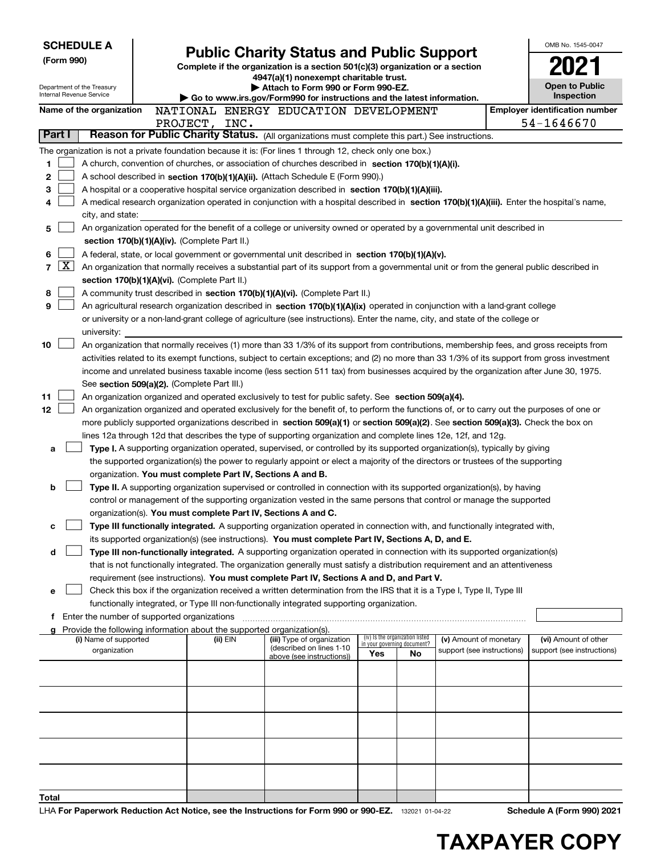| <b>SCHEDULE A</b><br>(Form 990)<br>Department of the Treasury<br>Internal Revenue Service |                                                                                                                                                                                                                                                                                                                                                                                                                                                                                                                                                                           | <b>Public Charity Status and Public Support</b><br>Complete if the organization is a section 501(c)(3) organization or a section<br>4947(a)(1) nonexempt charitable trust.<br>Attach to Form 990 or Form 990-EZ.<br>Go to www.irs.gov/Form990 for instructions and the latest information. |                                                                                    |                                                                                                                                                                                                                                                                                                                                                                                                                                   |     |                                   | OMB No. 1545-0047<br><b>Open to Public</b><br>Inspection |  |                                       |
|-------------------------------------------------------------------------------------------|---------------------------------------------------------------------------------------------------------------------------------------------------------------------------------------------------------------------------------------------------------------------------------------------------------------------------------------------------------------------------------------------------------------------------------------------------------------------------------------------------------------------------------------------------------------------------|--------------------------------------------------------------------------------------------------------------------------------------------------------------------------------------------------------------------------------------------------------------------------------------------|------------------------------------------------------------------------------------|-----------------------------------------------------------------------------------------------------------------------------------------------------------------------------------------------------------------------------------------------------------------------------------------------------------------------------------------------------------------------------------------------------------------------------------|-----|-----------------------------------|----------------------------------------------------------|--|---------------------------------------|
|                                                                                           | Name of the organization                                                                                                                                                                                                                                                                                                                                                                                                                                                                                                                                                  |                                                                                                                                                                                                                                                                                            |                                                                                    | NATIONAL ENERGY EDUCATION DEVELOPMENT                                                                                                                                                                                                                                                                                                                                                                                             |     |                                   |                                                          |  | <b>Employer identification number</b> |
| Part I                                                                                    |                                                                                                                                                                                                                                                                                                                                                                                                                                                                                                                                                                           |                                                                                                                                                                                                                                                                                            | PROJECT, INC.                                                                      | Reason for Public Charity Status. (All organizations must complete this part.) See instructions.                                                                                                                                                                                                                                                                                                                                  |     |                                   |                                                          |  | 54-1646670                            |
|                                                                                           |                                                                                                                                                                                                                                                                                                                                                                                                                                                                                                                                                                           |                                                                                                                                                                                                                                                                                            |                                                                                    |                                                                                                                                                                                                                                                                                                                                                                                                                                   |     |                                   |                                                          |  |                                       |
| 1<br>2<br>3<br>4                                                                          | The organization is not a private foundation because it is: (For lines 1 through 12, check only one box.)<br>A church, convention of churches, or association of churches described in section 170(b)(1)(A)(i).<br>A school described in section 170(b)(1)(A)(ii). (Attach Schedule E (Form 990).)<br>A hospital or a cooperative hospital service organization described in section 170(b)(1)(A)(iii).<br>A medical research organization operated in conjunction with a hospital described in section 170(b)(1)(A)(iii). Enter the hospital's name,<br>city, and state: |                                                                                                                                                                                                                                                                                            |                                                                                    |                                                                                                                                                                                                                                                                                                                                                                                                                                   |     |                                   |                                                          |  |                                       |
| 5                                                                                         |                                                                                                                                                                                                                                                                                                                                                                                                                                                                                                                                                                           |                                                                                                                                                                                                                                                                                            | section 170(b)(1)(A)(iv). (Complete Part II.)                                      | An organization operated for the benefit of a college or university owned or operated by a governmental unit described in                                                                                                                                                                                                                                                                                                         |     |                                   |                                                          |  |                                       |
| 6                                                                                         |                                                                                                                                                                                                                                                                                                                                                                                                                                                                                                                                                                           |                                                                                                                                                                                                                                                                                            |                                                                                    | A federal, state, or local government or governmental unit described in section $170(b)(1)(A)(v)$ .                                                                                                                                                                                                                                                                                                                               |     |                                   |                                                          |  |                                       |
| $\lfloor x \rfloor$<br>$\overline{7}$                                                     |                                                                                                                                                                                                                                                                                                                                                                                                                                                                                                                                                                           |                                                                                                                                                                                                                                                                                            |                                                                                    | An organization that normally receives a substantial part of its support from a governmental unit or from the general public described in                                                                                                                                                                                                                                                                                         |     |                                   |                                                          |  |                                       |
|                                                                                           |                                                                                                                                                                                                                                                                                                                                                                                                                                                                                                                                                                           |                                                                                                                                                                                                                                                                                            | section 170(b)(1)(A)(vi). (Complete Part II.)                                      |                                                                                                                                                                                                                                                                                                                                                                                                                                   |     |                                   |                                                          |  |                                       |
| 8                                                                                         |                                                                                                                                                                                                                                                                                                                                                                                                                                                                                                                                                                           |                                                                                                                                                                                                                                                                                            |                                                                                    | A community trust described in section 170(b)(1)(A)(vi). (Complete Part II.)                                                                                                                                                                                                                                                                                                                                                      |     |                                   |                                                          |  |                                       |
| 9                                                                                         | university:                                                                                                                                                                                                                                                                                                                                                                                                                                                                                                                                                               |                                                                                                                                                                                                                                                                                            |                                                                                    | An agricultural research organization described in section 170(b)(1)(A)(ix) operated in conjunction with a land-grant college<br>or university or a non-land-grant college of agriculture (see instructions). Enter the name, city, and state of the college or                                                                                                                                                                   |     |                                   |                                                          |  |                                       |
| 10                                                                                        |                                                                                                                                                                                                                                                                                                                                                                                                                                                                                                                                                                           |                                                                                                                                                                                                                                                                                            | See section 509(a)(2). (Complete Part III.)                                        | An organization that normally receives (1) more than 33 1/3% of its support from contributions, membership fees, and gross receipts from<br>activities related to its exempt functions, subject to certain exceptions; and (2) no more than 33 1/3% of its support from gross investment<br>income and unrelated business taxable income (less section 511 tax) from businesses acquired by the organization after June 30, 1975. |     |                                   |                                                          |  |                                       |
| 11                                                                                        |                                                                                                                                                                                                                                                                                                                                                                                                                                                                                                                                                                           |                                                                                                                                                                                                                                                                                            |                                                                                    | An organization organized and operated exclusively to test for public safety. See section 509(a)(4).                                                                                                                                                                                                                                                                                                                              |     |                                   |                                                          |  |                                       |
| 12                                                                                        |                                                                                                                                                                                                                                                                                                                                                                                                                                                                                                                                                                           |                                                                                                                                                                                                                                                                                            |                                                                                    | An organization organized and operated exclusively for the benefit of, to perform the functions of, or to carry out the purposes of one or                                                                                                                                                                                                                                                                                        |     |                                   |                                                          |  |                                       |
|                                                                                           |                                                                                                                                                                                                                                                                                                                                                                                                                                                                                                                                                                           |                                                                                                                                                                                                                                                                                            |                                                                                    | more publicly supported organizations described in section 509(a)(1) or section 509(a)(2). See section 509(a)(3). Check the box on                                                                                                                                                                                                                                                                                                |     |                                   |                                                          |  |                                       |
|                                                                                           |                                                                                                                                                                                                                                                                                                                                                                                                                                                                                                                                                                           |                                                                                                                                                                                                                                                                                            |                                                                                    | lines 12a through 12d that describes the type of supporting organization and complete lines 12e, 12f, and 12g.                                                                                                                                                                                                                                                                                                                    |     |                                   |                                                          |  |                                       |
| a                                                                                         |                                                                                                                                                                                                                                                                                                                                                                                                                                                                                                                                                                           |                                                                                                                                                                                                                                                                                            |                                                                                    | Type I. A supporting organization operated, supervised, or controlled by its supported organization(s), typically by giving                                                                                                                                                                                                                                                                                                       |     |                                   |                                                          |  |                                       |
|                                                                                           |                                                                                                                                                                                                                                                                                                                                                                                                                                                                                                                                                                           |                                                                                                                                                                                                                                                                                            |                                                                                    | the supported organization(s) the power to regularly appoint or elect a majority of the directors or trustees of the supporting                                                                                                                                                                                                                                                                                                   |     |                                   |                                                          |  |                                       |
|                                                                                           |                                                                                                                                                                                                                                                                                                                                                                                                                                                                                                                                                                           |                                                                                                                                                                                                                                                                                            | organization. You must complete Part IV, Sections A and B.                         |                                                                                                                                                                                                                                                                                                                                                                                                                                   |     |                                   |                                                          |  |                                       |
| b                                                                                         |                                                                                                                                                                                                                                                                                                                                                                                                                                                                                                                                                                           |                                                                                                                                                                                                                                                                                            |                                                                                    | Type II. A supporting organization supervised or controlled in connection with its supported organization(s), by having                                                                                                                                                                                                                                                                                                           |     |                                   |                                                          |  |                                       |
|                                                                                           |                                                                                                                                                                                                                                                                                                                                                                                                                                                                                                                                                                           |                                                                                                                                                                                                                                                                                            |                                                                                    | control or management of the supporting organization vested in the same persons that control or manage the supported                                                                                                                                                                                                                                                                                                              |     |                                   |                                                          |  |                                       |
|                                                                                           |                                                                                                                                                                                                                                                                                                                                                                                                                                                                                                                                                                           |                                                                                                                                                                                                                                                                                            | organization(s). You must complete Part IV, Sections A and C.                      | Type III functionally integrated. A supporting organization operated in connection with, and functionally integrated with,                                                                                                                                                                                                                                                                                                        |     |                                   |                                                          |  |                                       |
|                                                                                           |                                                                                                                                                                                                                                                                                                                                                                                                                                                                                                                                                                           |                                                                                                                                                                                                                                                                                            |                                                                                    | its supported organization(s) (see instructions). You must complete Part IV, Sections A, D, and E.                                                                                                                                                                                                                                                                                                                                |     |                                   |                                                          |  |                                       |
| d                                                                                         |                                                                                                                                                                                                                                                                                                                                                                                                                                                                                                                                                                           |                                                                                                                                                                                                                                                                                            |                                                                                    | Type III non-functionally integrated. A supporting organization operated in connection with its supported organization(s)                                                                                                                                                                                                                                                                                                         |     |                                   |                                                          |  |                                       |
|                                                                                           |                                                                                                                                                                                                                                                                                                                                                                                                                                                                                                                                                                           |                                                                                                                                                                                                                                                                                            |                                                                                    | that is not functionally integrated. The organization generally must satisfy a distribution requirement and an attentiveness                                                                                                                                                                                                                                                                                                      |     |                                   |                                                          |  |                                       |
|                                                                                           |                                                                                                                                                                                                                                                                                                                                                                                                                                                                                                                                                                           |                                                                                                                                                                                                                                                                                            |                                                                                    | requirement (see instructions). You must complete Part IV, Sections A and D, and Part V.                                                                                                                                                                                                                                                                                                                                          |     |                                   |                                                          |  |                                       |
| е                                                                                         |                                                                                                                                                                                                                                                                                                                                                                                                                                                                                                                                                                           |                                                                                                                                                                                                                                                                                            |                                                                                    | Check this box if the organization received a written determination from the IRS that it is a Type I, Type II, Type III                                                                                                                                                                                                                                                                                                           |     |                                   |                                                          |  |                                       |
|                                                                                           |                                                                                                                                                                                                                                                                                                                                                                                                                                                                                                                                                                           |                                                                                                                                                                                                                                                                                            |                                                                                    | functionally integrated, or Type III non-functionally integrated supporting organization.                                                                                                                                                                                                                                                                                                                                         |     |                                   |                                                          |  |                                       |
|                                                                                           |                                                                                                                                                                                                                                                                                                                                                                                                                                                                                                                                                                           |                                                                                                                                                                                                                                                                                            |                                                                                    |                                                                                                                                                                                                                                                                                                                                                                                                                                   |     |                                   |                                                          |  |                                       |
|                                                                                           | (i) Name of supported                                                                                                                                                                                                                                                                                                                                                                                                                                                                                                                                                     |                                                                                                                                                                                                                                                                                            | Provide the following information about the supported organization(s).<br>(ii) EIN | (iii) Type of organization                                                                                                                                                                                                                                                                                                                                                                                                        |     | (iv) Is the organization listed   | (v) Amount of monetary                                   |  | (vi) Amount of other                  |
|                                                                                           | organization                                                                                                                                                                                                                                                                                                                                                                                                                                                                                                                                                              |                                                                                                                                                                                                                                                                                            |                                                                                    | (described on lines 1-10                                                                                                                                                                                                                                                                                                                                                                                                          | Yes | in your governing document?<br>No | support (see instructions)                               |  | support (see instructions)            |
|                                                                                           |                                                                                                                                                                                                                                                                                                                                                                                                                                                                                                                                                                           |                                                                                                                                                                                                                                                                                            |                                                                                    | above (see instructions))                                                                                                                                                                                                                                                                                                                                                                                                         |     |                                   |                                                          |  |                                       |
|                                                                                           |                                                                                                                                                                                                                                                                                                                                                                                                                                                                                                                                                                           |                                                                                                                                                                                                                                                                                            |                                                                                    |                                                                                                                                                                                                                                                                                                                                                                                                                                   |     |                                   |                                                          |  |                                       |
|                                                                                           |                                                                                                                                                                                                                                                                                                                                                                                                                                                                                                                                                                           |                                                                                                                                                                                                                                                                                            |                                                                                    |                                                                                                                                                                                                                                                                                                                                                                                                                                   |     |                                   |                                                          |  |                                       |
|                                                                                           |                                                                                                                                                                                                                                                                                                                                                                                                                                                                                                                                                                           |                                                                                                                                                                                                                                                                                            |                                                                                    |                                                                                                                                                                                                                                                                                                                                                                                                                                   |     |                                   |                                                          |  |                                       |
|                                                                                           |                                                                                                                                                                                                                                                                                                                                                                                                                                                                                                                                                                           |                                                                                                                                                                                                                                                                                            |                                                                                    |                                                                                                                                                                                                                                                                                                                                                                                                                                   |     |                                   |                                                          |  |                                       |
|                                                                                           |                                                                                                                                                                                                                                                                                                                                                                                                                                                                                                                                                                           |                                                                                                                                                                                                                                                                                            |                                                                                    |                                                                                                                                                                                                                                                                                                                                                                                                                                   |     |                                   |                                                          |  |                                       |
|                                                                                           |                                                                                                                                                                                                                                                                                                                                                                                                                                                                                                                                                                           |                                                                                                                                                                                                                                                                                            |                                                                                    |                                                                                                                                                                                                                                                                                                                                                                                                                                   |     |                                   |                                                          |  |                                       |
| Total                                                                                     |                                                                                                                                                                                                                                                                                                                                                                                                                                                                                                                                                                           |                                                                                                                                                                                                                                                                                            |                                                                                    |                                                                                                                                                                                                                                                                                                                                                                                                                                   |     |                                   |                                                          |  |                                       |

|  | LHA For Paperwork Reduction Act Notice, see the Instructions for Form 990 or 990-EZ. 132021 01-04-22 |  |
|--|------------------------------------------------------------------------------------------------------|--|
|--|------------------------------------------------------------------------------------------------------|--|

**Schedule A (Form 990) 2021** 

## **TAXPAYER COPY**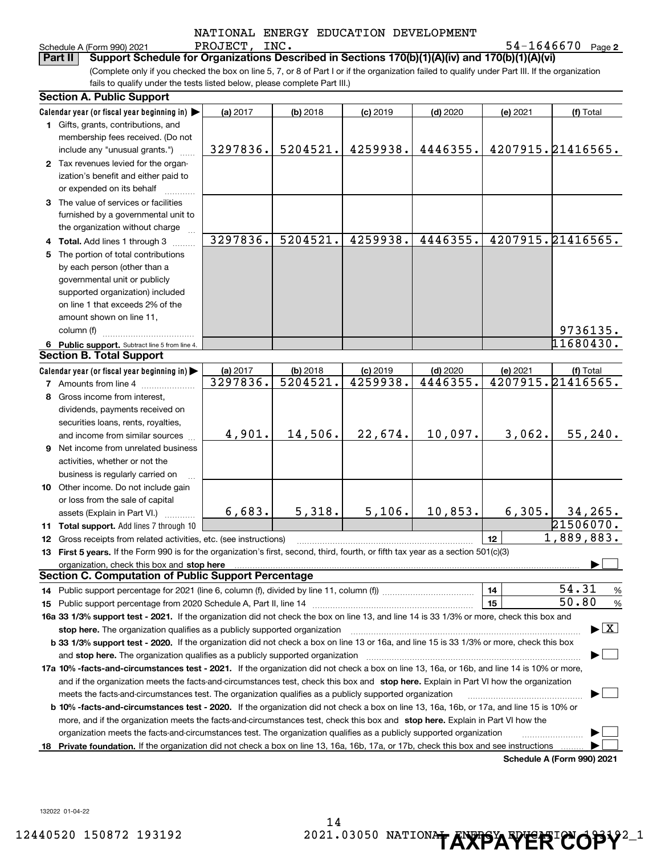|        |  | NATIONAL ENERGY EDUCATION DEVELOPMENT |
|--------|--|---------------------------------------|
| ------ |  |                                       |

**2**PROJECT, INC. 54-1646670 Schedule A (Form 990) 2021 P.ROJ ECT, I.NC 。 5 4-I 6 4 6 6 7 U Page

|         | hedule A (Form 990): |  |
|---------|----------------------|--|
| _______ |                      |  |

**Part II Support Schedule for Organizations Described in Sections 170(b)(1)(A)(iv) and 170(b)(1)(A)(vi)**

(Complete only if you checked the box on line 5, 7, or 8 of Part I or if the organization failed to qualify under Part III. If the organization fails to qualify under the tests listed below, please complete Part III.)

|     | <b>Section A. Public Support</b>                                                                                                               |          |            |            |            |                 |                                          |
|-----|------------------------------------------------------------------------------------------------------------------------------------------------|----------|------------|------------|------------|-----------------|------------------------------------------|
|     | Calendar year (or fiscal year beginning in)                                                                                                    | (a) 2017 | $(b)$ 2018 | $(c)$ 2019 | $(d)$ 2020 | (e) 2021        | (f) Total                                |
|     | 1 Gifts, grants, contributions, and<br>membership fees received. (Do not                                                                       |          |            |            |            |                 |                                          |
|     | include any "unusual grants.")                                                                                                                 | 3297836. | 5204521.   | 4259938.   | 4446355.   |                 | 4207915.21416565.                        |
|     | 2 Tax revenues levied for the organ-                                                                                                           |          |            |            |            |                 |                                          |
|     | ization's benefit and either paid to                                                                                                           |          |            |            |            |                 |                                          |
|     | or expended on its behalf                                                                                                                      |          |            |            |            |                 |                                          |
|     | 3 The value of services or facilities                                                                                                          |          |            |            |            |                 |                                          |
|     | furnished by a governmental unit to                                                                                                            |          |            |            |            |                 |                                          |
|     | the organization without charge                                                                                                                |          |            |            |            |                 |                                          |
|     | 4 Total. Add lines 1 through 3                                                                                                                 | 3297836. | 5204521.   | 4259938.   | 4446355.   |                 | 4207915.21416565.                        |
| 5   | The portion of total contributions                                                                                                             |          |            |            |            |                 |                                          |
|     | by each person (other than a                                                                                                                   |          |            |            |            |                 |                                          |
|     | governmental unit or publicly                                                                                                                  |          |            |            |            |                 |                                          |
|     | supported organization) included                                                                                                               |          |            |            |            |                 |                                          |
|     | on line 1 that exceeds 2% of the                                                                                                               |          |            |            |            |                 |                                          |
|     | amount shown on line 11,                                                                                                                       |          |            |            |            |                 |                                          |
|     | column (f)                                                                                                                                     |          |            |            |            |                 | 9736135.                                 |
|     | 6 Public support. Subtract line 5 from line 4.                                                                                                 |          |            |            |            |                 | 11680430.                                |
|     | <b>Section B. Total Support</b>                                                                                                                |          |            |            |            |                 |                                          |
|     | Calendar year (or fiscal year beginning in)                                                                                                    | (a) 2017 | $(b)$ 2018 | $(c)$ 2019 | $(d)$ 2020 | (e) 2021        | (f) Total                                |
|     | <b>7</b> Amounts from line 4                                                                                                                   | 3297836. | 5204521.   | 4259938.   | 4446355.   |                 | 4207915.21416565.                        |
|     | 8 Gross income from interest,                                                                                                                  |          |            |            |            |                 |                                          |
|     | dividends, payments received on                                                                                                                |          |            |            |            |                 |                                          |
|     | securities loans, rents, royalties,                                                                                                            |          |            |            |            |                 |                                          |
|     | and income from similar sources                                                                                                                | 4,901.   | 14,506.    | 22,674.    | 10,097.    | 3,062.          | 55, 240.                                 |
|     | <b>9</b> Net income from unrelated business                                                                                                    |          |            |            |            |                 |                                          |
|     | activities, whether or not the                                                                                                                 |          |            |            |            |                 |                                          |
|     | business is regularly carried on                                                                                                               |          |            |            |            |                 |                                          |
|     | 10 Other income. Do not include gain                                                                                                           |          |            |            |            |                 |                                          |
|     | or loss from the sale of capital                                                                                                               |          |            |            |            |                 |                                          |
|     | assets (Explain in Part VI.)                                                                                                                   | 6,683.   | 5,318.     | 5,106.     | 10,853.    | 6,305.          | 34, 265.                                 |
|     | 11 Total support. Add lines 7 through 10                                                                                                       |          |            |            |            |                 | 21506070.                                |
|     | <b>12</b> Gross receipts from related activities, etc. (see instructions)                                                                      |          |            |            |            | 12 <sup>2</sup> | 1,889,883.                               |
|     | 13 First 5 years. If the Form 990 is for the organization's first, second, third, fourth, or fifth tax year as a section 501(c)(3)             |          |            |            |            |                 |                                          |
|     | organization, check this box and stop here                                                                                                     |          |            |            |            |                 |                                          |
|     | <b>Section C. Computation of Public Support Percentage</b>                                                                                     |          |            |            |            |                 |                                          |
|     |                                                                                                                                                |          |            |            |            | 14              | 54.31<br>%                               |
|     |                                                                                                                                                |          |            |            |            | 15              | 50.80<br>%                               |
|     | 16a 33 1/3% support test - 2021. If the organization did not check the box on line 13, and line 14 is 33 1/3% or more, check this box and      |          |            |            |            |                 |                                          |
|     | stop here. The organization qualifies as a publicly supported organization                                                                     |          |            |            |            |                 | $\blacktriangleright$ $\boxed{\text{X}}$ |
|     | b 33 1/3% support test - 2020. If the organization did not check a box on line 13 or 16a, and line 15 is 33 1/3% or more, check this box       |          |            |            |            |                 |                                          |
|     | and <b>stop here.</b> The organization qualifies as a publicly supported organization                                                          |          |            |            |            |                 |                                          |
|     | 17a 10% -facts-and-circumstances test - 2021. If the organization did not check a box on line 13, 16a, or 16b, and line 14 is 10% or more,     |          |            |            |            |                 |                                          |
|     | and if the organization meets the facts-and-circumstances test, check this box and stop here. Explain in Part VI how the organization          |          |            |            |            |                 |                                          |
|     | meets the facts-and-circumstances test. The organization qualifies as a publicly supported organization                                        |          |            |            |            |                 |                                          |
|     | <b>b 10% -facts-and-circumstances test - 2020.</b> If the organization did not check a box on line 13, 16a, 16b, or 17a, and line 15 is 10% or |          |            |            |            |                 |                                          |
|     | more, and if the organization meets the facts-and-circumstances test, check this box and stop here. Explain in Part VI how the                 |          |            |            |            |                 |                                          |
|     | organization meets the facts-and-circumstances test. The organization qualifies as a publicly supported organization                           |          |            |            |            |                 |                                          |
| 18. | Private foundation. If the organization did not check a box on line 13, 16a, 16b, 17a, or 17b, check this box and see instructions             |          |            |            |            |                 |                                          |
|     |                                                                                                                                                |          |            |            |            |                 | Schedule A (Form 990) 2021               |

132022 01-04-22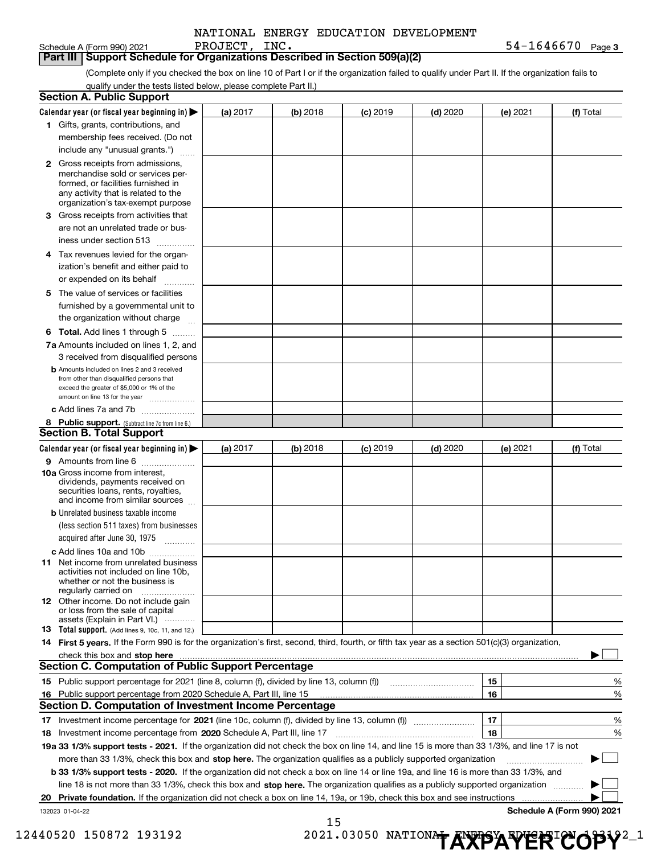Schedule A (Form 990) 2021 PROJECT,INC . 54-1646670 <sub>Page 3</sub>

|  |  |  | Part III   Support Schedule for Organizations Described in Section 509(a)(2) |  |  |  |
|--|--|--|------------------------------------------------------------------------------|--|--|--|
|--|--|--|------------------------------------------------------------------------------|--|--|--|

Part III Support Schedule for Organizations Described in Section 509(a)(2)<br>Complete only if you checked the box on line 10 of Part I or if the organization failed to qualify under Part II. If the organization fails to qualify under the tests listed below, please complete Part II.)

|    | <b>Section A. Public Support</b>                                                                                                                                                                |          |          |            |            |          |                            |   |
|----|-------------------------------------------------------------------------------------------------------------------------------------------------------------------------------------------------|----------|----------|------------|------------|----------|----------------------------|---|
|    | Calendar year (or fiscal year beginning in) $\blacktriangleright$                                                                                                                               | (a) 2017 | (b) 2018 | $(c)$ 2019 | $(d)$ 2020 | (e) 2021 | (f) Total                  |   |
|    | 1 Gifts, grants, contributions, and                                                                                                                                                             |          |          |            |            |          |                            |   |
|    | membership fees received. (Do not                                                                                                                                                               |          |          |            |            |          |                            |   |
|    | include any "unusual grants.")                                                                                                                                                                  |          |          |            |            |          |                            |   |
|    | <b>2</b> Gross receipts from admissions,<br>merchandise sold or services per-<br>formed, or facilities furnished in<br>any activity that is related to the<br>organization's tax-exempt purpose |          |          |            |            |          |                            |   |
|    | 3 Gross receipts from activities that                                                                                                                                                           |          |          |            |            |          |                            |   |
|    | are not an unrelated trade or bus-                                                                                                                                                              |          |          |            |            |          |                            |   |
|    | iness under section 513                                                                                                                                                                         |          |          |            |            |          |                            |   |
|    | 4 Tax revenues levied for the organ-                                                                                                                                                            |          |          |            |            |          |                            |   |
|    | ization's benefit and either paid to                                                                                                                                                            |          |          |            |            |          |                            |   |
|    | or expended on its behalf                                                                                                                                                                       |          |          |            |            |          |                            |   |
|    | .                                                                                                                                                                                               |          |          |            |            |          |                            |   |
|    | 5 The value of services or facilities                                                                                                                                                           |          |          |            |            |          |                            |   |
|    | furnished by a governmental unit to                                                                                                                                                             |          |          |            |            |          |                            |   |
|    | the organization without charge                                                                                                                                                                 |          |          |            |            |          |                            |   |
|    | <b>6 Total.</b> Add lines 1 through 5                                                                                                                                                           |          |          |            |            |          |                            |   |
|    | 7a Amounts included on lines 1, 2, and                                                                                                                                                          |          |          |            |            |          |                            |   |
|    | 3 received from disqualified persons                                                                                                                                                            |          |          |            |            |          |                            |   |
|    | <b>b</b> Amounts included on lines 2 and 3 received<br>from other than disqualified persons that<br>exceed the greater of \$5,000 or 1% of the<br>amount on line 13 for the year                |          |          |            |            |          |                            |   |
|    | c Add lines 7a and 7b                                                                                                                                                                           |          |          |            |            |          |                            |   |
|    | 8 Public support. (Subtract line 7c from line 6.)                                                                                                                                               |          |          |            |            |          |                            |   |
|    | Section B. Total Support                                                                                                                                                                        |          |          |            |            |          |                            |   |
|    | Calendar year (or fiscal year beginning in)                                                                                                                                                     | (a) 2017 | (b) 2018 | $(c)$ 2019 | $(d)$ 2020 | (e) 2021 | (f) Total                  |   |
|    | 9 Amounts from line 6                                                                                                                                                                           |          |          |            |            |          |                            |   |
|    | <b>10a</b> Gross income from interest,<br>dividends, payments received on<br>securities loans, rents, royalties,<br>and income from similar sources                                             |          |          |            |            |          |                            |   |
|    | <b>b</b> Unrelated business taxable income                                                                                                                                                      |          |          |            |            |          |                            |   |
|    | (less section 511 taxes) from businesses                                                                                                                                                        |          |          |            |            |          |                            |   |
|    | acquired after June 30, 1975                                                                                                                                                                    |          |          |            |            |          |                            |   |
|    | c Add lines 10a and 10b                                                                                                                                                                         |          |          |            |            |          |                            |   |
|    | <b>11</b> Net income from unrelated business<br>activities not included on line 10b,<br>whether or not the business is<br>regularly carried on                                                  |          |          |            |            |          |                            |   |
|    | <b>12</b> Other income. Do not include gain<br>or loss from the sale of capital<br>assets (Explain in Part VI.)                                                                                 |          |          |            |            |          |                            |   |
|    | 13 Total support. (Add lines 9, 10c, 11, and 12.)                                                                                                                                               |          |          |            |            |          |                            |   |
|    | 14 First 5 years. If the Form 990 is for the organization's first, second, third, fourth, or fifth tax year as a section 501(c)(3) organization,                                                |          |          |            |            |          |                            |   |
|    | check this box and stop here <i>macuum macuum macuum macuum macuum macuum macuum macuum macuum</i>                                                                                              |          |          |            |            |          |                            |   |
|    | <b>Section C. Computation of Public Support Percentage</b>                                                                                                                                      |          |          |            |            |          |                            |   |
|    | 15 Public support percentage for 2021 (line 8, column (f), divided by line 13, column (f))                                                                                                      |          |          |            |            | 15       |                            | % |
|    | 16 Public support percentage from 2020 Schedule A, Part III, line 15                                                                                                                            |          |          |            |            | 16       |                            | % |
|    | <b>Section D. Computation of Investment Income Percentage</b>                                                                                                                                   |          |          |            |            |          |                            |   |
|    |                                                                                                                                                                                                 |          |          |            |            |          |                            |   |
|    | 17 Investment income percentage for 2021 (line 10c, column (f), divided by line 13, column (f))                                                                                                 |          |          |            |            | 17       |                            | % |
|    | 18 Investment income percentage from 2020 Schedule A, Part III, line 17                                                                                                                         |          |          |            |            | 18       |                            | % |
|    | 19a 33 1/3% support tests - 2021. If the organization did not check the box on line 14, and line 15 is more than 33 1/3%, and line 17 is not                                                    |          |          |            |            |          |                            |   |
|    | more than 33 1/3%, check this box and stop here. The organization qualifies as a publicly supported organization                                                                                |          |          |            |            |          |                            |   |
|    | b 33 1/3% support tests - 2020. If the organization did not check a box on line 14 or line 19a, and line 16 is more than 33 1/3%, and                                                           |          |          |            |            |          |                            |   |
|    | line 18 is not more than 33 1/3%, check this box and stop here. The organization qualifies as a publicly supported organization                                                                 |          |          |            |            |          |                            |   |
| 20 | Private foundation. If the organization did not check a box on line 14, 19a, or 19b, check this box and see instructions                                                                        |          |          |            |            |          |                            |   |
|    | 132023 01-04-22                                                                                                                                                                                 |          |          |            |            |          | Schedule A (Form 990) 2021 |   |

15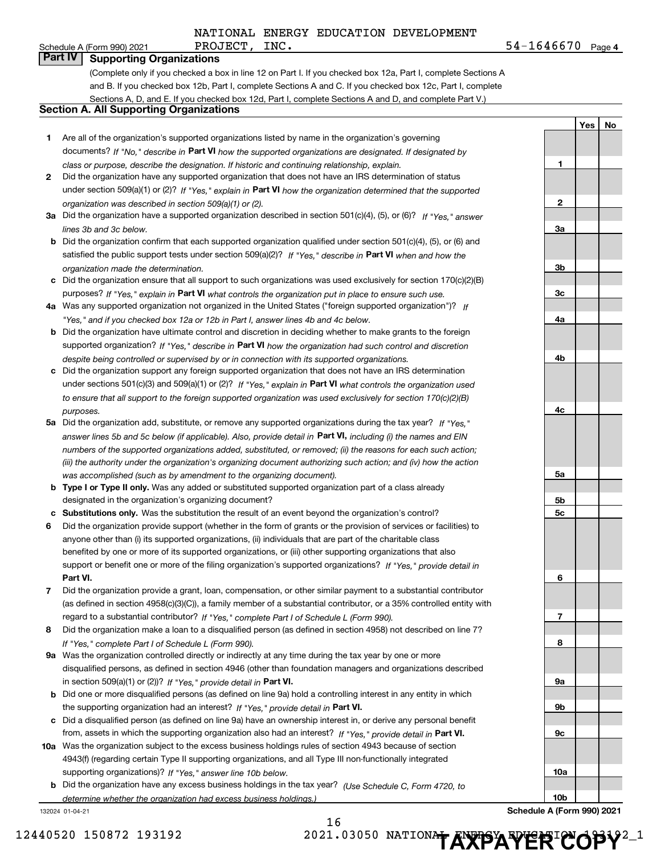**4**PROJECT, INC. 54-1646670

**Yes No**

#### Schedule A (Form 990) 2021 PROJECT,  $INC$ . **Part IV Supporting Organizations**

(Complete only if you checked a box in line 12 on Part I. If you checked box 12a, Part I, complete Sections A

and B. If you checked box 12b, Part I, complete Sections A and C. If you checked box 12c, Part I, complete

Sections A, D, and E. If you checked box 12d, Part I, complete Sections A and D, and complete Part V.)

#### **Section A. All Supporting Organizations**

- **1** Are all of the organization's supported organizations listed by name in the organization's governing documents? If "No," describe in **Part VI** how the supported organizations are designated. If designated by *class or purpose, describe the designation. If historic and continuing relationship, explain.*
- **2** Did the organization have any supported organization that does not have an IRS determination of status under section 509(a)(1) or (2)? If "Yes," explain in Part VI how the organization determined that the supported *organization was described in section 509(a)(1) or (2).*
- **3a** Did the organization have a supported organization described in section 501(c)(4), (5), or (6)? If "Yes," answer *lines 3b and 3c below.*
- **b** Did the organization confirm that each supported organization qualified under section 501(c)(4), (5), or (6) and satisfied the public support tests under section 509(a)(2)? If "Yes," describe in **Part VI** when and how the *organization made the determination.*
- **c**Did the organization ensure that all support to such organizations was used exclusively for section 170(c)(2)(B) purposes? If "Yes," explain in **Part VI** what controls the organization put in place to ensure such use.
- **4a***If* Was any supported organization not organized in the United States ("foreign supported organization")? *"Yes," and if you checked box 12a or 12b in Part I, answer lines 4b and 4c below.*
- **b** Did the organization have ultimate control and discretion in deciding whether to make grants to the foreign supported organization? If "Yes," describe in **Part VI** how the organization had such control and discretion *despite being controlled or supervised by or in connection with its supported organizations.*
- **c** Did the organization support any foreign supported organization that does not have an IRS determination under sections 501(c)(3) and 509(a)(1) or (2)? If "Yes," explain in **Part VI** what controls the organization used *to ensure that all support to the foreign supported organization was used exclusively for section 170(c)(2)(B) purposes.*
- **5a** Did the organization add, substitute, or remove any supported organizations during the tax year? If "Yes," answer lines 5b and 5c below (if applicable). Also, provide detail in **Part VI,** including (i) the names and EIN *numbers of the supported organizations added, substituted, or removed; (ii) the reasons for each such action; (iii) the authority under the organization's organizing document authorizing such action; and (iv) how the action was accomplished (such as by amendment to the organizing document).*
- **b** Type I or Type II only. Was any added or substituted supported organization part of a class already designated in the organization's organizing document?
- **cSubstitutions only.**  Was the substitution the result of an event beyond the organization's control?
- **6** Did the organization provide support (whether in the form of grants or the provision of services or facilities) to **Part VI.** *If "Yes," provide detail in* support or benefit one or more of the filing organization's supported organizations? anyone other than (i) its supported organizations, (ii) individuals that are part of the charitable class benefited by one or more of its supported organizations, or (iii) other supporting organizations that also
- **7**Did the organization provide a grant, loan, compensation, or other similar payment to a substantial contributor *If "Yes," complete Part I of Schedule L (Form 990).* regard to a substantial contributor? (as defined in section 4958(c)(3)(C)), a family member of a substantial contributor, or a 35% controlled entity with
- **8** Did the organization make a loan to a disqualified person (as defined in section 4958) not described on line 7? *If "Yes," complete Part I of Schedule L (Form 990).*
- **9a** Was the organization controlled directly or indirectly at any time during the tax year by one or more in section 509(a)(1) or (2))? If "Yes," *provide detail in* <code>Part VI.</code> disqualified persons, as defined in section 4946 (other than foundation managers and organizations described
- **b**the supporting organization had an interest? If "Yes," provide detail in P**art VI**. Did one or more disqualified persons (as defined on line 9a) hold a controlling interest in any entity in which
- **c**Did a disqualified person (as defined on line 9a) have an ownership interest in, or derive any personal benefit from, assets in which the supporting organization also had an interest? If "Yes," provide detail in P**art VI.**
- **10a** Was the organization subject to the excess business holdings rules of section 4943 because of section supporting organizations)? If "Yes," answer line 10b below. 4943(f) (regarding certain Type II supporting organizations, and all Type III non-functionally integrated
- **b** Did the organization have any excess business holdings in the tax year? (Use Schedule C, Form 4720, to *determine whether the organization had excess business holdings.)*

132024 01-04-21

16

**123a3b3c4a4b4c5a 5b5c6789a 9b9c10a10bSchedule A (Form 990) 2021**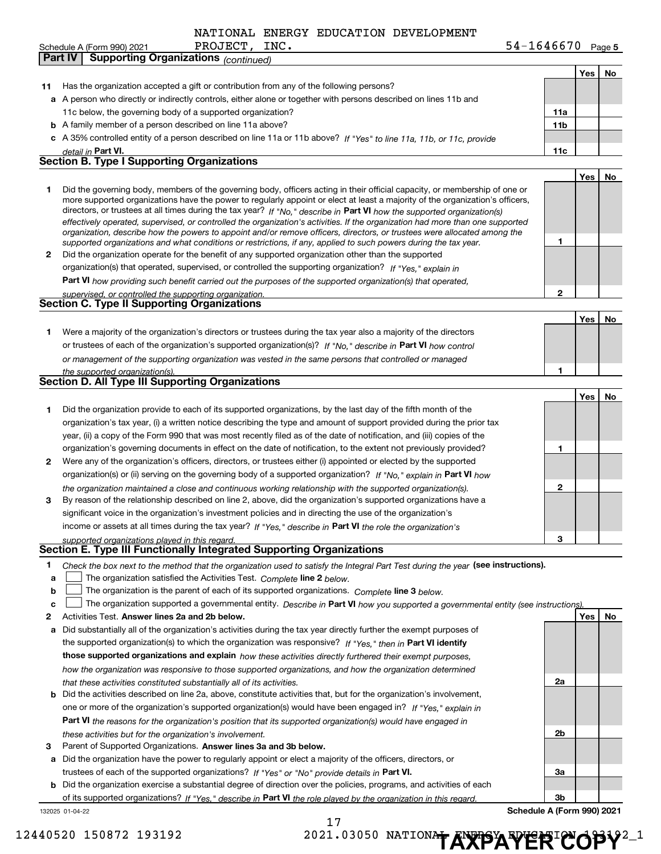|  |  |  |  | NATIONAL ENERGY EDUCATION DEVELOPMENT |
|--|--|--|--|---------------------------------------|
|--|--|--|--|---------------------------------------|

|        | Schedule A (Form 990) 2021                                                                                             | PROJECT, INC. |                                                                                                                                                                                                                                                                                                                                                                                                                                                                                                                                                                                                                                                                                                                                                                          | $54 - 1646670$ Page 5 |            |     |
|--------|------------------------------------------------------------------------------------------------------------------------|---------------|--------------------------------------------------------------------------------------------------------------------------------------------------------------------------------------------------------------------------------------------------------------------------------------------------------------------------------------------------------------------------------------------------------------------------------------------------------------------------------------------------------------------------------------------------------------------------------------------------------------------------------------------------------------------------------------------------------------------------------------------------------------------------|-----------------------|------------|-----|
|        | <b>Supporting Organizations (continued)</b><br>Part IV                                                                 |               |                                                                                                                                                                                                                                                                                                                                                                                                                                                                                                                                                                                                                                                                                                                                                                          |                       |            |     |
|        |                                                                                                                        |               |                                                                                                                                                                                                                                                                                                                                                                                                                                                                                                                                                                                                                                                                                                                                                                          |                       | Yes        | No  |
| 11     | Has the organization accepted a gift or contribution from any of the following persons?                                |               |                                                                                                                                                                                                                                                                                                                                                                                                                                                                                                                                                                                                                                                                                                                                                                          |                       |            |     |
|        |                                                                                                                        |               | a A person who directly or indirectly controls, either alone or together with persons described on lines 11b and                                                                                                                                                                                                                                                                                                                                                                                                                                                                                                                                                                                                                                                         |                       |            |     |
|        | 11c below, the governing body of a supported organization?                                                             |               |                                                                                                                                                                                                                                                                                                                                                                                                                                                                                                                                                                                                                                                                                                                                                                          | 11a                   |            |     |
|        | <b>b</b> A family member of a person described on line 11a above?                                                      |               |                                                                                                                                                                                                                                                                                                                                                                                                                                                                                                                                                                                                                                                                                                                                                                          | 11 <sub>b</sub>       |            |     |
|        |                                                                                                                        |               | c A 35% controlled entity of a person described on line 11a or 11b above? If "Yes" to line 11a, 11b, or 11c, provide                                                                                                                                                                                                                                                                                                                                                                                                                                                                                                                                                                                                                                                     |                       |            |     |
|        | detail in Part VI.                                                                                                     |               |                                                                                                                                                                                                                                                                                                                                                                                                                                                                                                                                                                                                                                                                                                                                                                          | 11c                   |            |     |
|        | <b>Section B. Type I Supporting Organizations</b>                                                                      |               |                                                                                                                                                                                                                                                                                                                                                                                                                                                                                                                                                                                                                                                                                                                                                                          |                       |            |     |
|        |                                                                                                                        |               |                                                                                                                                                                                                                                                                                                                                                                                                                                                                                                                                                                                                                                                                                                                                                                          |                       |            |     |
| 1      |                                                                                                                        |               | Did the governing body, members of the governing body, officers acting in their official capacity, or membership of one or<br>more supported organizations have the power to regularly appoint or elect at least a majority of the organization's officers,<br>directors, or trustees at all times during the tax year? If "No," describe in Part VI how the supported organization(s)<br>effectively operated, supervised, or controlled the organization's activities. If the organization had more than one supported<br>organization, describe how the powers to appoint and/or remove officers, directors, or trustees were allocated among the<br>supported organizations and what conditions or restrictions, if any, applied to such powers during the tax year. | 1                     | Yes        | No  |
| 2      |                                                                                                                        |               | Did the organization operate for the benefit of any supported organization other than the supported                                                                                                                                                                                                                                                                                                                                                                                                                                                                                                                                                                                                                                                                      |                       |            |     |
|        |                                                                                                                        |               | organization(s) that operated, supervised, or controlled the supporting organization? If "Yes," explain in                                                                                                                                                                                                                                                                                                                                                                                                                                                                                                                                                                                                                                                               |                       |            |     |
|        |                                                                                                                        |               | Part VI how providing such benefit carried out the purposes of the supported organization(s) that operated,                                                                                                                                                                                                                                                                                                                                                                                                                                                                                                                                                                                                                                                              |                       |            |     |
|        | supervised, or controlled the supporting organization.                                                                 |               |                                                                                                                                                                                                                                                                                                                                                                                                                                                                                                                                                                                                                                                                                                                                                                          | 2                     |            |     |
|        | <b>Section C. Type II Supporting Organizations</b>                                                                     |               |                                                                                                                                                                                                                                                                                                                                                                                                                                                                                                                                                                                                                                                                                                                                                                          |                       |            |     |
|        |                                                                                                                        |               |                                                                                                                                                                                                                                                                                                                                                                                                                                                                                                                                                                                                                                                                                                                                                                          |                       | Yes        | No  |
| 1      |                                                                                                                        |               | Were a majority of the organization's directors or trustees during the tax year also a majority of the directors                                                                                                                                                                                                                                                                                                                                                                                                                                                                                                                                                                                                                                                         |                       |            |     |
|        |                                                                                                                        |               | or trustees of each of the organization's supported organization(s)? If "No," describe in Part VI how control                                                                                                                                                                                                                                                                                                                                                                                                                                                                                                                                                                                                                                                            |                       |            |     |
|        |                                                                                                                        |               | or management of the supporting organization was vested in the same persons that controlled or managed                                                                                                                                                                                                                                                                                                                                                                                                                                                                                                                                                                                                                                                                   |                       |            |     |
|        | the supported organization(s).                                                                                         |               |                                                                                                                                                                                                                                                                                                                                                                                                                                                                                                                                                                                                                                                                                                                                                                          | 1                     |            |     |
|        | <b>Section D. All Type III Supporting Organizations</b>                                                                |               |                                                                                                                                                                                                                                                                                                                                                                                                                                                                                                                                                                                                                                                                                                                                                                          |                       |            |     |
|        |                                                                                                                        |               |                                                                                                                                                                                                                                                                                                                                                                                                                                                                                                                                                                                                                                                                                                                                                                          |                       | Yes        | No  |
| 1      |                                                                                                                        |               | Did the organization provide to each of its supported organizations, by the last day of the fifth month of the                                                                                                                                                                                                                                                                                                                                                                                                                                                                                                                                                                                                                                                           |                       |            |     |
|        |                                                                                                                        |               | organization's tax year, (i) a written notice describing the type and amount of support provided during the prior tax                                                                                                                                                                                                                                                                                                                                                                                                                                                                                                                                                                                                                                                    |                       |            |     |
|        |                                                                                                                        |               | year, (ii) a copy of the Form 990 that was most recently filed as of the date of notification, and (iii) copies of the                                                                                                                                                                                                                                                                                                                                                                                                                                                                                                                                                                                                                                                   |                       |            |     |
|        |                                                                                                                        |               | organization's governing documents in effect on the date of notification, to the extent not previously provided?                                                                                                                                                                                                                                                                                                                                                                                                                                                                                                                                                                                                                                                         | 1                     |            |     |
| 2      |                                                                                                                        |               | Were any of the organization's officers, directors, or trustees either (i) appointed or elected by the supported                                                                                                                                                                                                                                                                                                                                                                                                                                                                                                                                                                                                                                                         |                       |            |     |
|        |                                                                                                                        |               | organization(s) or (ii) serving on the governing body of a supported organization? If "No," explain in Part VI how                                                                                                                                                                                                                                                                                                                                                                                                                                                                                                                                                                                                                                                       |                       |            |     |
|        |                                                                                                                        |               | the organization maintained a close and continuous working relationship with the supported organization(s).                                                                                                                                                                                                                                                                                                                                                                                                                                                                                                                                                                                                                                                              | 2                     |            |     |
| 3      |                                                                                                                        |               | By reason of the relationship described on line 2, above, did the organization's supported organizations have a                                                                                                                                                                                                                                                                                                                                                                                                                                                                                                                                                                                                                                                          |                       |            |     |
|        |                                                                                                                        |               | significant voice in the organization's investment policies and in directing the use of the organization's                                                                                                                                                                                                                                                                                                                                                                                                                                                                                                                                                                                                                                                               |                       |            |     |
|        |                                                                                                                        |               | income or assets at all times during the tax year? If "Yes," describe in Part VI the role the organization's                                                                                                                                                                                                                                                                                                                                                                                                                                                                                                                                                                                                                                                             |                       |            |     |
|        |                                                                                                                        |               |                                                                                                                                                                                                                                                                                                                                                                                                                                                                                                                                                                                                                                                                                                                                                                          | 3                     |            |     |
|        | supported organizations played in this regard.<br>Section E. Type III Functionally Integrated Supporting Organizations |               |                                                                                                                                                                                                                                                                                                                                                                                                                                                                                                                                                                                                                                                                                                                                                                          |                       |            |     |
|        |                                                                                                                        |               |                                                                                                                                                                                                                                                                                                                                                                                                                                                                                                                                                                                                                                                                                                                                                                          |                       |            |     |
| 1<br>a | The organization satisfied the Activities Test. Complete line 2 below.                                                 |               | Check the box next to the method that the organization used to satisfy the Integral Part Test during the year (see instructions).                                                                                                                                                                                                                                                                                                                                                                                                                                                                                                                                                                                                                                        |                       |            |     |
| b      |                                                                                                                        |               | The organization is the parent of each of its supported organizations. Complete line 3 below.                                                                                                                                                                                                                                                                                                                                                                                                                                                                                                                                                                                                                                                                            |                       |            |     |
| c      |                                                                                                                        |               | The organization supported a governmental entity. Describe in Part VI how you supported a governmental entity (see instructions).                                                                                                                                                                                                                                                                                                                                                                                                                                                                                                                                                                                                                                        |                       |            |     |
| 2      | Activities Test. Answer lines 2a and 2b below.                                                                         |               |                                                                                                                                                                                                                                                                                                                                                                                                                                                                                                                                                                                                                                                                                                                                                                          |                       | <b>Yes</b> | No. |
| а      |                                                                                                                        |               | Did substantially all of the organization's activities during the tax year directly further the exempt purposes of                                                                                                                                                                                                                                                                                                                                                                                                                                                                                                                                                                                                                                                       |                       |            |     |
|        |                                                                                                                        |               | the supported organization(s) to which the organization was responsive? If "Yes," then in Part VI identify                                                                                                                                                                                                                                                                                                                                                                                                                                                                                                                                                                                                                                                               |                       |            |     |
|        |                                                                                                                        |               | those supported organizations and explain how these activities directly furthered their exempt purposes,                                                                                                                                                                                                                                                                                                                                                                                                                                                                                                                                                                                                                                                                 |                       |            |     |
|        |                                                                                                                        |               | how the organization was responsive to those supported organizations, and how the organization determined                                                                                                                                                                                                                                                                                                                                                                                                                                                                                                                                                                                                                                                                |                       |            |     |
|        | that these activities constituted substantially all of its activities.                                                 |               |                                                                                                                                                                                                                                                                                                                                                                                                                                                                                                                                                                                                                                                                                                                                                                          | 2a                    |            |     |
| b      |                                                                                                                        |               | Did the activities described on line 2a, above, constitute activities that, but for the organization's involvement,                                                                                                                                                                                                                                                                                                                                                                                                                                                                                                                                                                                                                                                      |                       |            |     |
|        |                                                                                                                        |               | one or more of the organization's supported organization(s) would have been engaged in? If "Yes," explain in                                                                                                                                                                                                                                                                                                                                                                                                                                                                                                                                                                                                                                                             |                       |            |     |
|        |                                                                                                                        |               | <b>Part VI</b> the reasons for the organization's position that its supported organization(s) would have engaged in                                                                                                                                                                                                                                                                                                                                                                                                                                                                                                                                                                                                                                                      |                       |            |     |
|        | these activities but for the organization's involvement.                                                               |               |                                                                                                                                                                                                                                                                                                                                                                                                                                                                                                                                                                                                                                                                                                                                                                          | 2b                    |            |     |
| З      | Parent of Supported Organizations. Answer lines 3a and 3b below.                                                       |               |                                                                                                                                                                                                                                                                                                                                                                                                                                                                                                                                                                                                                                                                                                                                                                          |                       |            |     |
|        |                                                                                                                        |               | a Did the organization have the power to regularly appoint or elect a majority of the officers, directors, or                                                                                                                                                                                                                                                                                                                                                                                                                                                                                                                                                                                                                                                            |                       |            |     |

trustees of each of the supported organizations? If "Yes" or "No" provide details in **Part VI.** 

**b** Did the organization exercise a substantial degree of direction over the policies, programs, and activities of each of its supported organizations? If "Yes," describe in **Part VI** the role played by the organization in this regard.<br>.

132025 01-04-22

| --<br>٠ | - | − |  |
|---------|---|---|--|

12440520 150872 193192 **2021.03050 NATIONAL ENERGY ERICOPY**<sup>2</sup><sup>1</sup>

**3a**

**3b**

**Schedule A (Form 990) 2021**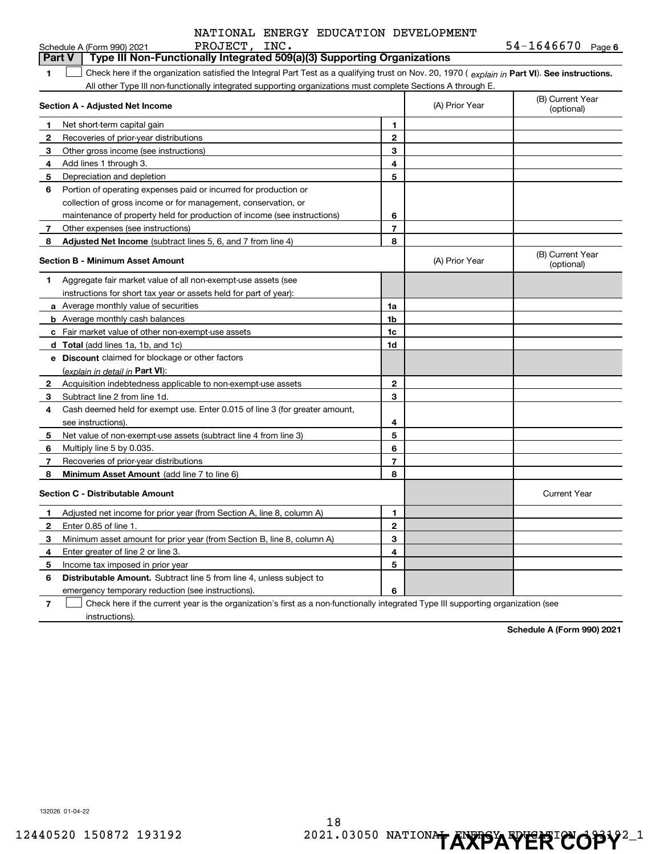|                | NATIONAL ENERGY EDUCATION DEVELOPMENT                                                                                                          |                |                |                                |
|----------------|------------------------------------------------------------------------------------------------------------------------------------------------|----------------|----------------|--------------------------------|
|                | PROJECT, INC.<br>Schedule A (Form 990) 2021                                                                                                    |                |                | $54 - 1646670$ Page 6          |
|                | Type III Non-Functionally Integrated 509(a)(3) Supporting Organizations<br><b>Part V</b>                                                       |                |                |                                |
| 1              | Check here if the organization satisfied the Integral Part Test as a qualifying trust on Nov. 20, 1970 (explain in Part VI). See instructions. |                |                |                                |
|                | All other Type III non-functionally integrated supporting organizations must complete Sections A through E.                                    |                |                |                                |
|                | Section A - Adjusted Net Income                                                                                                                |                | (A) Prior Year | (B) Current Year<br>(optional) |
| 1              | Net short-term capital gain                                                                                                                    | 1              |                |                                |
| 2              | Recoveries of prior-year distributions                                                                                                         | $\mathbf{2}$   |                |                                |
| 3              | Other gross income (see instructions)                                                                                                          | 3              |                |                                |
| 4              | Add lines 1 through 3.                                                                                                                         | 4              |                |                                |
| 5              | Depreciation and depletion                                                                                                                     | 5              |                |                                |
| 6              | Portion of operating expenses paid or incurred for production or                                                                               |                |                |                                |
|                | collection of gross income or for management, conservation, or                                                                                 |                |                |                                |
|                | maintenance of property held for production of income (see instructions)                                                                       | 6              |                |                                |
| 7              | Other expenses (see instructions)                                                                                                              | $\overline{7}$ |                |                                |
| 8              | <b>Adjusted Net Income</b> (subtract lines 5, 6, and 7 from line 4)                                                                            | 8              |                |                                |
|                | <b>Section B - Minimum Asset Amount</b>                                                                                                        |                | (A) Prior Year | (B) Current Year<br>(optional) |
| 1              | Aggregate fair market value of all non-exempt-use assets (see                                                                                  |                |                |                                |
|                | instructions for short tax year or assets held for part of year):                                                                              |                |                |                                |
|                | a Average monthly value of securities                                                                                                          | 1a             |                |                                |
|                | <b>b</b> Average monthly cash balances                                                                                                         | 1b             |                |                                |
|                | c Fair market value of other non-exempt-use assets                                                                                             | 1c             |                |                                |
|                | d Total (add lines 1a, 1b, and 1c)                                                                                                             | 1d             |                |                                |
|                | e Discount claimed for blockage or other factors                                                                                               |                |                |                                |
|                | (explain in detail in Part VI):                                                                                                                |                |                |                                |
| $\mathbf{2}$   | Acquisition indebtedness applicable to non-exempt-use assets                                                                                   | $\mathbf{2}$   |                |                                |
| 3              | Subtract line 2 from line 1d.                                                                                                                  | 3              |                |                                |
| 4              | Cash deemed held for exempt use. Enter 0.015 of line 3 (for greater amount,                                                                    |                |                |                                |
|                | see instructions).                                                                                                                             | 4              |                |                                |
| 5              | Net value of non-exempt-use assets (subtract line 4 from line 3)                                                                               | 5              |                |                                |
| 6              | Multiply line 5 by 0.035.                                                                                                                      | 6              |                |                                |
| 7              | Recoveries of prior-year distributions                                                                                                         | 7              |                |                                |
| 8              | <b>Minimum Asset Amount</b> (add line 7 to line 6)                                                                                             | 8              |                |                                |
|                | <b>Section C - Distributable Amount</b>                                                                                                        |                |                | <b>Current Year</b>            |
| 1              | Adjusted net income for prior year (from Section A, line 8, column A)                                                                          | 1              |                |                                |
| 2              | Enter 0.85 of line 1.                                                                                                                          | $\mathbf{2}$   |                |                                |
| 3              | Minimum asset amount for prior year (from Section B, line 8, column A)                                                                         | 3              |                |                                |
| 4              | Enter greater of line 2 or line 3.                                                                                                             | 4              |                |                                |
| 5              | Income tax imposed in prior year                                                                                                               | 5              |                |                                |
| 6              | <b>Distributable Amount.</b> Subtract line 5 from line 4, unless subject to                                                                    |                |                |                                |
|                | emergency temporary reduction (see instructions).                                                                                              | 6              |                |                                |
| $\overline{7}$ | Check here if the current year is the organization's first as a non-functionally integrated Type III supporting organization (see              |                |                |                                |

instructions).

**Schedule A (Form 990) 2021**

132026 01-04-22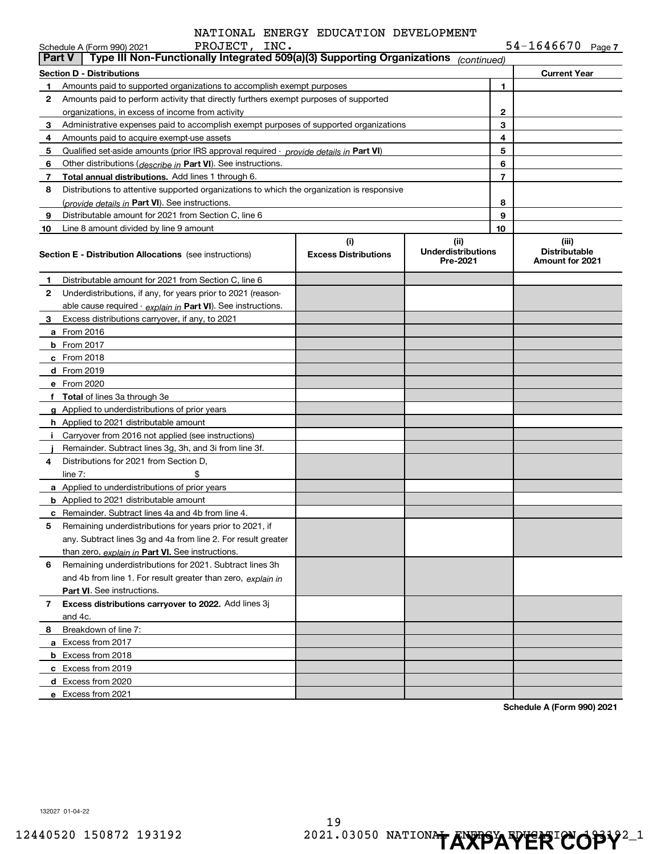| $54 - 1646670$ Page 7 |  |
|-----------------------|--|
|-----------------------|--|

|               | PROJECT, INC.<br>Schedule A (Form 990) 2021                                                |                                    |                                               |                | $54 - 1646670$ Page 7                            |
|---------------|--------------------------------------------------------------------------------------------|------------------------------------|-----------------------------------------------|----------------|--------------------------------------------------|
| <b>Part V</b> | Type III Non-Functionally Integrated 509(a)(3) Supporting Organizations                    |                                    | (continued)                                   |                |                                                  |
|               | <b>Section D - Distributions</b>                                                           |                                    |                                               |                | <b>Current Year</b>                              |
| 1             | Amounts paid to supported organizations to accomplish exempt purposes                      |                                    |                                               | 1.             |                                                  |
| 2             | Amounts paid to perform activity that directly furthers exempt purposes of supported       |                                    |                                               |                |                                                  |
|               | organizations, in excess of income from activity                                           |                                    |                                               | 2              |                                                  |
| 3             | Administrative expenses paid to accomplish exempt purposes of supported organizations      |                                    |                                               | 3              |                                                  |
| 4             | Amounts paid to acquire exempt-use assets                                                  |                                    |                                               | 4              |                                                  |
| 5             | Qualified set-aside amounts (prior IRS approval required - provide details in Part VI)     |                                    |                                               | 5              |                                                  |
| 6             | Other distributions (describe in Part VI). See instructions.                               |                                    |                                               | 6              |                                                  |
| 7             | Total annual distributions. Add lines 1 through 6.                                         |                                    |                                               | $\overline{7}$ |                                                  |
| 8             | Distributions to attentive supported organizations to which the organization is responsive |                                    |                                               |                |                                                  |
|               | (provide details in Part VI). See instructions.                                            |                                    |                                               | 8              |                                                  |
| 9             | Distributable amount for 2021 from Section C, line 6                                       |                                    |                                               | 9<br>10        |                                                  |
| 10            | Line 8 amount divided by line 9 amount                                                     |                                    |                                               |                |                                                  |
|               | <b>Section E - Distribution Allocations</b> (see instructions)                             | (i)<br><b>Excess Distributions</b> | (ii)<br><b>Underdistributions</b><br>Pre-2021 |                | (iii)<br><b>Distributable</b><br>Amount for 2021 |
| 1             | Distributable amount for 2021 from Section C, line 6                                       |                                    |                                               |                |                                                  |
| 2             | Underdistributions, if any, for years prior to 2021 (reason-                               |                                    |                                               |                |                                                  |
|               | able cause required - explain in Part VI). See instructions.                               |                                    |                                               |                |                                                  |
| 3             | Excess distributions carryover, if any, to 2021                                            |                                    |                                               |                |                                                  |
|               | a From 2016                                                                                |                                    |                                               |                |                                                  |
|               | <b>b</b> From 2017                                                                         |                                    |                                               |                |                                                  |
|               | c From 2018                                                                                |                                    |                                               |                |                                                  |
|               | <b>d</b> From 2019                                                                         |                                    |                                               |                |                                                  |
|               | e From 2020                                                                                |                                    |                                               |                |                                                  |
|               | f Total of lines 3a through 3e                                                             |                                    |                                               |                |                                                  |
|               | g Applied to underdistributions of prior years                                             |                                    |                                               |                |                                                  |
|               | <b>h</b> Applied to 2021 distributable amount                                              |                                    |                                               |                |                                                  |
|               | i Carryover from 2016 not applied (see instructions)                                       |                                    |                                               |                |                                                  |
|               | Remainder. Subtract lines 3g, 3h, and 3i from line 3f.                                     |                                    |                                               |                |                                                  |
| 4             | Distributions for 2021 from Section D.                                                     |                                    |                                               |                |                                                  |
|               | \$<br>line $7:$                                                                            |                                    |                                               |                |                                                  |
|               | a Applied to underdistributions of prior years                                             |                                    |                                               |                |                                                  |
|               | <b>b</b> Applied to 2021 distributable amount                                              |                                    |                                               |                |                                                  |
|               | <b>c</b> Remainder. Subtract lines 4a and 4b from line 4.                                  |                                    |                                               |                |                                                  |
|               | Remaining underdistributions for years prior to 2021, if                                   |                                    |                                               |                |                                                  |
|               | any. Subtract lines 3g and 4a from line 2. For result greater                              |                                    |                                               |                |                                                  |
|               | than zero, explain in Part VI. See instructions.                                           |                                    |                                               |                |                                                  |
| 6             | Remaining underdistributions for 2021. Subtract lines 3h                                   |                                    |                                               |                |                                                  |
|               | and 4b from line 1. For result greater than zero, explain in                               |                                    |                                               |                |                                                  |
|               | Part VI. See instructions.                                                                 |                                    |                                               |                |                                                  |
| $7^{\circ}$   | Excess distributions carryover to 2022. Add lines 3j                                       |                                    |                                               |                |                                                  |
|               | and 4c.                                                                                    |                                    |                                               |                |                                                  |
| 8             | Breakdown of line 7:                                                                       |                                    |                                               |                |                                                  |
|               | a Excess from 2017                                                                         |                                    |                                               |                |                                                  |
|               | <b>b</b> Excess from 2018                                                                  |                                    |                                               |                |                                                  |
|               | c Excess from 2019                                                                         |                                    |                                               |                |                                                  |
|               | d Excess from 2020                                                                         |                                    |                                               |                |                                                  |
|               | e Excess from 2021                                                                         |                                    |                                               |                |                                                  |

**Schedule A (Form 990) 2021**

132027 01-04-22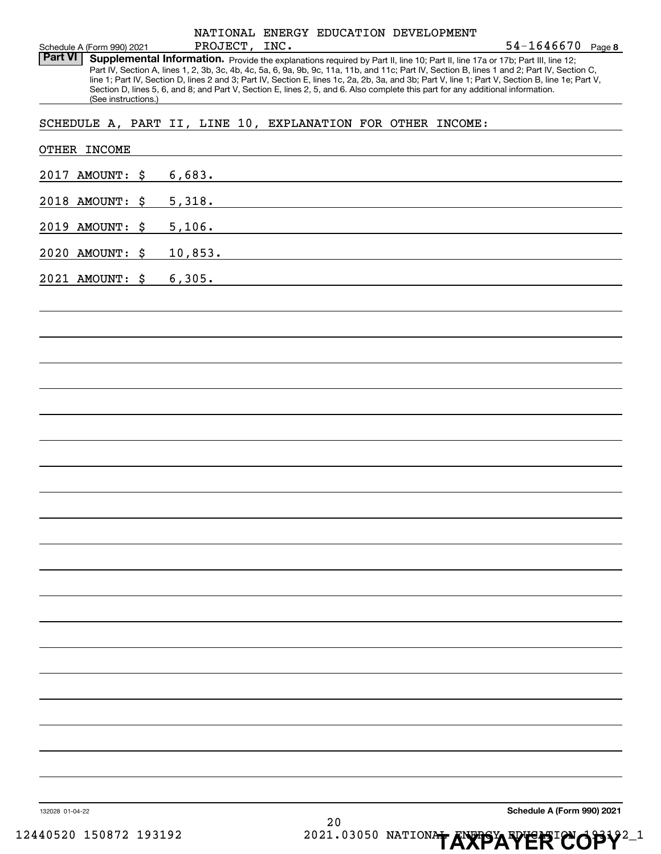|                 | Schedule A (Form 990) 2021 | PROJECT, INC. |    | NATIONAL ENERGY EDUCATION DEVELOPMENT                                                                                                                                                                                                                            | 54-1646670 Page 8                                                                                                                                                                                                                                                                                |
|-----------------|----------------------------|---------------|----|------------------------------------------------------------------------------------------------------------------------------------------------------------------------------------------------------------------------------------------------------------------|--------------------------------------------------------------------------------------------------------------------------------------------------------------------------------------------------------------------------------------------------------------------------------------------------|
| <b>Part VI</b>  | (See instructions.)        |               |    | Supplemental Information. Provide the explanations required by Part II, line 10; Part II, line 17a or 17b; Part III, line 12;<br>Section D, lines 5, 6, and 8; and Part V, Section E, lines 2, 5, and 6. Also complete this part for any additional information. | Part IV, Section A, lines 1, 2, 3b, 3c, 4b, 4c, 5a, 6, 9a, 9b, 9c, 11a, 11b, and 11c; Part IV, Section B, lines 1 and 2; Part IV, Section C,<br>line 1; Part IV, Section D, lines 2 and 3; Part IV, Section E, lines 1c, 2a, 2b, 3a, and 3b; Part V, line 1; Part V, Section B, line 1e; Part V, |
|                 |                            |               |    | SCHEDULE A, PART II, LINE 10, EXPLANATION FOR OTHER INCOME:                                                                                                                                                                                                      |                                                                                                                                                                                                                                                                                                  |
|                 | OTHER INCOME               |               |    |                                                                                                                                                                                                                                                                  |                                                                                                                                                                                                                                                                                                  |
|                 | 2017 AMOUNT: \$            |               |    | 6,683.                                                                                                                                                                                                                                                           |                                                                                                                                                                                                                                                                                                  |
|                 | 2018 AMOUNT: \$            |               |    |                                                                                                                                                                                                                                                                  |                                                                                                                                                                                                                                                                                                  |
|                 | 2019 AMOUNT: \$            |               |    | 5,106.                                                                                                                                                                                                                                                           |                                                                                                                                                                                                                                                                                                  |
|                 | 2020 AMOUNT: \$            |               |    | 10,853.                                                                                                                                                                                                                                                          |                                                                                                                                                                                                                                                                                                  |
|                 | 2021 AMOUNT: \$            | 6,305.        |    |                                                                                                                                                                                                                                                                  |                                                                                                                                                                                                                                                                                                  |
|                 |                            |               |    |                                                                                                                                                                                                                                                                  |                                                                                                                                                                                                                                                                                                  |
|                 |                            |               |    |                                                                                                                                                                                                                                                                  |                                                                                                                                                                                                                                                                                                  |
|                 |                            |               |    |                                                                                                                                                                                                                                                                  |                                                                                                                                                                                                                                                                                                  |
|                 |                            |               |    |                                                                                                                                                                                                                                                                  |                                                                                                                                                                                                                                                                                                  |
|                 |                            |               |    |                                                                                                                                                                                                                                                                  |                                                                                                                                                                                                                                                                                                  |
|                 |                            |               |    |                                                                                                                                                                                                                                                                  |                                                                                                                                                                                                                                                                                                  |
|                 |                            |               |    |                                                                                                                                                                                                                                                                  |                                                                                                                                                                                                                                                                                                  |
|                 |                            |               |    |                                                                                                                                                                                                                                                                  |                                                                                                                                                                                                                                                                                                  |
|                 |                            |               |    |                                                                                                                                                                                                                                                                  |                                                                                                                                                                                                                                                                                                  |
|                 |                            |               |    |                                                                                                                                                                                                                                                                  |                                                                                                                                                                                                                                                                                                  |
|                 |                            |               |    |                                                                                                                                                                                                                                                                  |                                                                                                                                                                                                                                                                                                  |
|                 |                            |               |    |                                                                                                                                                                                                                                                                  |                                                                                                                                                                                                                                                                                                  |
|                 |                            |               |    |                                                                                                                                                                                                                                                                  |                                                                                                                                                                                                                                                                                                  |
|                 |                            |               |    |                                                                                                                                                                                                                                                                  |                                                                                                                                                                                                                                                                                                  |
|                 |                            |               |    |                                                                                                                                                                                                                                                                  |                                                                                                                                                                                                                                                                                                  |
|                 |                            |               |    |                                                                                                                                                                                                                                                                  |                                                                                                                                                                                                                                                                                                  |
|                 |                            |               |    |                                                                                                                                                                                                                                                                  |                                                                                                                                                                                                                                                                                                  |
|                 |                            |               |    |                                                                                                                                                                                                                                                                  |                                                                                                                                                                                                                                                                                                  |
|                 |                            |               |    |                                                                                                                                                                                                                                                                  |                                                                                                                                                                                                                                                                                                  |
|                 |                            |               |    |                                                                                                                                                                                                                                                                  |                                                                                                                                                                                                                                                                                                  |
|                 |                            |               |    |                                                                                                                                                                                                                                                                  |                                                                                                                                                                                                                                                                                                  |
| 132028 01-04-22 |                            |               | 20 |                                                                                                                                                                                                                                                                  | Schedule A (Form 990) 2021                                                                                                                                                                                                                                                                       |
|                 | 12440520 150872 193192     |               |    |                                                                                                                                                                                                                                                                  | 2021.03050 NATIONAL AVERICOP                                                                                                                                                                                                                                                                     |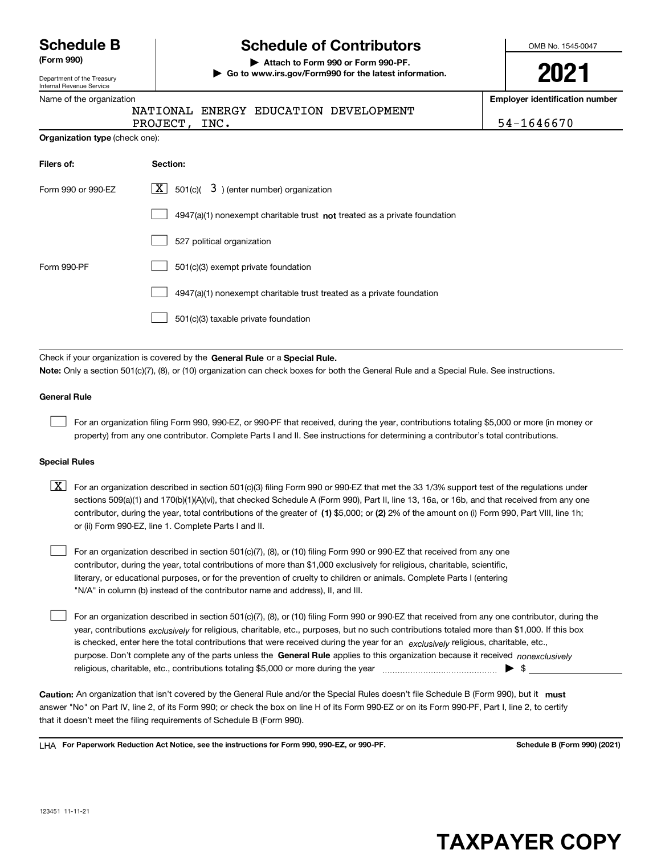Department of the Treasury Internal Revenue Service

### **Schedule B Schedule of Contributors**

**(Form 990) | Attach to Form 990 or Form 990-PF. | Go to www.irs.gov/Form990 for the latest information.** OMB No. 1545-0047

**2021**

**Employer identification number**

|  |  | NA'I' |  |
|--|--|-------|--|
|  |  | ---   |  |

Name of the organization

IONAL ENERGY EDUCATION DEVELOPMENT

PROJECT, INC. 54-1646670

| Organization type (check one): |  |  |  |
|--------------------------------|--|--|--|
|--------------------------------|--|--|--|

| Filers of:         | Section:                                                                    |
|--------------------|-----------------------------------------------------------------------------|
| Form 990 or 990-EZ | $\lfloor x \rfloor$ 501(c)( 3) (enter number) organization                  |
|                    | $4947(a)(1)$ nonexempt charitable trust not treated as a private foundation |
|                    | 527 political organization                                                  |
| Form 990-PF        | 501(c)(3) exempt private foundation                                         |
|                    | 4947(a)(1) nonexempt charitable trust treated as a private foundation       |
|                    | 501(c)(3) taxable private foundation                                        |

Check if your organization is covered by the **General Rule** or a **Special Rule.**<br>Nota: Only a section 501(c)(7), (8), or (10) erganization can chock boxes for be **Note:**  Only a section 501(c)(7), (8), or (10) organization can check boxes for both the General Rule and a Special Rule. See instructions.

#### **General Rule**

 $\mathcal{L}^{\text{max}}$ 

For an organization filing Form 990, 990-EZ, or 990-PF that received, during the year, contributions totaling \$5,000 or more (in money or property) from any one contributor. Complete Parts I and II. See instructions for determining a contributor's total contributions.

#### **Special Rules**

contributor, during the year, total contributions of the greater of (1**)** \$5,000; or (2) 2% of the amount on (i) Form 990, Part VIII, line 1h;  $\boxed{\textbf{X}}$  For an organization described in section 501(c)(3) filing Form 990 or 990-EZ that met the 33 1/3% support test of the regulations under sections 509(a)(1) and 170(b)(1)(A)(vi), that checked Schedule A (Form 990), Part II, line 13, 16a, or 16b, and that received from any one or (ii) Form 990-EZ, line 1. Complete Parts I and II.

For an organization described in section 501(c)(7), (8), or (10) filing Form 990 or 990-EZ that received from any one contributor, during the year, total contributions of more than \$1,000 exclusively for religious, charitable, scientific, literary, or educational purposes, or for the prevention of cruelty to children or animals. Complete Parts I (entering "N/A" in column (b) instead of the contributor name and address), II, and III.  $\mathcal{L}^{\text{max}}$ 

purpose. Don't complete any of the parts unless the **General Rule** applies to this organization because it received *nonexclusively* year, contributions <sub>exclusively</sub> for religious, charitable, etc., purposes, but no such contributions totaled more than \$1,000. If this box is checked, enter here the total contributions that were received during the year for an  $\;$ exclusively religious, charitable, etc., For an organization described in section 501(c)(7), (8), or (10) filing Form 990 or 990-EZ that received from any one contributor, during the religious, charitable, etc., contributions totaling \$5,000 or more during the year  $\Box$ — $\Box$   $\Box$  $\mathcal{L}^{\text{max}}$ 

Caution: An organization that isn't covered by the General Rule and/or the Special Rules doesn't file Schedule B (Form 990), but it **must** answer "No" on Part IV, line 2, of its Form 990; or check the box on line H of its Form 990-EZ or on its Form 990-PF, Part I, line 2, to certify that it doesn't meet the filing requirements of Schedule B (Form 990).

LHA For Paperwork Reduction Act Notice, see the instructions for Form 990, 990-EZ, or 990-PF. **In the act and Schedule B** (Form 990) (2021)

## **TAXPAYER COPY**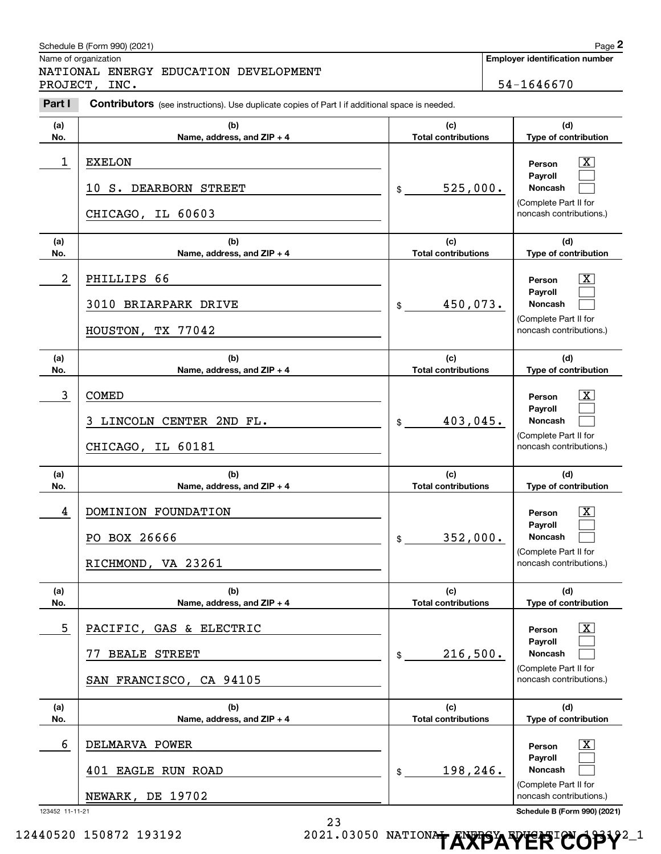|                | Schedule B (Form 990) (2021)                                                                          |                                   | Page 2                                           |
|----------------|-------------------------------------------------------------------------------------------------------|-----------------------------------|--------------------------------------------------|
|                | Name of organization<br>NATIONAL ENERGY EDUCATION DEVELOPMENT                                         |                                   | <b>Employer identification number</b>            |
|                | PROJECT, INC.                                                                                         |                                   | 54-1646670                                       |
| Part I         | <b>Contributors</b> (see instructions). Use duplicate copies of Part I if additional space is needed. |                                   |                                                  |
| (a)            | (b)                                                                                                   | (c)                               | (d)                                              |
| No.            | Name, address, and ZIP + 4                                                                            | <b>Total contributions</b>        | Type of contribution                             |
| 1              | <b>EXELON</b><br>10 S. DEARBORN STREET                                                                | 525,000.<br>\$                    | $\mathbf{X}$<br>Person<br>Payroll<br>Noncash     |
|                | CHICAGO, IL 60603                                                                                     |                                   | (Complete Part II for<br>noncash contributions.) |
| (a)<br>No.     | (b)<br>Name, address, and ZIP + 4                                                                     | (c)<br><b>Total contributions</b> | (d)<br>Type of contribution                      |
| $\overline{a}$ | PHILLIPS 66                                                                                           |                                   | $\mathbf{X}$<br>Person<br>Payroll                |
|                | 3010 BRIARPARK DRIVE                                                                                  | 450,073.<br>\$                    | Noncash                                          |
|                | HOUSTON, TX 77042                                                                                     |                                   | (Complete Part II for<br>noncash contributions.) |
| (a)            | (b)                                                                                                   | (c)                               | (d)                                              |
| No.            | Name, address, and ZIP + 4                                                                            | <b>Total contributions</b>        | Type of contribution                             |
| 3              | <b>COMED</b>                                                                                          |                                   | ΙX<br>Person<br>Payroll                          |
|                | LINCOLN CENTER 2ND FL.<br>3.                                                                          | 403,045.<br>\$                    | Noncash<br>(Complete Part II for                 |
|                | CHICAGO, IL 60181                                                                                     |                                   | noncash contributions.)                          |
| (a)<br>No.     | (b)<br>Name, address, and ZIP + 4                                                                     | (c)<br><b>Total contributions</b> | (d)<br>Type of contribution                      |
| 4              | DOMINION FOUNDATION                                                                                   |                                   | $\mathbf{X}$<br>Person                           |
|                | PO BOX 26666                                                                                          | 352,000.<br>\$                    | Payroll<br>Noncash                               |
|                | RICHMOND, VA 23261                                                                                    |                                   | (Complete Part II for<br>noncash contributions.) |
| (a)<br>No.     | (b)<br>Name, address, and ZIP + 4                                                                     | (c)<br><b>Total contributions</b> | (d)<br>Type of contribution                      |
| 5              | PACIFIC, GAS & ELECTRIC                                                                               |                                   | $\boxed{\text{X}}$<br>Person                     |
|                | <b>BEALE STREET</b>                                                                                   | 216,500.<br>\$                    | Payroll<br>Noncash                               |
|                | SAN FRANCISCO, CA 94105                                                                               |                                   | (Complete Part II for<br>noncash contributions.) |
| (a)<br>No.     | (b)<br>Name, address, and ZIP + 4                                                                     | (c)<br><b>Total contributions</b> | (d)<br>Type of contribution                      |
| 6              | DELMARVA POWER                                                                                        |                                   | $\boxed{\text{X}}$<br>Person                     |
|                | 401 EAGLE RUN ROAD                                                                                    | 198,246.<br>\$                    | Payroll<br>Noncash                               |
|                | NEWARK, DE 19702                                                                                      |                                   | (Complete Part II for<br>noncash contributions.) |

12440520 150872 193192 **2021.03050 NATIONAL ENERGY ERICOPY**<sup>2</sup><sup>1</sup>

23

123452 11-11-21 **Schedule B (Form 990) (2021)**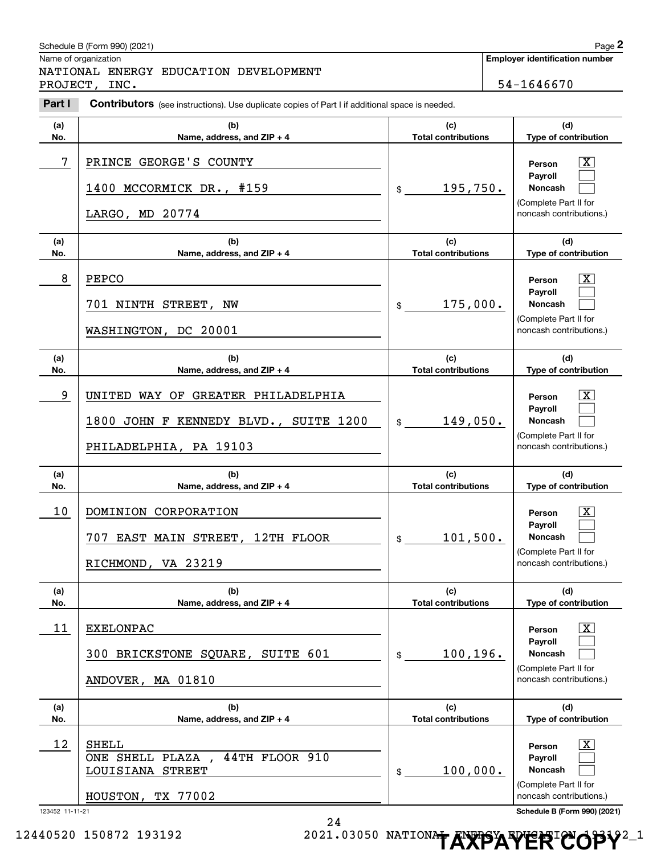| Page 2<br>Schedule B (Form 990) (2021) |                                                                                                       |                                   |        |                                                  |  |  |
|----------------------------------------|-------------------------------------------------------------------------------------------------------|-----------------------------------|--------|--------------------------------------------------|--|--|
|                                        | Name of organization                                                                                  |                                   |        | <b>Employer identification number</b>            |  |  |
|                                        | NATIONAL ENERGY EDUCATION DEVELOPMENT<br>PROJECT, INC.                                                |                                   |        | 54-1646670                                       |  |  |
| Part I                                 | <b>Contributors</b> (see instructions). Use duplicate copies of Part I if additional space is needed. |                                   |        |                                                  |  |  |
| (a)                                    | (b)                                                                                                   | (c)                               |        | (d)                                              |  |  |
| No.                                    | Name, address, and ZIP + 4                                                                            | <b>Total contributions</b>        |        | Type of contribution                             |  |  |
| 7                                      | PRINCE GEORGE'S COUNTY                                                                                |                                   |        | $\mathbf{X}$<br>Person                           |  |  |
|                                        | 1400 MCCORMICK DR., #159                                                                              | 195,750.<br>\$                    |        | Payroll<br>Noncash                               |  |  |
|                                        | LARGO, MD 20774                                                                                       |                                   |        | (Complete Part II for<br>noncash contributions.) |  |  |
| (a)<br>No.                             | (b)<br>Name, address, and ZIP + 4                                                                     | (c)<br><b>Total contributions</b> |        | (d)<br>Type of contribution                      |  |  |
| 8                                      | <b>PEPCO</b>                                                                                          |                                   |        | $\mathbf{X}$<br>Person                           |  |  |
|                                        | 701 NINTH STREET, NW                                                                                  | 175,000.<br>\$                    |        | Payroll<br>Noncash<br>(Complete Part II for      |  |  |
|                                        | WASHINGTON, DC 20001                                                                                  |                                   |        | noncash contributions.)                          |  |  |
| (a)<br>No.                             | (b)<br>Name, address, and ZIP + 4                                                                     | (c)<br><b>Total contributions</b> |        | (d)<br>Type of contribution                      |  |  |
| 9                                      | UNITED WAY OF GREATER PHILADELPHIA                                                                    |                                   | Person |                                                  |  |  |
|                                        | 1800 JOHN F KENNEDY BLVD., SUITE 1200                                                                 | 149,050.<br>$\frac{1}{2}$         |        | $\mathbf{X}$<br><b>Payroll</b><br>Noncash        |  |  |
|                                        | PHILADELPHIA, PA 19103                                                                                |                                   |        | (Complete Part II for<br>noncash contributions.) |  |  |
| (a)                                    | (b)                                                                                                   | (c)                               |        | (d)                                              |  |  |
| No.                                    | Name, address, and ZIP + 4                                                                            | <b>Total contributions</b>        |        | Type of contribution                             |  |  |
| 10                                     | DOMINION CORPORATION                                                                                  |                                   |        | $\mathbf{X}$<br>Person                           |  |  |
|                                        | 707 EAST MAIN STREET, 12TH FLOOR                                                                      | 101,500.<br>\$                    |        | <b>Payroll</b><br>Noncash                        |  |  |
|                                        | RICHMOND, VA 23219                                                                                    |                                   |        | (Complete Part II for<br>noncash contributions.) |  |  |
| (a)                                    | (b)                                                                                                   | (c)                               |        | (d)                                              |  |  |
| No.                                    | Name, address, and ZIP + 4                                                                            | <b>Total contributions</b>        |        | Type of contribution                             |  |  |
| 11                                     | <b>EXELONPAC</b>                                                                                      |                                   |        | $\boxed{\text{X}}$<br>Person<br>Pavroll          |  |  |
|                                        | 300 BRICKSTONE SQUARE, SUITE 601                                                                      | 100, 196.<br>\$                   |        | Noncash<br>(Complete Part II for                 |  |  |
|                                        | ANDOVER, MA 01810                                                                                     |                                   |        | noncash contributions.)                          |  |  |
| (a)<br>No.                             | (b)<br>Name, address, and ZIP + 4                                                                     | (c)<br><b>Total contributions</b> |        | (d)<br>Type of contribution                      |  |  |
| 12                                     | <b>SHELL</b>                                                                                          |                                   |        | $\boxed{\text{X}}$<br>Person                     |  |  |
|                                        | ONE SHELL PLAZA, 44TH FLOOR 910                                                                       |                                   |        | Payroll                                          |  |  |
|                                        | LOUISIANA STREET                                                                                      | 100,000.<br>\$                    |        | Noncash                                          |  |  |
|                                        | HOUSTON, TX 77002                                                                                     |                                   |        | (Complete Part II for<br>noncash contributions.) |  |  |
| 123452 11-11-21                        |                                                                                                       |                                   |        | Schedule B (Form 990) (2021)                     |  |  |

<sup>24</sup>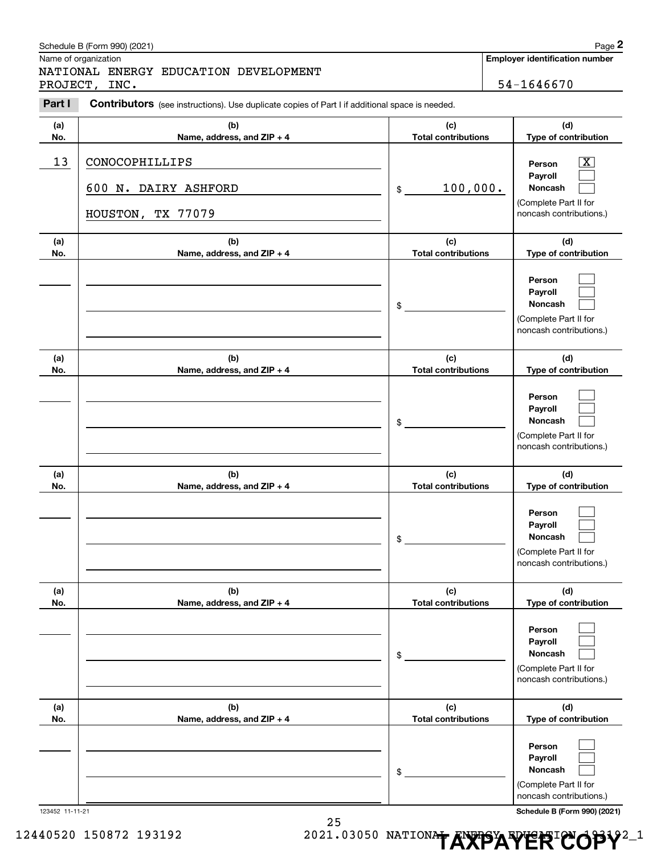|            | Schedule B (Form 990) (2021)                                                                   |                                   | Page 2                                                                                  |
|------------|------------------------------------------------------------------------------------------------|-----------------------------------|-----------------------------------------------------------------------------------------|
|            | Name of organization                                                                           |                                   | <b>Employer identification number</b>                                                   |
|            | NATIONAL ENERGY EDUCATION DEVELOPMENT<br>PROJECT, INC.                                         |                                   | 54-1646670                                                                              |
| Part I     | Contributors (see instructions). Use duplicate copies of Part I if additional space is needed. |                                   |                                                                                         |
| (a)<br>No. | (b)<br>Name, address, and ZIP + 4                                                              | (c)<br><b>Total contributions</b> | (d)<br>Type of contribution                                                             |
| 13         | CONOCOPHILLIPS                                                                                 |                                   | $\overline{\mathbf{x}}$<br>Person                                                       |
|            | 600 N. DAIRY ASHFORD                                                                           | 100,000.<br>\$                    | Payroll<br><b>Noncash</b><br>(Complete Part II for                                      |
|            | HOUSTON, TX 77079                                                                              |                                   | noncash contributions.)                                                                 |
| (a)<br>No. | (b)<br>Name, address, and ZIP + 4                                                              | (c)<br><b>Total contributions</b> | (d)<br>Type of contribution                                                             |
|            |                                                                                                | \$                                | Person<br>Payroll<br><b>Noncash</b><br>(Complete Part II for<br>noncash contributions.) |
| (a)<br>No. | (b)<br>Name, address, and ZIP + 4                                                              | (c)<br><b>Total contributions</b> | (d)<br>Type of contribution                                                             |
|            |                                                                                                | \$                                | Person<br>Payroll<br><b>Noncash</b><br>(Complete Part II for<br>noncash contributions.) |
| (a)<br>No. | (b)<br>Name, address, and ZIP + 4                                                              | (c)<br><b>Total contributions</b> | (d)<br>Type of contribution                                                             |
|            |                                                                                                | \$                                | Person<br>Payroll<br><b>Noncash</b><br>(Complete Part II for<br>noncash contributions.) |
| (a)<br>No. | (b)<br>Name, address, and ZIP + 4                                                              | (c)<br><b>Total contributions</b> | (d)<br>Type of contribution                                                             |
|            |                                                                                                | \$                                | Person<br>Payroll<br>Noncash<br>(Complete Part II for<br>noncash contributions.)        |
| (a)<br>No. | (b)<br>Name, address, and ZIP + 4                                                              | (c)<br><b>Total contributions</b> | (d)<br>Type of contribution                                                             |
|            |                                                                                                | \$                                | Person<br>Payroll<br>Noncash<br>(Complete Part II for<br>noncash contributions.)        |

123452 11-11-21 **Schedule B (Form 990) (2021)**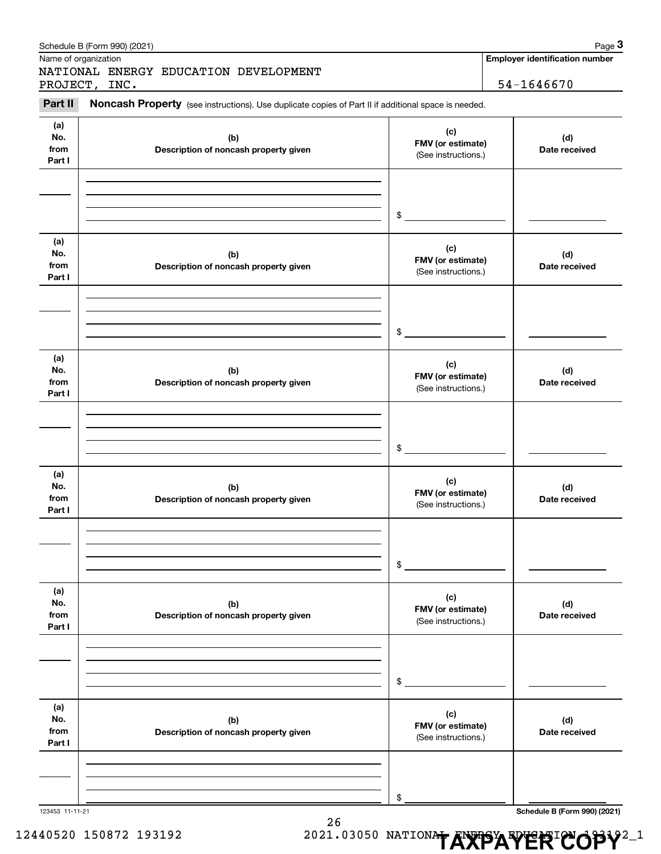|                | Schedule B (Form 990) (2021)                                                                        |                                          | Page 3                                |
|----------------|-----------------------------------------------------------------------------------------------------|------------------------------------------|---------------------------------------|
|                | Name of organization                                                                                |                                          | <b>Employer identification number</b> |
|                | NATIONAL ENERGY EDUCATION DEVELOPMENT<br>PROJECT, INC.                                              |                                          | 54-1646670                            |
|                |                                                                                                     |                                          |                                       |
| Part II        | Noncash Property (see instructions). Use duplicate copies of Part II if additional space is needed. |                                          |                                       |
| (a)            |                                                                                                     | (c)                                      |                                       |
| No.            | (b)                                                                                                 | FMV (or estimate)                        | (d)                                   |
| from<br>Part I | Description of noncash property given                                                               | (See instructions.)                      | Date received                         |
|                |                                                                                                     |                                          |                                       |
|                |                                                                                                     |                                          |                                       |
|                |                                                                                                     |                                          |                                       |
|                |                                                                                                     | \$                                       |                                       |
|                |                                                                                                     |                                          |                                       |
| (a)<br>No.     |                                                                                                     | (c)                                      |                                       |
| from           | (b)<br>Description of noncash property given                                                        | FMV (or estimate)                        | (d)<br>Date received                  |
| Part I         |                                                                                                     | (See instructions.)                      |                                       |
|                |                                                                                                     |                                          |                                       |
|                |                                                                                                     |                                          |                                       |
|                |                                                                                                     | \$                                       |                                       |
|                |                                                                                                     |                                          |                                       |
| (a)            |                                                                                                     |                                          |                                       |
| No.            | (b)                                                                                                 | (c)<br>FMV (or estimate)                 | (d)                                   |
| from<br>Part I | Description of noncash property given                                                               | (See instructions.)                      | Date received                         |
|                |                                                                                                     |                                          |                                       |
|                |                                                                                                     |                                          |                                       |
|                |                                                                                                     |                                          |                                       |
|                |                                                                                                     | \$                                       |                                       |
|                |                                                                                                     |                                          |                                       |
| (a)<br>No.     |                                                                                                     | (c)                                      |                                       |
| from           | (b)<br>Description of noncash property given                                                        | FMV (or estimate)                        | (d)<br>Date received                  |
| Part I         |                                                                                                     | (See instructions.)                      |                                       |
|                |                                                                                                     |                                          |                                       |
|                |                                                                                                     |                                          |                                       |
|                |                                                                                                     | \$                                       |                                       |
|                |                                                                                                     |                                          |                                       |
| (a)            |                                                                                                     |                                          |                                       |
| No.            | (b)                                                                                                 | (c)<br>FMV (or estimate)                 | (d)                                   |
| from<br>Part I | Description of noncash property given                                                               | (See instructions.)                      | Date received                         |
|                |                                                                                                     |                                          |                                       |
|                |                                                                                                     |                                          |                                       |
|                |                                                                                                     |                                          |                                       |
|                |                                                                                                     | \$                                       |                                       |
|                |                                                                                                     |                                          |                                       |
| (a)<br>No.     | (b)                                                                                                 | (c)                                      | (d)                                   |
| from           | Description of noncash property given                                                               | FMV (or estimate)<br>(See instructions.) | Date received                         |
| Part I         |                                                                                                     |                                          |                                       |
|                |                                                                                                     |                                          |                                       |
|                |                                                                                                     |                                          |                                       |
|                |                                                                                                     | \$                                       |                                       |
|                |                                                                                                     |                                          |                                       |

123453 11-11-21 **Schedule B (Form 990) (2021)**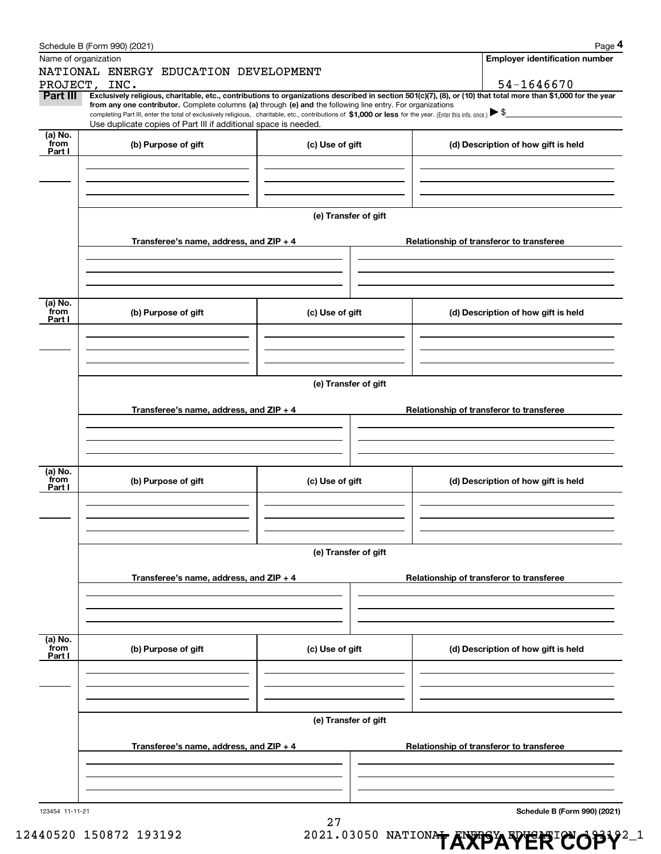|                 | Schedule B (Form 990) (2021)                                                                                                                                                                                                                                                 |                      | Page 4                                   |
|-----------------|------------------------------------------------------------------------------------------------------------------------------------------------------------------------------------------------------------------------------------------------------------------------------|----------------------|------------------------------------------|
|                 | Name of organization                                                                                                                                                                                                                                                         |                      | <b>Employer identification number</b>    |
|                 | NATIONAL ENERGY EDUCATION DEVELOPMENT                                                                                                                                                                                                                                        |                      |                                          |
|                 | PROJECT, INC.                                                                                                                                                                                                                                                                |                      | 54-1646670                               |
| <b>Part III</b> | Exclusively religious, charitable, etc., contributions to organizations described in section 501(c)(7), (8), or (10) that total more than \$1,000 for the year<br>from any one contributor. Complete columns (a) through (e) and the following line entry. For organizations |                      |                                          |
|                 | completing Part III, enter the total of exclusively religious, charitable, etc., contributions of $$1,000$ or less for the year. (Enter this info. once.) $\blacktriangleright$                                                                                              |                      |                                          |
|                 | Use duplicate copies of Part III if additional space is needed.                                                                                                                                                                                                              |                      |                                          |
| (a) No.<br>from | (b) Purpose of gift                                                                                                                                                                                                                                                          | (c) Use of gift      | (d) Description of how gift is held      |
| Part I          |                                                                                                                                                                                                                                                                              |                      |                                          |
|                 |                                                                                                                                                                                                                                                                              |                      |                                          |
|                 |                                                                                                                                                                                                                                                                              |                      |                                          |
|                 |                                                                                                                                                                                                                                                                              |                      |                                          |
|                 |                                                                                                                                                                                                                                                                              | (e) Transfer of gift |                                          |
|                 |                                                                                                                                                                                                                                                                              |                      |                                          |
|                 | Transferee's name, address, and ZIP + 4                                                                                                                                                                                                                                      |                      | Relationship of transferor to transferee |
|                 |                                                                                                                                                                                                                                                                              |                      |                                          |
|                 |                                                                                                                                                                                                                                                                              |                      |                                          |
|                 |                                                                                                                                                                                                                                                                              |                      |                                          |
|                 |                                                                                                                                                                                                                                                                              |                      |                                          |
| (a) No.<br>from | (b) Purpose of gift                                                                                                                                                                                                                                                          | (c) Use of gift      | (d) Description of how gift is held      |
| Part I          |                                                                                                                                                                                                                                                                              |                      |                                          |
|                 |                                                                                                                                                                                                                                                                              |                      |                                          |
|                 |                                                                                                                                                                                                                                                                              |                      |                                          |
|                 |                                                                                                                                                                                                                                                                              |                      |                                          |
|                 |                                                                                                                                                                                                                                                                              | (e) Transfer of gift |                                          |
|                 |                                                                                                                                                                                                                                                                              |                      |                                          |
|                 | Transferee's name, address, and ZIP + 4                                                                                                                                                                                                                                      |                      | Relationship of transferor to transferee |
|                 |                                                                                                                                                                                                                                                                              |                      |                                          |
|                 |                                                                                                                                                                                                                                                                              |                      |                                          |
|                 |                                                                                                                                                                                                                                                                              |                      |                                          |
|                 |                                                                                                                                                                                                                                                                              |                      |                                          |
| (a) No.<br>from | (b) Purpose of gift                                                                                                                                                                                                                                                          | (c) Use of gift      | (d) Description of how gift is held      |
| Part I          |                                                                                                                                                                                                                                                                              |                      |                                          |
|                 |                                                                                                                                                                                                                                                                              |                      |                                          |
|                 |                                                                                                                                                                                                                                                                              |                      |                                          |
|                 |                                                                                                                                                                                                                                                                              |                      |                                          |
|                 |                                                                                                                                                                                                                                                                              | (e) Transfer of gift |                                          |
|                 |                                                                                                                                                                                                                                                                              |                      |                                          |
|                 | Transferee's name, address, and ZIP + 4                                                                                                                                                                                                                                      |                      | Relationship of transferor to transferee |
|                 |                                                                                                                                                                                                                                                                              |                      |                                          |
|                 |                                                                                                                                                                                                                                                                              |                      |                                          |
|                 |                                                                                                                                                                                                                                                                              |                      |                                          |
|                 |                                                                                                                                                                                                                                                                              |                      |                                          |
| (a) No.<br>from | (b) Purpose of gift                                                                                                                                                                                                                                                          | (c) Use of gift      | (d) Description of how gift is held      |
| Part I          |                                                                                                                                                                                                                                                                              |                      |                                          |
|                 |                                                                                                                                                                                                                                                                              |                      |                                          |
|                 |                                                                                                                                                                                                                                                                              |                      |                                          |
|                 |                                                                                                                                                                                                                                                                              |                      |                                          |
|                 |                                                                                                                                                                                                                                                                              |                      |                                          |
|                 |                                                                                                                                                                                                                                                                              | (e) Transfer of gift |                                          |
|                 | Transferee's name, address, and $ZIP + 4$                                                                                                                                                                                                                                    |                      | Relationship of transferor to transferee |
|                 |                                                                                                                                                                                                                                                                              |                      |                                          |
|                 |                                                                                                                                                                                                                                                                              |                      |                                          |
|                 |                                                                                                                                                                                                                                                                              |                      |                                          |
|                 |                                                                                                                                                                                                                                                                              |                      |                                          |
| 123454 11-11-21 |                                                                                                                                                                                                                                                                              |                      | Schedule B (Form 990) (2021)             |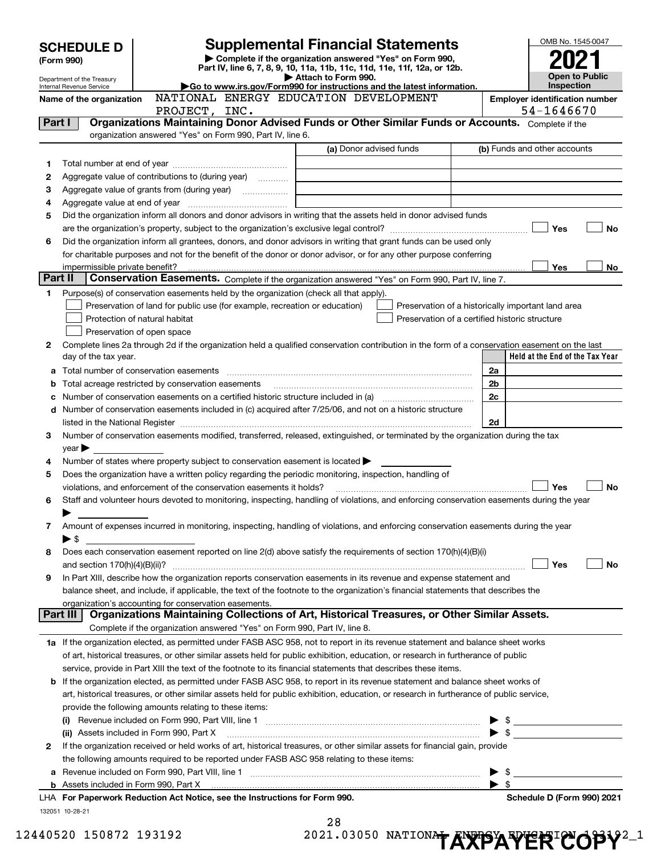|              | <b>Supplemental Financial Statements</b><br><b>SCHEDULE D</b>                                                                                                                              |                                       |                         |                                                    |                          |                                 |           |  |
|--------------|--------------------------------------------------------------------------------------------------------------------------------------------------------------------------------------------|---------------------------------------|-------------------------|----------------------------------------------------|--------------------------|---------------------------------|-----------|--|
|              | Complete if the organization answered "Yes" on Form 990,<br>(Form 990)                                                                                                                     |                                       |                         |                                                    |                          |                                 |           |  |
|              | Part IV, line 6, 7, 8, 9, 10, 11a, 11b, 11c, 11d, 11e, 11f, 12a, or 12b.<br>Attach to Form 990.<br>Department of the Treasury                                                              |                                       |                         |                                                    |                          |                                 |           |  |
|              | Go to www.irs.gov/Form990 for instructions and the latest information.<br>Internal Revenue Service<br>NATIONAL ENERGY EDUCATION DEVELOPMENT                                                |                                       |                         |                                                    |                          |                                 |           |  |
|              | Name of the organization                                                                                                                                                                   | <b>Employer identification number</b> |                         |                                                    |                          |                                 |           |  |
| Part I       | PROJECT, INC.<br>Organizations Maintaining Donor Advised Funds or Other Similar Funds or Accounts. Complete if the                                                                         |                                       |                         |                                                    |                          | 54-1646670                      |           |  |
|              | organization answered "Yes" on Form 990, Part IV, line 6.                                                                                                                                  |                                       |                         |                                                    |                          |                                 |           |  |
|              |                                                                                                                                                                                            |                                       | (a) Donor advised funds |                                                    |                          | (b) Funds and other accounts    |           |  |
| 1            |                                                                                                                                                                                            |                                       |                         |                                                    |                          |                                 |           |  |
| 2            | Aggregate value of contributions to (during year)                                                                                                                                          |                                       |                         |                                                    |                          |                                 |           |  |
| з            |                                                                                                                                                                                            |                                       |                         |                                                    |                          |                                 |           |  |
| 4            |                                                                                                                                                                                            |                                       |                         |                                                    |                          |                                 |           |  |
| 5            | Did the organization inform all donors and donor advisors in writing that the assets held in donor advised funds                                                                           |                                       |                         |                                                    |                          |                                 |           |  |
|              |                                                                                                                                                                                            |                                       |                         |                                                    |                          | Yes                             | <b>No</b> |  |
| 6            | Did the organization inform all grantees, donors, and donor advisors in writing that grant funds can be used only                                                                          |                                       |                         |                                                    |                          |                                 |           |  |
|              | for charitable purposes and not for the benefit of the donor or donor advisor, or for any other purpose conferring                                                                         |                                       |                         |                                                    |                          |                                 |           |  |
|              | impermissible private benefit?                                                                                                                                                             |                                       |                         |                                                    |                          | Yes                             | No        |  |
| Part II      | Conservation Easements. Complete if the organization answered "Yes" on Form 990, Part IV, line 7.                                                                                          |                                       |                         |                                                    |                          |                                 |           |  |
| 1.           | Purpose(s) of conservation easements held by the organization (check all that apply).                                                                                                      |                                       |                         |                                                    |                          |                                 |           |  |
|              | Preservation of land for public use (for example, recreation or education)                                                                                                                 |                                       |                         | Preservation of a historically important land area |                          |                                 |           |  |
|              | Protection of natural habitat                                                                                                                                                              |                                       |                         | Preservation of a certified historic structure     |                          |                                 |           |  |
|              | Preservation of open space<br>Complete lines 2a through 2d if the organization held a qualified conservation contribution in the form of a conservation easement on the last               |                                       |                         |                                                    |                          |                                 |           |  |
| $\mathbf{2}$ | day of the tax year.                                                                                                                                                                       |                                       |                         |                                                    |                          | Held at the End of the Tax Year |           |  |
| a            | Total number of conservation easements                                                                                                                                                     |                                       |                         |                                                    | 2a                       |                                 |           |  |
| b            | Total acreage restricted by conservation easements                                                                                                                                         |                                       |                         |                                                    | 2 <sub>b</sub>           |                                 |           |  |
|              | Number of conservation easements on a certified historic structure included in (a) manufacture included in (a)                                                                             |                                       |                         |                                                    | 2 <sub>c</sub>           |                                 |           |  |
|              | d Number of conservation easements included in (c) acquired after 7/25/06, and not on a historic structure                                                                                 |                                       |                         |                                                    |                          |                                 |           |  |
|              |                                                                                                                                                                                            |                                       |                         |                                                    | 2d                       |                                 |           |  |
| 3            | Number of conservation easements modified, transferred, released, extinguished, or terminated by the organization during the tax                                                           |                                       |                         |                                                    |                          |                                 |           |  |
|              | $year \blacktriangleright$                                                                                                                                                                 |                                       |                         |                                                    |                          |                                 |           |  |
| 4            | Number of states where property subject to conservation easement is located >                                                                                                              |                                       |                         |                                                    |                          |                                 |           |  |
| 5            | Does the organization have a written policy regarding the periodic monitoring, inspection, handling of                                                                                     |                                       |                         |                                                    |                          |                                 |           |  |
|              | violations, and enforcement of the conservation easements it holds?                                                                                                                        |                                       |                         |                                                    |                          | Yes                             | <b>No</b> |  |
| 6            | Staff and volunteer hours devoted to monitoring, inspecting, handling of violations, and enforcing conservation easements during the year                                                  |                                       |                         |                                                    |                          |                                 |           |  |
|              |                                                                                                                                                                                            |                                       |                         |                                                    |                          |                                 |           |  |
| 7            | Amount of expenses incurred in monitoring, inspecting, handling of violations, and enforcing conservation easements during the year                                                        |                                       |                         |                                                    |                          |                                 |           |  |
|              | $\blacktriangleright$ \$                                                                                                                                                                   |                                       |                         |                                                    |                          |                                 |           |  |
| 8            | Does each conservation easement reported on line 2(d) above satisfy the requirements of section 170(h)(4)(B)(i)                                                                            |                                       |                         |                                                    |                          |                                 |           |  |
|              |                                                                                                                                                                                            |                                       |                         |                                                    |                          | Yes                             | No        |  |
| 9            | In Part XIII, describe how the organization reports conservation easements in its revenue and expense statement and                                                                        |                                       |                         |                                                    |                          |                                 |           |  |
|              | balance sheet, and include, if applicable, the text of the footnote to the organization's financial statements that describes the<br>organization's accounting for conservation easements. |                                       |                         |                                                    |                          |                                 |           |  |
|              | Organizations Maintaining Collections of Art, Historical Treasures, or Other Similar Assets.<br>Part III                                                                                   |                                       |                         |                                                    |                          |                                 |           |  |
|              | Complete if the organization answered "Yes" on Form 990, Part IV, line 8.                                                                                                                  |                                       |                         |                                                    |                          |                                 |           |  |
|              | 1a If the organization elected, as permitted under FASB ASC 958, not to report in its revenue statement and balance sheet works                                                            |                                       |                         |                                                    |                          |                                 |           |  |
|              | of art, historical treasures, or other similar assets held for public exhibition, education, or research in furtherance of public                                                          |                                       |                         |                                                    |                          |                                 |           |  |
|              | service, provide in Part XIII the text of the footnote to its financial statements that describes these items.                                                                             |                                       |                         |                                                    |                          |                                 |           |  |
|              | <b>b</b> If the organization elected, as permitted under FASB ASC 958, to report in its revenue statement and balance sheet works of                                                       |                                       |                         |                                                    |                          |                                 |           |  |
|              | art, historical treasures, or other similar assets held for public exhibition, education, or research in furtherance of public service,                                                    |                                       |                         |                                                    |                          |                                 |           |  |
|              | provide the following amounts relating to these items:                                                                                                                                     |                                       |                         |                                                    |                          |                                 |           |  |
|              |                                                                                                                                                                                            |                                       |                         |                                                    |                          |                                 |           |  |
|              | (ii) Assets included in Form 990, Part X                                                                                                                                                   |                                       |                         |                                                    |                          |                                 |           |  |
| 2            | If the organization received or held works of art, historical treasures, or other similar assets for financial gain, provide                                                               |                                       |                         |                                                    |                          |                                 |           |  |
|              | the following amounts required to be reported under FASB ASC 958 relating to these items:                                                                                                  |                                       |                         |                                                    |                          |                                 |           |  |
|              | a Revenue included on Form 990, Part VIII, line 1 [2000] [2000] [2000] [2000] [2000] [2000] [2000] [2000] [2000                                                                            |                                       |                         |                                                    |                          |                                 |           |  |
|              |                                                                                                                                                                                            |                                       |                         |                                                    | $\blacktriangleright$ \$ |                                 |           |  |
|              | LHA For Paperwork Reduction Act Notice, see the Instructions for Form 990.                                                                                                                 |                                       |                         |                                                    |                          | Schedule D (Form 990) 2021      |           |  |
|              | 132051 10-28-21                                                                                                                                                                            |                                       | 28                      |                                                    |                          |                                 |           |  |
|              |                                                                                                                                                                                            |                                       |                         |                                                    |                          |                                 |           |  |

|  | 20 Q     |  |  |  |
|--|----------|--|--|--|
|  | 121.0305 |  |  |  |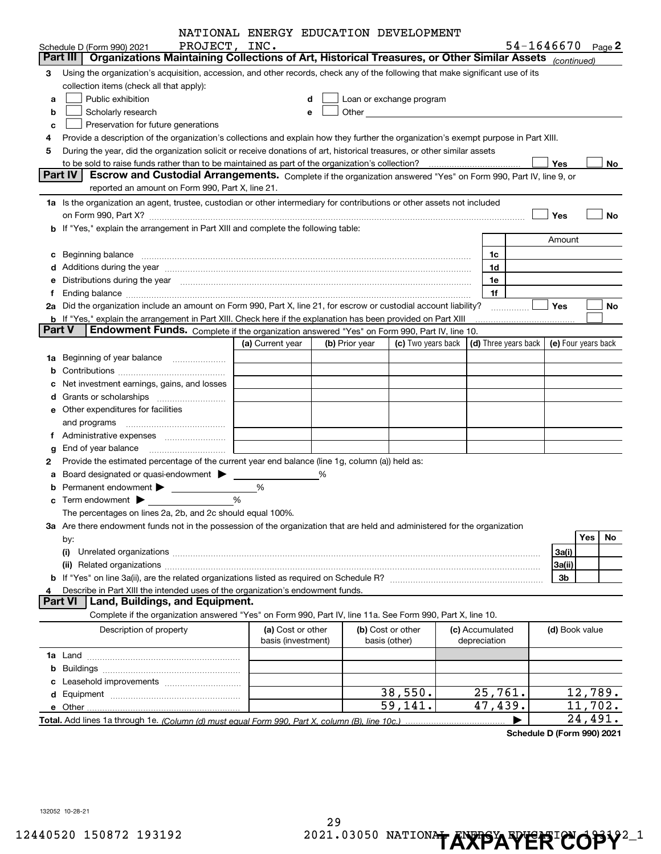|               |                                                                                                                                                                                                                                | NATIONAL ENERGY EDUCATION DEVELOPMENT   |                |                                                                                                                                                                                                                                |                                            |                       |         |
|---------------|--------------------------------------------------------------------------------------------------------------------------------------------------------------------------------------------------------------------------------|-----------------------------------------|----------------|--------------------------------------------------------------------------------------------------------------------------------------------------------------------------------------------------------------------------------|--------------------------------------------|-----------------------|---------|
|               | PROJECT, INC.<br>Schedule D (Form 990) 2021                                                                                                                                                                                    |                                         |                |                                                                                                                                                                                                                                |                                            | $54 - 1646670$ Page 2 |         |
|               | Organizations Maintaining Collections of Art, Historical Treasures, or Other Similar Assets (continued)<br>Part III                                                                                                            |                                         |                |                                                                                                                                                                                                                                |                                            |                       |         |
| З             | Using the organization's acquisition, accession, and other records, check any of the following that make significant use of its                                                                                                |                                         |                |                                                                                                                                                                                                                                |                                            |                       |         |
|               | collection items (check all that apply):                                                                                                                                                                                       |                                         |                |                                                                                                                                                                                                                                |                                            |                       |         |
| a             | Public exhibition                                                                                                                                                                                                              |                                         | d              | Loan or exchange program                                                                                                                                                                                                       |                                            |                       |         |
| b             | Scholarly research                                                                                                                                                                                                             |                                         | е              | Other and the control of the control of the control of the control of the control of the control of the control of the control of the control of the control of the control of the control of the control of the control of th |                                            |                       |         |
| c             | Preservation for future generations                                                                                                                                                                                            |                                         |                |                                                                                                                                                                                                                                |                                            |                       |         |
|               | Provide a description of the organization's collections and explain how they further the organization's exempt purpose in Part XIII.                                                                                           |                                         |                |                                                                                                                                                                                                                                |                                            |                       |         |
| 5             | During the year, did the organization solicit or receive donations of art, historical treasures, or other similar assets                                                                                                       |                                         |                |                                                                                                                                                                                                                                |                                            |                       |         |
|               |                                                                                                                                                                                                                                |                                         |                |                                                                                                                                                                                                                                |                                            | Yes                   | No      |
|               | Part IV<br>Escrow and Custodial Arrangements. Complete if the organization answered "Yes" on Form 990, Part IV, line 9, or                                                                                                     |                                         |                |                                                                                                                                                                                                                                |                                            |                       |         |
|               | reported an amount on Form 990, Part X, line 21.                                                                                                                                                                               |                                         |                |                                                                                                                                                                                                                                |                                            |                       |         |
|               | 1a Is the organization an agent, trustee, custodian or other intermediary for contributions or other assets not included                                                                                                       |                                         |                |                                                                                                                                                                                                                                |                                            |                       |         |
|               |                                                                                                                                                                                                                                |                                         |                |                                                                                                                                                                                                                                |                                            | Yes                   | No      |
|               | b If "Yes," explain the arrangement in Part XIII and complete the following table:                                                                                                                                             |                                         |                |                                                                                                                                                                                                                                |                                            |                       |         |
|               |                                                                                                                                                                                                                                |                                         |                |                                                                                                                                                                                                                                |                                            | Amount                |         |
|               | c Beginning balance measurements and the contract of the contract of the contract of the contract of the contract of the contract of the contract of the contract of the contract of the contract of the contract of the contr |                                         |                |                                                                                                                                                                                                                                | 1c                                         |                       |         |
|               |                                                                                                                                                                                                                                |                                         |                |                                                                                                                                                                                                                                | 1d                                         |                       |         |
|               | Distributions during the year manufactured and an account of the state of the state of the state of the state o                                                                                                                |                                         |                |                                                                                                                                                                                                                                | 1e                                         |                       |         |
|               |                                                                                                                                                                                                                                |                                         |                |                                                                                                                                                                                                                                | 1f                                         |                       |         |
|               | 2a Did the organization include an amount on Form 990, Part X, line 21, for escrow or custodial account liability?                                                                                                             |                                         |                |                                                                                                                                                                                                                                |                                            | Yes                   | No      |
| <b>Part V</b> | <b>b</b> If "Yes," explain the arrangement in Part XIII. Check here if the explanation has been provided on Part XIII<br>Endowment Funds. Complete if the organization answered "Yes" on Form 990, Part IV, line 10.           |                                         |                |                                                                                                                                                                                                                                |                                            |                       |         |
|               |                                                                                                                                                                                                                                | (a) Current year                        | (b) Prior year | (c) Two years back                                                                                                                                                                                                             | (d) Three years back   (e) Four years back |                       |         |
| 1a            | Beginning of year balance                                                                                                                                                                                                      |                                         |                |                                                                                                                                                                                                                                |                                            |                       |         |
|               |                                                                                                                                                                                                                                |                                         |                |                                                                                                                                                                                                                                |                                            |                       |         |
|               | Net investment earnings, gains, and losses                                                                                                                                                                                     |                                         |                |                                                                                                                                                                                                                                |                                            |                       |         |
|               | Grants or scholarships                                                                                                                                                                                                         |                                         |                |                                                                                                                                                                                                                                |                                            |                       |         |
|               | e Other expenditures for facilities                                                                                                                                                                                            |                                         |                |                                                                                                                                                                                                                                |                                            |                       |         |
|               |                                                                                                                                                                                                                                |                                         |                |                                                                                                                                                                                                                                |                                            |                       |         |
|               |                                                                                                                                                                                                                                |                                         |                |                                                                                                                                                                                                                                |                                            |                       |         |
|               |                                                                                                                                                                                                                                |                                         |                |                                                                                                                                                                                                                                |                                            |                       |         |
| 2             | Provide the estimated percentage of the current year end balance (line 1g, column (a)) held as:                                                                                                                                |                                         |                |                                                                                                                                                                                                                                |                                            |                       |         |
|               | Board designated or quasi-endowment >                                                                                                                                                                                          |                                         | ℅              |                                                                                                                                                                                                                                |                                            |                       |         |
|               |                                                                                                                                                                                                                                | %                                       |                |                                                                                                                                                                                                                                |                                            |                       |         |
|               |                                                                                                                                                                                                                                | %                                       |                |                                                                                                                                                                                                                                |                                            |                       |         |
|               | The percentages on lines 2a, 2b, and 2c should equal 100%.                                                                                                                                                                     |                                         |                |                                                                                                                                                                                                                                |                                            |                       |         |
|               | 3a Are there endowment funds not in the possession of the organization that are held and administered for the organization                                                                                                     |                                         |                |                                                                                                                                                                                                                                |                                            |                       |         |
|               | by:                                                                                                                                                                                                                            |                                         |                |                                                                                                                                                                                                                                |                                            | Yes                   | No      |
|               | (i)                                                                                                                                                                                                                            |                                         |                |                                                                                                                                                                                                                                |                                            | 3a(i)                 |         |
|               | (ii)                                                                                                                                                                                                                           |                                         |                |                                                                                                                                                                                                                                |                                            | 3a(ii)                |         |
|               |                                                                                                                                                                                                                                |                                         |                |                                                                                                                                                                                                                                |                                            | 3b                    |         |
|               | Describe in Part XIII the intended uses of the organization's endowment funds.                                                                                                                                                 |                                         |                |                                                                                                                                                                                                                                |                                            |                       |         |
|               | Land, Buildings, and Equipment.<br><b>Part VI</b>                                                                                                                                                                              |                                         |                |                                                                                                                                                                                                                                |                                            |                       |         |
|               | Complete if the organization answered "Yes" on Form 990, Part IV, line 11a. See Form 990, Part X, line 10.                                                                                                                     |                                         |                |                                                                                                                                                                                                                                |                                            |                       |         |
|               | Description of property                                                                                                                                                                                                        | (a) Cost or other<br>basis (investment) |                | (b) Cost or other<br>basis (other)                                                                                                                                                                                             | (c) Accumulated<br>depreciation            | (d) Book value        |         |
|               |                                                                                                                                                                                                                                |                                         |                |                                                                                                                                                                                                                                |                                            |                       |         |
|               |                                                                                                                                                                                                                                |                                         |                |                                                                                                                                                                                                                                |                                            |                       |         |
|               |                                                                                                                                                                                                                                |                                         |                |                                                                                                                                                                                                                                |                                            |                       |         |
|               |                                                                                                                                                                                                                                |                                         |                | 38,550.                                                                                                                                                                                                                        | 25,761.                                    |                       | 12,789. |
|               |                                                                                                                                                                                                                                |                                         |                | 59,141.                                                                                                                                                                                                                        | 47,439.                                    |                       | 11,702. |
|               |                                                                                                                                                                                                                                |                                         |                |                                                                                                                                                                                                                                |                                            |                       | 24,491. |

29

**Schedule D (Form 990) 2021**

132052 10-28-21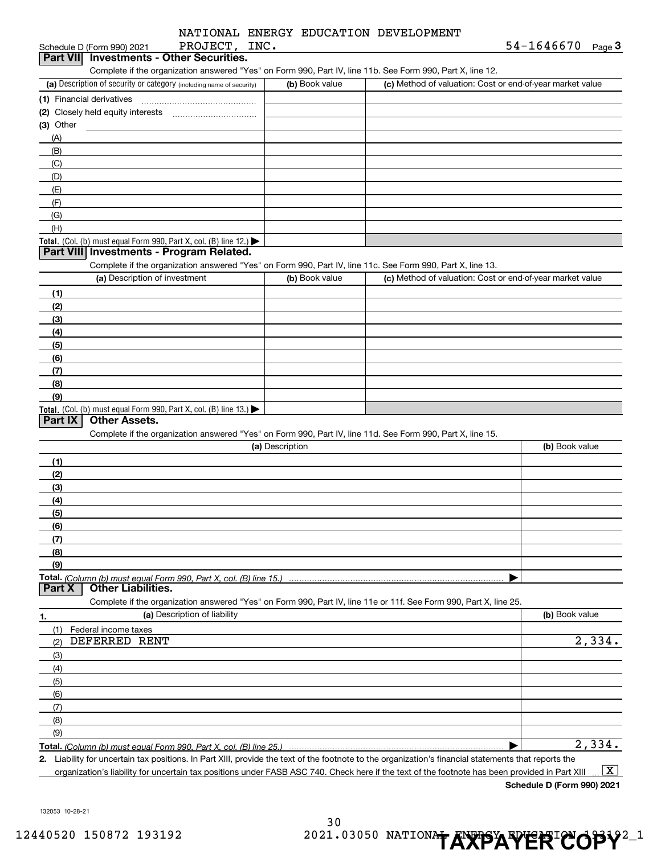$545550$ 

| PROJECT, INC.<br>Schedule D (Form 990) 2021                                                                                                                                                                                |                 |                                                           | 54-1646670<br>$Page$ <sup>3</sup> |
|----------------------------------------------------------------------------------------------------------------------------------------------------------------------------------------------------------------------------|-----------------|-----------------------------------------------------------|-----------------------------------|
| <b>Investments - Other Securities.</b><br>Part VII                                                                                                                                                                         |                 |                                                           |                                   |
| Complete if the organization answered "Yes" on Form 990, Part IV, line 11b. See Form 990, Part X, line 12.                                                                                                                 |                 |                                                           |                                   |
| (a) Description of security or category (including name of security)                                                                                                                                                       | (b) Book value  | (c) Method of valuation: Cost or end-of-year market value |                                   |
| (1) Financial derivatives                                                                                                                                                                                                  |                 |                                                           |                                   |
|                                                                                                                                                                                                                            |                 |                                                           |                                   |
| $(3)$ Other                                                                                                                                                                                                                |                 |                                                           |                                   |
| (A)                                                                                                                                                                                                                        |                 |                                                           |                                   |
| (B)                                                                                                                                                                                                                        |                 |                                                           |                                   |
| (C)                                                                                                                                                                                                                        |                 |                                                           |                                   |
| (D)                                                                                                                                                                                                                        |                 |                                                           |                                   |
| (E)                                                                                                                                                                                                                        |                 |                                                           |                                   |
| (F)                                                                                                                                                                                                                        |                 |                                                           |                                   |
| (G)                                                                                                                                                                                                                        |                 |                                                           |                                   |
| (H)                                                                                                                                                                                                                        |                 |                                                           |                                   |
| Total. (Col. (b) must equal Form 990, Part X, col. (B) line 12.)<br>Part VIII Investments - Program Related.<br>Complete if the organization answered "Yes" on Form 990, Part IV, line 11c. See Form 990, Part X, line 13. |                 |                                                           |                                   |
| (a) Description of investment                                                                                                                                                                                              | (b) Book value  | (c) Method of valuation: Cost or end-of-year market value |                                   |
|                                                                                                                                                                                                                            |                 |                                                           |                                   |
| (1)                                                                                                                                                                                                                        |                 |                                                           |                                   |
| (2)                                                                                                                                                                                                                        |                 |                                                           |                                   |
| (3)<br>(4)                                                                                                                                                                                                                 |                 |                                                           |                                   |
| (5)                                                                                                                                                                                                                        |                 |                                                           |                                   |
| (6)                                                                                                                                                                                                                        |                 |                                                           |                                   |
| (7)                                                                                                                                                                                                                        |                 |                                                           |                                   |
| (8)                                                                                                                                                                                                                        |                 |                                                           |                                   |
| (9)                                                                                                                                                                                                                        |                 |                                                           |                                   |
| <b>Total.</b> (Col. (b) must equal Form 990, Part X, col. (B) line 13.)                                                                                                                                                    |                 |                                                           |                                   |
| Part IX<br><b>Other Assets.</b>                                                                                                                                                                                            |                 |                                                           |                                   |
| Complete if the organization answered "Yes" on Form 990, Part IV, line 11d. See Form 990, Part X, line 15.                                                                                                                 |                 |                                                           |                                   |
|                                                                                                                                                                                                                            | (a) Description |                                                           | (b) Book value                    |
| (1)                                                                                                                                                                                                                        |                 |                                                           |                                   |
| (2)                                                                                                                                                                                                                        |                 |                                                           |                                   |
| (3)                                                                                                                                                                                                                        |                 |                                                           |                                   |
| (4)                                                                                                                                                                                                                        |                 |                                                           |                                   |
| (5)                                                                                                                                                                                                                        |                 |                                                           |                                   |
| (6)                                                                                                                                                                                                                        |                 |                                                           |                                   |
| (7)                                                                                                                                                                                                                        |                 |                                                           |                                   |
| (8)                                                                                                                                                                                                                        |                 |                                                           |                                   |
| (9)                                                                                                                                                                                                                        |                 |                                                           |                                   |
|                                                                                                                                                                                                                            |                 |                                                           |                                   |
| <b>Other Liabilities.</b><br>Part X                                                                                                                                                                                        |                 |                                                           |                                   |
| Complete if the organization answered "Yes" on Form 990, Part IV, line 11e or 11f. See Form 990, Part X, line 25.                                                                                                          |                 |                                                           |                                   |
| (a) Description of liability<br>1.                                                                                                                                                                                         |                 |                                                           | (b) Book value                    |
| (1)<br>Federal income taxes                                                                                                                                                                                                |                 |                                                           |                                   |
| DEFERRED RENT<br>(2)                                                                                                                                                                                                       |                 |                                                           | 2,334.                            |
| (3)                                                                                                                                                                                                                        |                 |                                                           |                                   |
| (4)                                                                                                                                                                                                                        |                 |                                                           |                                   |
| (5)                                                                                                                                                                                                                        |                 |                                                           |                                   |
| (6)                                                                                                                                                                                                                        |                 |                                                           |                                   |
| (7)                                                                                                                                                                                                                        |                 |                                                           |                                   |
| (8)                                                                                                                                                                                                                        |                 |                                                           |                                   |
| (9)                                                                                                                                                                                                                        |                 |                                                           |                                   |
|                                                                                                                                                                                                                            |                 |                                                           | 2,334.                            |
| 2. Liability for uncertain tax positions. In Part XIII, provide the text of the footnote to the organization's financial statements that reports the                                                                       |                 |                                                           |                                   |

organization's liability for uncertain tax positions under FASB ASC 740. Check here if the text of the footnote has been provided in Part XIII  $\,\ldots\,$   $\overline{\rm X}$ 

**Schedule D (Form 990) 2021**

132053 10-28-21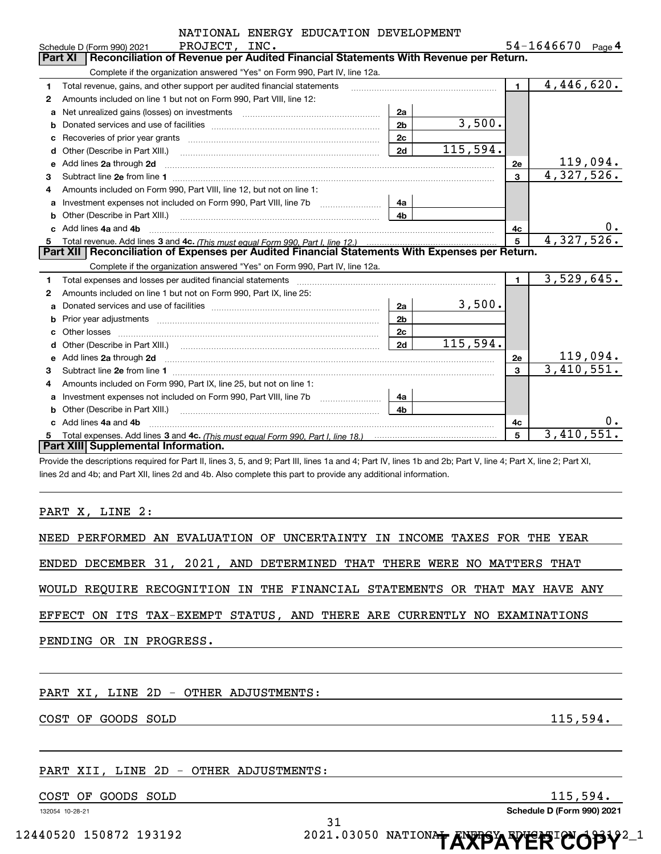|    | NATIONAL ENERGY EDUCATION DEVELOPMENT<br>PROJECT, INC.                                                                                                                                                                              |                |          |                | $54 - 1646670$ Page 4 |
|----|-------------------------------------------------------------------------------------------------------------------------------------------------------------------------------------------------------------------------------------|----------------|----------|----------------|-----------------------|
|    | Schedule D (Form 990) 2021<br>Reconciliation of Revenue per Audited Financial Statements With Revenue per Return.<br>Part XI                                                                                                        |                |          |                |                       |
|    | Complete if the organization answered "Yes" on Form 990, Part IV, line 12a.                                                                                                                                                         |                |          |                |                       |
| 1  | Total revenue, gains, and other support per audited financial statements                                                                                                                                                            |                |          | $\blacksquare$ | 4,446,620.            |
| 2  | Amounts included on line 1 but not on Form 990, Part VIII, line 12:                                                                                                                                                                 |                |          |                |                       |
| a  |                                                                                                                                                                                                                                     | 2a             |          |                |                       |
| b  |                                                                                                                                                                                                                                     | 2 <sub>b</sub> | 3,500.   |                |                       |
| c  |                                                                                                                                                                                                                                     | 2 <sub>c</sub> |          |                |                       |
| d  | Other (Describe in Part XIII.) <b>Construction Contract Construction</b> Chern Construction Chern Chern Chern Chern Chern Chern Chern Chern Chern Chern Chern Chern Chern Chern Chern Chern Chern Chern Chern Chern Chern Chern Che | 2d             | 115,594. |                |                       |
| е  | Add lines 2a through 2d                                                                                                                                                                                                             |                |          | 2e             | <u> 119,094.</u>      |
| 3  |                                                                                                                                                                                                                                     |                |          | 3              | 4,327,526.            |
| 4  | Amounts included on Form 990, Part VIII, line 12, but not on line 1:                                                                                                                                                                |                |          |                |                       |
| a  | Investment expenses not included on Form 990, Part VIII, line 7b [100] [100] [100] [100] [100] [100] [100] [10                                                                                                                      | 4a             |          |                |                       |
| b  | Other (Describe in Part XIII.) <b>Construction Contract Construction</b> Chemistry Chemistry Chemistry Chemistry Chemistry                                                                                                          | 4 <sub>b</sub> |          |                |                       |
|    | Add lines 4a and 4b                                                                                                                                                                                                                 |                |          | 4c             |                       |
| 5. |                                                                                                                                                                                                                                     |                |          | 5              | 4,327,526.            |
|    | Part XII   Reconciliation of Expenses per Audited Financial Statements With Expenses per Return.                                                                                                                                    |                |          |                |                       |
|    | Complete if the organization answered "Yes" on Form 990, Part IV, line 12a.                                                                                                                                                         |                |          |                |                       |
| 1  |                                                                                                                                                                                                                                     |                |          | $\blacksquare$ | 3,529,645.            |
| 2  | Amounts included on line 1 but not on Form 990, Part IX, line 25:                                                                                                                                                                   |                |          |                |                       |
| a  |                                                                                                                                                                                                                                     | 2a             | 3,500.   |                |                       |
| b  |                                                                                                                                                                                                                                     | 2 <sub>b</sub> |          |                |                       |
| c  |                                                                                                                                                                                                                                     | 2c             |          |                |                       |
| d  |                                                                                                                                                                                                                                     | 2d             | 115,594. |                |                       |
| е  | Add lines 2a through 2d <b>minimum contained a contract and a</b> contract a contract of the contract of the contract of the contract of the contract of the contract of the contract of the contract of the contract of the contra |                |          | 2e             | 119,094.              |
| з  |                                                                                                                                                                                                                                     |                |          | 3              | 3,410,551.            |
| 4  | Amounts included on Form 990, Part IX, line 25, but not on line 1:                                                                                                                                                                  |                |          |                |                       |
| a  |                                                                                                                                                                                                                                     | 4a             |          |                |                       |
| b  | Other (Describe in Part XIII.) <b>Construction Contract Construction</b> Chemical Construction Chemical Chemical Chemical Chemical Chemical Chemical Chemical Chemical Chemical Chemical Chemical Chemical Chemical Chemical Chemic | 4 <sub>h</sub> |          |                |                       |
|    | c Add lines 4a and 4b                                                                                                                                                                                                               |                |          | 4c             | 0.                    |
| 5. |                                                                                                                                                                                                                                     |                |          | 5              | 3,410,551.            |
|    | Part XIII Supplemental Information.                                                                                                                                                                                                 |                |          |                |                       |
|    | Provide the descriptions required for Part II, lines 3, 5, and 9; Part III, lines 1a and 4; Part IV, lines 1b and 2b; Part V, line 4; Part X, line 2; Part XI,                                                                      |                |          |                |                       |

lines 2d and 4b; and Part XII, lines 2d and 4b. Also complete this part to provide any additional information.

PART X, LINE 2:

NEED PERFORMED AN EVALUATION OF UNCERTAINTY IN INCOME TAXES FOR THE YEAR

ENDED DECEMBER 31, 2021, AND DETERMINED THAT THERE WERE NO MATTERS THAT

WOULD REQUIRE RECOGNITION IN THE FINANCIAL STATEMENTS OR THAT MAY HAVE ANY

EFFECT ON ITS TAX-EXEMPT STATUS, AND THERE ARE CURRENTLY NO EXAMINATIONS

PENDING OR IN PROGRESS.

PART XI, LINE 2D - OTHER ADJUSTMENTS:

COST OF GOODS SOLD 115,594.

#### PART XII, LINE 2D - OTHER ADJUSTMENTS:

COST OF GOODS SOLD 115,594.

132054 10-28-21

**Schedule D (Form 990) 2021**

31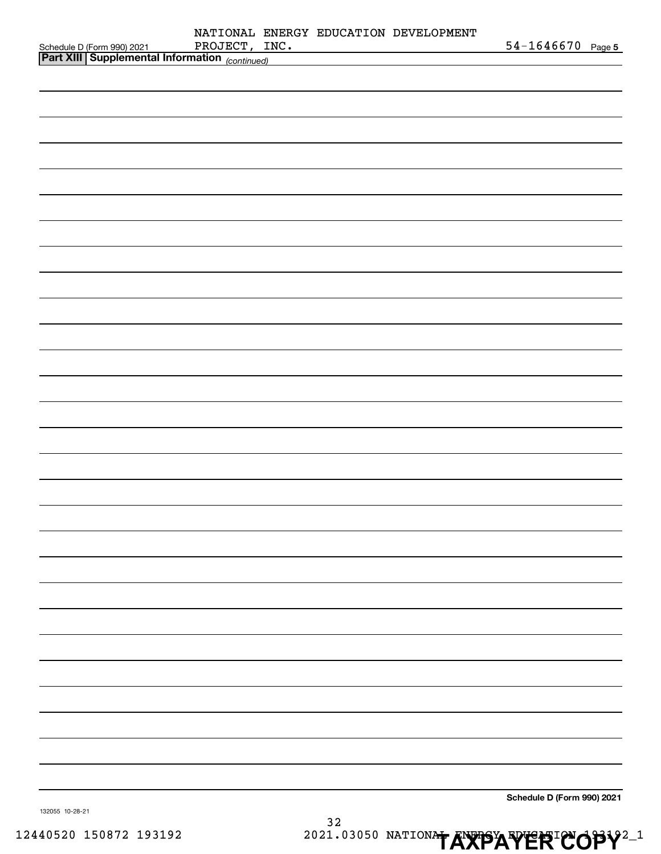| Schedule D (Form 990) 2021 PROJECT, II<br>Part XIII Supplemental Information (continued) | PROJECT, INC. |  | NATIONAL ENERGY EDUCATION DEVELOPMENT                                      | $54 - 1646670$ Page 5      |
|------------------------------------------------------------------------------------------|---------------|--|----------------------------------------------------------------------------|----------------------------|
|                                                                                          |               |  | the control of the control of the control of the control of the control of |                            |
|                                                                                          |               |  |                                                                            |                            |
|                                                                                          |               |  |                                                                            |                            |
|                                                                                          |               |  |                                                                            |                            |
|                                                                                          |               |  |                                                                            |                            |
|                                                                                          |               |  |                                                                            |                            |
|                                                                                          |               |  |                                                                            |                            |
|                                                                                          |               |  |                                                                            |                            |
|                                                                                          |               |  |                                                                            |                            |
|                                                                                          |               |  |                                                                            |                            |
|                                                                                          |               |  |                                                                            |                            |
|                                                                                          |               |  |                                                                            |                            |
|                                                                                          |               |  |                                                                            |                            |
|                                                                                          |               |  |                                                                            |                            |
|                                                                                          |               |  |                                                                            |                            |
|                                                                                          |               |  |                                                                            |                            |
|                                                                                          |               |  |                                                                            |                            |
|                                                                                          |               |  |                                                                            |                            |
|                                                                                          |               |  |                                                                            |                            |
|                                                                                          |               |  |                                                                            |                            |
|                                                                                          |               |  |                                                                            |                            |
|                                                                                          |               |  |                                                                            |                            |
|                                                                                          |               |  |                                                                            |                            |
|                                                                                          |               |  |                                                                            |                            |
|                                                                                          |               |  |                                                                            |                            |
|                                                                                          |               |  |                                                                            |                            |
|                                                                                          |               |  |                                                                            |                            |
|                                                                                          |               |  |                                                                            |                            |
|                                                                                          |               |  |                                                                            |                            |
|                                                                                          |               |  |                                                                            |                            |
|                                                                                          |               |  |                                                                            |                            |
|                                                                                          |               |  |                                                                            |                            |
|                                                                                          |               |  |                                                                            | Schedule D (Form 990) 2021 |
| 132055 10-28-21                                                                          |               |  |                                                                            |                            |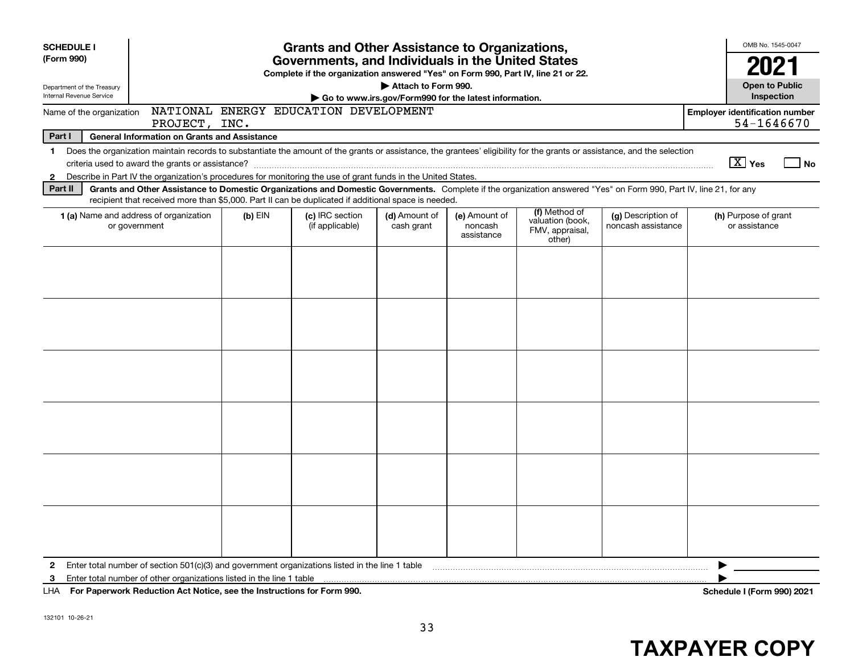| <b>SCHEDULE I</b><br>(Form 990)                                                                                                                                                                | <b>Grants and Other Assistance to Organizations,</b><br>Governments, and Individuals in the United States                                                                                                                                                                 |                                    |                                                       |                                        |                                                                |                                          |                                                     |  |
|------------------------------------------------------------------------------------------------------------------------------------------------------------------------------------------------|---------------------------------------------------------------------------------------------------------------------------------------------------------------------------------------------------------------------------------------------------------------------------|------------------------------------|-------------------------------------------------------|----------------------------------------|----------------------------------------------------------------|------------------------------------------|-----------------------------------------------------|--|
|                                                                                                                                                                                                | Complete if the organization answered "Yes" on Form 990, Part IV, line 21 or 22.                                                                                                                                                                                          |                                    |                                                       |                                        |                                                                |                                          |                                                     |  |
| Department of the Treasury                                                                                                                                                                     | Attach to Form 990.                                                                                                                                                                                                                                                       |                                    |                                                       |                                        |                                                                |                                          |                                                     |  |
| Internal Revenue Service                                                                                                                                                                       |                                                                                                                                                                                                                                                                           |                                    | Go to www.irs.gov/Form990 for the latest information. |                                        |                                                                |                                          | Inspection                                          |  |
| NATIONAL ENERGY EDUCATION DEVELOPMENT<br>Name of the organization<br>PROJECT, INC.                                                                                                             |                                                                                                                                                                                                                                                                           |                                    |                                                       |                                        |                                                                |                                          | <b>Employer identification number</b><br>54-1646670 |  |
| Part I                                                                                                                                                                                         | <b>General Information on Grants and Assistance</b>                                                                                                                                                                                                                       |                                    |                                                       |                                        |                                                                |                                          |                                                     |  |
| Does the organization maintain records to substantiate the amount of the grants or assistance, the grantees' eligibility for the grants or assistance, and the selection<br>$\mathbf 1$        |                                                                                                                                                                                                                                                                           |                                    |                                                       |                                        |                                                                |                                          | $\boxed{\text{X}}$ Yes<br>  No                      |  |
| Describe in Part IV the organization's procedures for monitoring the use of grant funds in the United States.<br>$\mathbf{2}$                                                                  |                                                                                                                                                                                                                                                                           |                                    |                                                       |                                        |                                                                |                                          |                                                     |  |
| Part II                                                                                                                                                                                        | Grants and Other Assistance to Domestic Organizations and Domestic Governments. Complete if the organization answered "Yes" on Form 990, Part IV, line 21, for any<br>recipient that received more than \$5,000. Part II can be duplicated if additional space is needed. |                                    |                                                       |                                        |                                                                |                                          |                                                     |  |
| <b>1 (a)</b> Name and address of organization<br>or government                                                                                                                                 | $(b)$ EIN                                                                                                                                                                                                                                                                 | (c) IRC section<br>(if applicable) | (d) Amount of<br>cash grant                           | (e) Amount of<br>noncash<br>assistance | (f) Method of<br>valuation (book,<br>FMV, appraisal,<br>other) | (g) Description of<br>noncash assistance | (h) Purpose of grant<br>or assistance               |  |
|                                                                                                                                                                                                |                                                                                                                                                                                                                                                                           |                                    |                                                       |                                        |                                                                |                                          |                                                     |  |
|                                                                                                                                                                                                |                                                                                                                                                                                                                                                                           |                                    |                                                       |                                        |                                                                |                                          |                                                     |  |
|                                                                                                                                                                                                |                                                                                                                                                                                                                                                                           |                                    |                                                       |                                        |                                                                |                                          |                                                     |  |
|                                                                                                                                                                                                |                                                                                                                                                                                                                                                                           |                                    |                                                       |                                        |                                                                |                                          |                                                     |  |
|                                                                                                                                                                                                |                                                                                                                                                                                                                                                                           |                                    |                                                       |                                        |                                                                |                                          |                                                     |  |
|                                                                                                                                                                                                |                                                                                                                                                                                                                                                                           |                                    |                                                       |                                        |                                                                |                                          |                                                     |  |
| Enter total number of section $501(c)(3)$ and government organizations listed in the line 1 table<br>$\mathbf{2}$<br>Enter total number of other organizations listed in the line 1 table<br>3 |                                                                                                                                                                                                                                                                           |                                    |                                                       |                                        |                                                                |                                          |                                                     |  |
| LHA For Paperwork Reduction Act Notice, see the Instructions for Form 990.                                                                                                                     |                                                                                                                                                                                                                                                                           |                                    |                                                       |                                        |                                                                |                                          | Schedule I (Form 990) 2021                          |  |

**For Paperwork Reduction Act Notice, s** LHA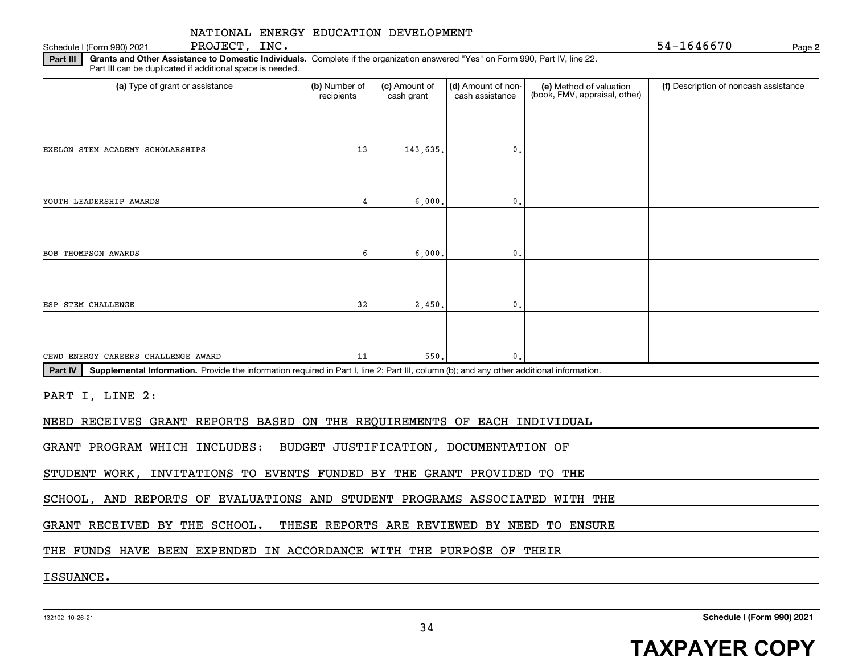Schedule I (Form 990) 2021 PROJECT, INC.  $54-1646670$ 

PROJECT, INC.

**2**

**Part III | Grants and Other Assistance to Domestic Individuals. Complete if the organization answered "Yes" on Form 990, Part IV, line 22.** Part III can be duplicated if additional space is needed.

| (a) Type of grant or assistance                                                                                                                      | (b) Number of<br>recipients | (c) Amount of<br>cash grant | (d) Amount of non-<br>cash assistance  | (e) Method of valuation<br>(book, FMV, appraisal, other) | (f) Description of noncash assistance |
|------------------------------------------------------------------------------------------------------------------------------------------------------|-----------------------------|-----------------------------|----------------------------------------|----------------------------------------------------------|---------------------------------------|
|                                                                                                                                                      |                             |                             |                                        |                                                          |                                       |
| EXELON STEM ACADEMY SCHOLARSHIPS                                                                                                                     | 13                          | 143,635.                    | $\mathbf 0$ .                          |                                                          |                                       |
|                                                                                                                                                      |                             |                             |                                        |                                                          |                                       |
| YOUTH LEADERSHIP AWARDS                                                                                                                              | 4                           | 6,000,                      | $\mathbf{0}$ .                         |                                                          |                                       |
|                                                                                                                                                      |                             |                             |                                        |                                                          |                                       |
| <b>BOB THOMPSON AWARDS</b>                                                                                                                           | 6                           | 6,000                       | $\mathbf{0}$ .                         |                                                          |                                       |
|                                                                                                                                                      |                             |                             |                                        |                                                          |                                       |
| ESP STEM CHALLENGE                                                                                                                                   | 32                          | 2,450                       | $\mathbf{0}$ .                         |                                                          |                                       |
|                                                                                                                                                      |                             |                             |                                        |                                                          |                                       |
| CEWD ENERGY CAREERS CHALLENGE AWARD                                                                                                                  | 11                          | 550                         | $\mathbf{0}$ .                         |                                                          |                                       |
| Part IV<br>Supplemental Information. Provide the information required in Part I, line 2; Part III, column (b); and any other additional information. |                             |                             |                                        |                                                          |                                       |
| PART I, LINE 2:                                                                                                                                      |                             |                             |                                        |                                                          |                                       |
| NEED RECEIVES GRANT REPORTS BASED ON THE REQUIREMENTS OF EACH INDIVIDUAL                                                                             |                             |                             |                                        |                                                          |                                       |
| GRANT PROGRAM WHICH INCLUDES:                                                                                                                        |                             |                             | BUDGET JUSTIFICATION, DOCUMENTATION OF |                                                          |                                       |
| STUDENT WORK, INVITATIONS TO EVENTS FUNDED BY THE GRANT PROVIDED TO THE                                                                              |                             |                             |                                        |                                                          |                                       |
| SCHOOL, AND REPORTS OF EVALUATIONS AND STUDENT PROGRAMS ASSOCIATED WITH THE                                                                          |                             |                             |                                        |                                                          |                                       |
| GRANT RECEIVED BY THE SCHOOL.                                                                                                                        |                             |                             |                                        | THESE REPORTS ARE REVIEWED BY NEED TO ENSURE             |                                       |
| THE FUNDS HAVE BEEN EXPENDED IN ACCORDANCE WITH THE PURPOSE OF THEIR                                                                                 |                             |                             |                                        |                                                          |                                       |
|                                                                                                                                                      |                             |                             |                                        |                                                          |                                       |

ISSUANCE.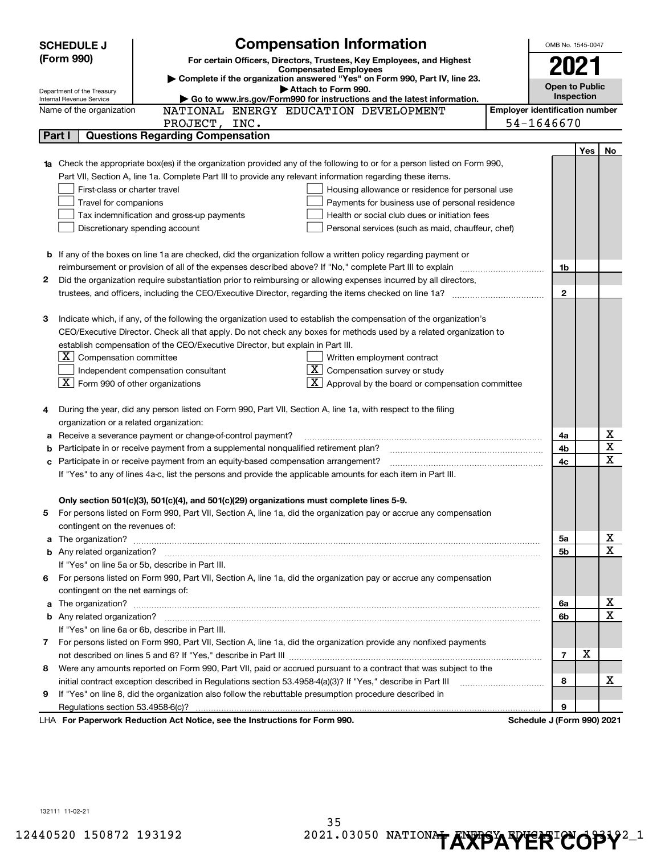| <b>SCHEDULE J</b> |                                                        | <b>Compensation Information</b>                                                                                                                                                                   | OMB No. 1545-0047          |     |             |
|-------------------|--------------------------------------------------------|---------------------------------------------------------------------------------------------------------------------------------------------------------------------------------------------------|----------------------------|-----|-------------|
| (Form 990)        |                                                        | For certain Officers, Directors, Trustees, Key Employees, and Highest                                                                                                                             |                            |     |             |
|                   |                                                        | <b>Compensated Employees</b><br>Complete if the organization answered "Yes" on Form 990, Part IV, line 23.                                                                                        | 2021                       |     |             |
|                   |                                                        | <b>Open to Public</b>                                                                                                                                                                             |                            |     |             |
|                   | Department of the Treasury<br>Internal Revenue Service | Inspection                                                                                                                                                                                        |                            |     |             |
|                   | Name of the organization                               | <b>Employer identification number</b>                                                                                                                                                             |                            |     |             |
|                   |                                                        | PROJECT, INC.                                                                                                                                                                                     | 54-1646670                 |     |             |
|                   | Part I                                                 | <b>Questions Regarding Compensation</b>                                                                                                                                                           |                            |     |             |
|                   |                                                        |                                                                                                                                                                                                   |                            | Yes | No          |
|                   |                                                        | <b>1a</b> Check the appropriate box(es) if the organization provided any of the following to or for a person listed on Form 990,                                                                  |                            |     |             |
|                   |                                                        | Part VII, Section A, line 1a. Complete Part III to provide any relevant information regarding these items.                                                                                        |                            |     |             |
|                   | First-class or charter travel                          | Housing allowance or residence for personal use                                                                                                                                                   |                            |     |             |
|                   | Travel for companions                                  | Payments for business use of personal residence                                                                                                                                                   |                            |     |             |
|                   |                                                        | Health or social club dues or initiation fees<br>Tax indemnification and gross-up payments                                                                                                        |                            |     |             |
|                   |                                                        | Discretionary spending account<br>Personal services (such as maid, chauffeur, chef)                                                                                                               |                            |     |             |
|                   |                                                        |                                                                                                                                                                                                   |                            |     |             |
|                   |                                                        | <b>b</b> If any of the boxes on line 1a are checked, did the organization follow a written policy regarding payment or                                                                            |                            |     |             |
|                   |                                                        |                                                                                                                                                                                                   | 1b                         |     |             |
| 2                 |                                                        | Did the organization require substantiation prior to reimbursing or allowing expenses incurred by all directors,                                                                                  |                            |     |             |
|                   |                                                        |                                                                                                                                                                                                   | $\mathbf{2}$               |     |             |
|                   |                                                        |                                                                                                                                                                                                   |                            |     |             |
| З                 |                                                        | Indicate which, if any, of the following the organization used to establish the compensation of the organization's                                                                                |                            |     |             |
|                   |                                                        | CEO/Executive Director. Check all that apply. Do not check any boxes for methods used by a related organization to                                                                                |                            |     |             |
|                   |                                                        | establish compensation of the CEO/Executive Director, but explain in Part III.                                                                                                                    |                            |     |             |
|                   | $ \mathbf{X} $ Compensation committee                  | Written employment contract                                                                                                                                                                       |                            |     |             |
|                   |                                                        | $\overline{X}$ Compensation survey or study<br>Independent compensation consultant                                                                                                                |                            |     |             |
|                   | $ \mathbf{X} $ Form 990 of other organizations         | $\lfloor \underline{X} \rfloor$ Approval by the board or compensation committee                                                                                                                   |                            |     |             |
|                   |                                                        |                                                                                                                                                                                                   |                            |     |             |
| 4                 |                                                        | During the year, did any person listed on Form 990, Part VII, Section A, line 1a, with respect to the filing                                                                                      |                            |     |             |
|                   | organization or a related organization:                |                                                                                                                                                                                                   |                            |     | х           |
| а                 |                                                        | Receive a severance payment or change-of-control payment?                                                                                                                                         | 4a                         |     | $\mathbf X$ |
| b                 |                                                        | Participate in or receive payment from a supplemental nonqualified retirement plan?                                                                                                               | 4b                         |     | $\mathbf x$ |
| с                 |                                                        | Participate in or receive payment from an equity-based compensation arrangement?<br>If "Yes" to any of lines 4a-c, list the persons and provide the applicable amounts for each item in Part III. | 4с                         |     |             |
|                   |                                                        |                                                                                                                                                                                                   |                            |     |             |
|                   |                                                        | Only section 501(c)(3), 501(c)(4), and 501(c)(29) organizations must complete lines 5-9.                                                                                                          |                            |     |             |
|                   |                                                        | For persons listed on Form 990, Part VII, Section A, line 1a, did the organization pay or accrue any compensation                                                                                 |                            |     |             |
|                   | contingent on the revenues of:                         |                                                                                                                                                                                                   |                            |     |             |
|                   |                                                        |                                                                                                                                                                                                   | 5a                         |     | x           |
|                   |                                                        | a The organization? <b>Entitation</b> and the organization?                                                                                                                                       | 5b                         |     | $\mathbf x$ |
|                   |                                                        | If "Yes" on line 5a or 5b, describe in Part III.                                                                                                                                                  |                            |     |             |
| 6.                |                                                        | For persons listed on Form 990, Part VII, Section A, line 1a, did the organization pay or accrue any compensation                                                                                 |                            |     |             |
|                   | contingent on the net earnings of:                     |                                                                                                                                                                                                   |                            |     |             |
|                   |                                                        |                                                                                                                                                                                                   | 6a                         |     | х           |
|                   |                                                        |                                                                                                                                                                                                   | 6b                         |     | $\mathbf x$ |
|                   |                                                        | If "Yes" on line 6a or 6b, describe in Part III.                                                                                                                                                  |                            |     |             |
|                   |                                                        | 7 For persons listed on Form 990, Part VII, Section A, line 1a, did the organization provide any nonfixed payments                                                                                |                            |     |             |
|                   |                                                        |                                                                                                                                                                                                   | $\overline{7}$             | X   |             |
| 8                 |                                                        | Were any amounts reported on Form 990, Part VII, paid or accrued pursuant to a contract that was subject to the                                                                                   |                            |     |             |
|                   |                                                        | initial contract exception described in Regulations section 53.4958-4(a)(3)? If "Yes," describe in Part III                                                                                       | 8                          |     | x           |
| 9                 |                                                        | If "Yes" on line 8, did the organization also follow the rebuttable presumption procedure described in                                                                                            |                            |     |             |
|                   |                                                        |                                                                                                                                                                                                   | 9                          |     |             |
|                   |                                                        | LHA For Paperwork Reduction Act Notice, see the Instructions for Form 990.                                                                                                                        | Schedule J (Form 990) 2021 |     |             |

132111 11-02-21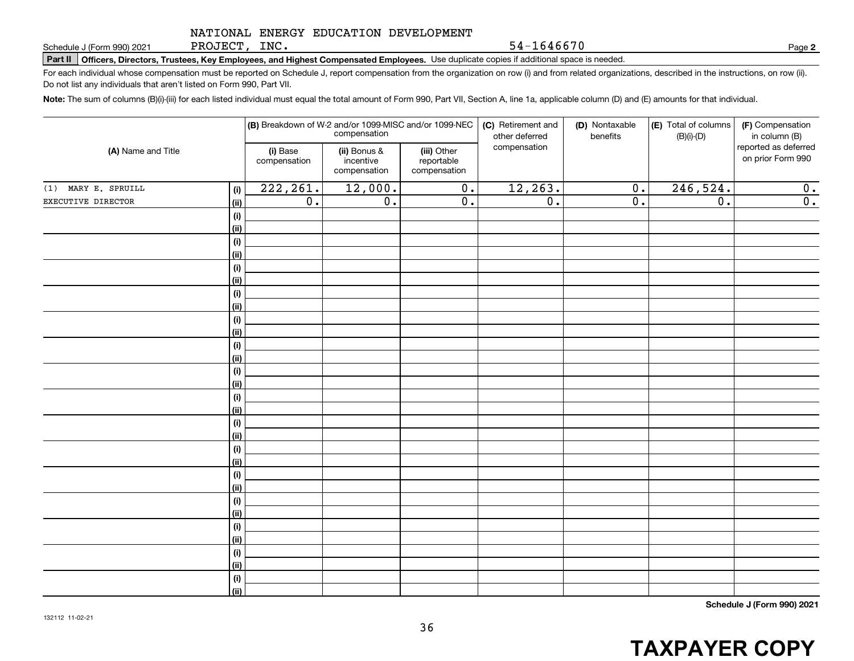PROJECT, INC.

54-1646670

**2**

**Part II Officers, Directors, Trustees, Key Employees, and Highest Compensated Employees.**  Schedule J (Form 990) 2021 Page Use duplicate copies if additional space is needed.

For each individual whose compensation must be reported on Schedule J, report compensation from the organization on row (i) and from related organizations, described in the instructions, on row (ii). Do not list any individuals that aren't listed on Form 990, Part VII.

**Note:**  The sum of columns (B)(i)-(iii) for each listed individual must equal the total amount of Form 990, Part VII, Section A, line 1a, applicable column (D) and (E) amounts for that individual.

| (A) Name and Title  |             | (B) Breakdown of W-2 and/or 1099-MISC and/or 1099-NEC | compensation                              |                                           | (C) Retirement and<br>other deferred | (D) Nontaxable<br>benefits | (E) Total of columns<br>$(B)(i)-(D)$ | (F) Compensation<br>in column (B)         |
|---------------------|-------------|-------------------------------------------------------|-------------------------------------------|-------------------------------------------|--------------------------------------|----------------------------|--------------------------------------|-------------------------------------------|
|                     |             | (i) Base<br>compensation                              | (ii) Bonus &<br>incentive<br>compensation | (iii) Other<br>reportable<br>compensation | compensation                         |                            |                                      | reported as deferred<br>on prior Form 990 |
| (1) MARY E. SPRUILL | (i)         | 222, 261.                                             | 12,000.                                   | $\overline{0}$ .                          | 12, 263.                             | $\overline{0}$ .           | 246,524.                             | 0.                                        |
| EXECUTIVE DIRECTOR  | (ii)        | $\overline{0}$ .                                      | $\overline{0}$ .                          | $\overline{0}$ .                          | $\overline{0}$ .                     | $\overline{0}$ .           | $\overline{0}$ .                     | $\overline{0}$ .                          |
|                     | $(\sf{i})$  |                                                       |                                           |                                           |                                      |                            |                                      |                                           |
|                     | (ii)        |                                                       |                                           |                                           |                                      |                            |                                      |                                           |
|                     | $(\sf{i})$  |                                                       |                                           |                                           |                                      |                            |                                      |                                           |
|                     | (ii)        |                                                       |                                           |                                           |                                      |                            |                                      |                                           |
|                     | $(\sf{i})$  |                                                       |                                           |                                           |                                      |                            |                                      |                                           |
|                     | (ii)        |                                                       |                                           |                                           |                                      |                            |                                      |                                           |
|                     | (i)         |                                                       |                                           |                                           |                                      |                            |                                      |                                           |
|                     | (ii)        |                                                       |                                           |                                           |                                      |                            |                                      |                                           |
|                     | (i)         |                                                       |                                           |                                           |                                      |                            |                                      |                                           |
|                     | (ii)        |                                                       |                                           |                                           |                                      |                            |                                      |                                           |
|                     | (i)         |                                                       |                                           |                                           |                                      |                            |                                      |                                           |
|                     | (ii)        |                                                       |                                           |                                           |                                      |                            |                                      |                                           |
|                     | $(\sf{i})$  |                                                       |                                           |                                           |                                      |                            |                                      |                                           |
|                     | (ii)        |                                                       |                                           |                                           |                                      |                            |                                      |                                           |
|                     | $(\sf{i})$  |                                                       |                                           |                                           |                                      |                            |                                      |                                           |
|                     | (ii)        |                                                       |                                           |                                           |                                      |                            |                                      |                                           |
|                     | $(\sf{i})$  |                                                       |                                           |                                           |                                      |                            |                                      |                                           |
|                     | (ii)        |                                                       |                                           |                                           |                                      |                            |                                      |                                           |
|                     | (i)         |                                                       |                                           |                                           |                                      |                            |                                      |                                           |
|                     | (ii)        |                                                       |                                           |                                           |                                      |                            |                                      |                                           |
|                     | (i)         |                                                       |                                           |                                           |                                      |                            |                                      |                                           |
|                     | (ii)        |                                                       |                                           |                                           |                                      |                            |                                      |                                           |
|                     | (i)         |                                                       |                                           |                                           |                                      |                            |                                      |                                           |
|                     | (ii)<br>(i) |                                                       |                                           |                                           |                                      |                            |                                      |                                           |
|                     | (ii)        |                                                       |                                           |                                           |                                      |                            |                                      |                                           |
|                     | (i)         |                                                       |                                           |                                           |                                      |                            |                                      |                                           |
|                     | (ii)        |                                                       |                                           |                                           |                                      |                            |                                      |                                           |
|                     | $(\sf{i})$  |                                                       |                                           |                                           |                                      |                            |                                      |                                           |
|                     | (ii)        |                                                       |                                           |                                           |                                      |                            |                                      |                                           |
|                     |             |                                                       |                                           |                                           |                                      |                            |                                      |                                           |

**Schedule J (Form 990) 2021**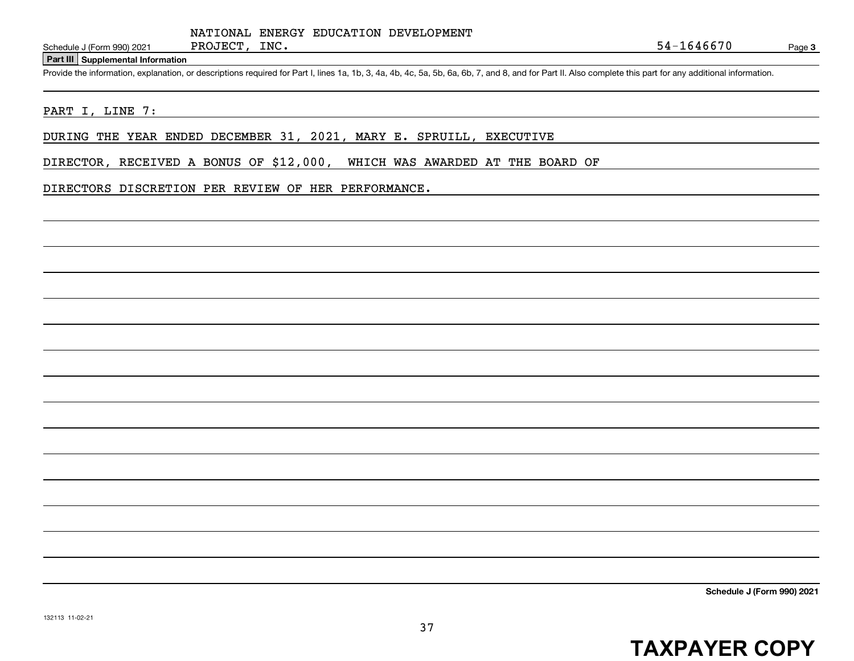#### **Part III Supplemental Information**

Schedule J (Form 990) 2021 PROJECT, INC.<br>Part III Supplemental Information<br>Provide the information, explanation, or descriptions required for Part I, lines 1a, 1b, 3, 4a, 4b, 4c, 5a, 5b, 6a, 6b, 7, and 8, and for Part II.

#### PART I, LINE 7:

DURING THE YEAR ENDED DECEMBER 31, 2021, MARY E. SPRUILL, EXECUTIVE

DIRECTOR, RECEIVED A BONUS OF \$12,000, WHICH WAS AWARDED AT THE BOARD OF

#### DIRECTORS DISCRETION PER REVIEW OF HER PERFORMANCE.

**Schedule J (Form 990) 2021**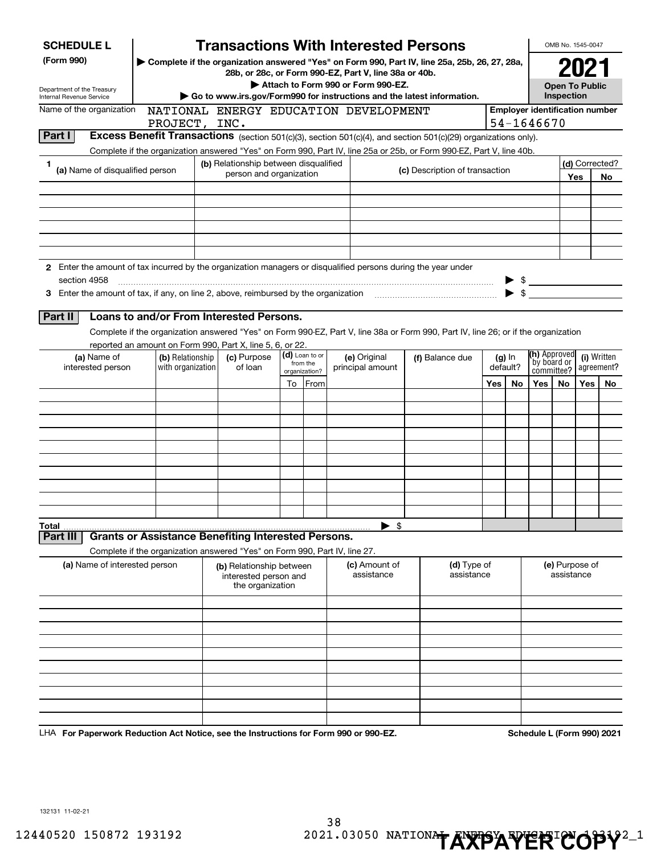| <b>SCHEDULE L</b>                                                                                                                                                    |                                                                            |                                                                                                              |                                                                       |  |                            | <b>Transactions With Interested Persons</b>                                                                                        |                                |                           |                          |                                                     |                                     | OMB No. 1545-0047            |     |                  |
|----------------------------------------------------------------------------------------------------------------------------------------------------------------------|----------------------------------------------------------------------------|--------------------------------------------------------------------------------------------------------------|-----------------------------------------------------------------------|--|----------------------------|------------------------------------------------------------------------------------------------------------------------------------|--------------------------------|---------------------------|--------------------------|-----------------------------------------------------|-------------------------------------|------------------------------|-----|------------------|
| (Form 990)<br>Complete if the organization answered "Yes" on Form 990, Part IV, line 25a, 25b, 26, 27, 28a,<br>28b, or 28c, or Form 990-EZ, Part V, line 38a or 40b. |                                                                            |                                                                                                              |                                                                       |  |                            |                                                                                                                                    |                                |                           |                          |                                                     |                                     |                              |     |                  |
| Department of the Treasury<br>Internal Revenue Service                                                                                                               |                                                                            | Attach to Form 990 or Form 990-EZ.<br>Go to www.irs.gov/Form990 for instructions and the latest information. |                                                                       |  |                            |                                                                                                                                    |                                |                           |                          |                                                     | <b>Open To Public</b><br>Inspection |                              |     |                  |
| Name of the organization<br>NATIONAL ENERGY EDUCATION DEVELOPMENT<br>PROJECT, INC.                                                                                   |                                                                            |                                                                                                              |                                                                       |  |                            |                                                                                                                                    |                                |                           |                          | <b>Employer identification number</b><br>54-1646670 |                                     |                              |     |                  |
| Part I                                                                                                                                                               |                                                                            |                                                                                                              |                                                                       |  |                            | Excess Benefit Transactions (section 501(c)(3), section 501(c)(4), and section 501(c)(29) organizations only).                     |                                |                           |                          |                                                     |                                     |                              |     |                  |
| 1.                                                                                                                                                                   |                                                                            |                                                                                                              | (b) Relationship between disqualified                                 |  |                            | Complete if the organization answered "Yes" on Form 990, Part IV, line 25a or 25b, or Form 990-EZ, Part V, line 40b.               |                                |                           |                          |                                                     |                                     |                              |     | (d) Corrected?   |
| (a) Name of disqualified person                                                                                                                                      |                                                                            |                                                                                                              | person and organization                                               |  |                            |                                                                                                                                    | (c) Description of transaction |                           |                          |                                                     |                                     | Yes                          |     | No               |
|                                                                                                                                                                      |                                                                            |                                                                                                              |                                                                       |  |                            |                                                                                                                                    |                                |                           |                          |                                                     |                                     |                              |     |                  |
|                                                                                                                                                                      |                                                                            |                                                                                                              |                                                                       |  |                            |                                                                                                                                    |                                |                           |                          |                                                     |                                     |                              |     |                  |
|                                                                                                                                                                      |                                                                            |                                                                                                              |                                                                       |  |                            |                                                                                                                                    |                                |                           |                          |                                                     |                                     |                              |     |                  |
|                                                                                                                                                                      |                                                                            |                                                                                                              |                                                                       |  |                            |                                                                                                                                    |                                |                           |                          |                                                     |                                     |                              |     |                  |
| 2 Enter the amount of tax incurred by the organization managers or disqualified persons during the year under<br>section 4958                                        |                                                                            |                                                                                                              |                                                                       |  |                            |                                                                                                                                    |                                |                           |                          |                                                     | $\frac{1}{2}$                       |                              |     |                  |
|                                                                                                                                                                      |                                                                            |                                                                                                              |                                                                       |  |                            |                                                                                                                                    |                                |                           |                          | $\blacktriangleright$ \$                            |                                     |                              |     |                  |
| Part II                                                                                                                                                              | Loans to and/or From Interested Persons.                                   |                                                                                                              |                                                                       |  |                            |                                                                                                                                    |                                |                           |                          |                                                     |                                     |                              |     |                  |
|                                                                                                                                                                      | reported an amount on Form 990, Part X, line 5, 6, or 22.                  |                                                                                                              |                                                                       |  |                            | Complete if the organization answered "Yes" on Form 990-EZ, Part V, line 38a or Form 990, Part IV, line 26; or if the organization |                                |                           |                          |                                                     |                                     |                              |     |                  |
| (a) Name of<br>(b) Relationship                                                                                                                                      |                                                                            |                                                                                                              | (c) Purpose<br>of loan                                                |  | (d) Loan to or<br>from the | (e) Original                                                                                                                       |                                | (f) Balance due           |                          | $(g)$ In                                            | (h) Approved<br>by board or         |                              |     | (i) Written      |
| interested person                                                                                                                                                    | with organization                                                          |                                                                                                              |                                                                       |  | organization?<br>To From   | principal amount                                                                                                                   |                                |                           | default?<br>Yes  <br>No. |                                                     | committee?<br>Yes                   | No.                          | Yes | agreement?<br>No |
|                                                                                                                                                                      |                                                                            |                                                                                                              |                                                                       |  |                            |                                                                                                                                    |                                |                           |                          |                                                     |                                     |                              |     |                  |
|                                                                                                                                                                      |                                                                            |                                                                                                              |                                                                       |  |                            |                                                                                                                                    |                                |                           |                          |                                                     |                                     |                              |     |                  |
|                                                                                                                                                                      |                                                                            |                                                                                                              |                                                                       |  |                            |                                                                                                                                    |                                |                           |                          |                                                     |                                     |                              |     |                  |
|                                                                                                                                                                      |                                                                            |                                                                                                              |                                                                       |  |                            |                                                                                                                                    |                                |                           |                          |                                                     |                                     |                              |     |                  |
|                                                                                                                                                                      |                                                                            |                                                                                                              |                                                                       |  |                            |                                                                                                                                    |                                |                           |                          |                                                     |                                     |                              |     |                  |
|                                                                                                                                                                      |                                                                            |                                                                                                              |                                                                       |  |                            |                                                                                                                                    |                                |                           |                          |                                                     |                                     |                              |     |                  |
|                                                                                                                                                                      |                                                                            |                                                                                                              |                                                                       |  |                            |                                                                                                                                    |                                |                           |                          |                                                     |                                     |                              |     |                  |
| Total<br>Part III                                                                                                                                                    | <b>Grants or Assistance Benefiting Interested Persons.</b>                 |                                                                                                              |                                                                       |  |                            | $\blacktriangleright$ \$                                                                                                           |                                |                           |                          |                                                     |                                     |                              |     |                  |
|                                                                                                                                                                      | Complete if the organization answered "Yes" on Form 990, Part IV, line 27. |                                                                                                              |                                                                       |  |                            |                                                                                                                                    |                                |                           |                          |                                                     |                                     |                              |     |                  |
| (a) Name of interested person                                                                                                                                        |                                                                            |                                                                                                              | (b) Relationship between<br>interested person and<br>the organization |  |                            | (c) Amount of<br>assistance                                                                                                        |                                | (d) Type of<br>assistance |                          |                                                     |                                     | (e) Purpose of<br>assistance |     |                  |
|                                                                                                                                                                      |                                                                            |                                                                                                              |                                                                       |  |                            |                                                                                                                                    |                                |                           |                          |                                                     |                                     |                              |     |                  |
|                                                                                                                                                                      |                                                                            |                                                                                                              |                                                                       |  |                            |                                                                                                                                    |                                |                           |                          |                                                     |                                     |                              |     |                  |
|                                                                                                                                                                      |                                                                            |                                                                                                              |                                                                       |  |                            |                                                                                                                                    |                                |                           |                          |                                                     |                                     |                              |     |                  |
|                                                                                                                                                                      |                                                                            |                                                                                                              |                                                                       |  |                            |                                                                                                                                    |                                |                           |                          |                                                     |                                     |                              |     |                  |
|                                                                                                                                                                      |                                                                            |                                                                                                              |                                                                       |  |                            |                                                                                                                                    |                                |                           |                          |                                                     |                                     |                              |     |                  |
|                                                                                                                                                                      |                                                                            |                                                                                                              |                                                                       |  |                            |                                                                                                                                    |                                |                           |                          |                                                     |                                     |                              |     |                  |
|                                                                                                                                                                      |                                                                            |                                                                                                              |                                                                       |  |                            |                                                                                                                                    |                                |                           |                          |                                                     |                                     |                              |     |                  |

**For Paperwork Reduction Act Notice, see the Instructions for Form 990 or 990-EZ. Schedule L (Form 990) 2021** LHA

132131 11-02-21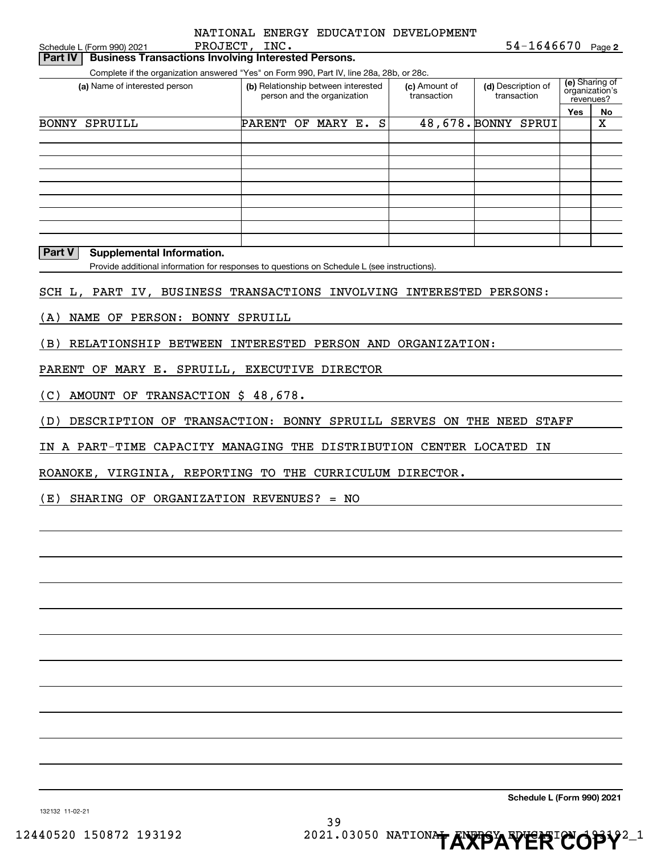| Schedule L (Form 990) 2021                                                                                                | NATIONAL ENERGY EDUCATION DEVELOPMENT<br>PROJECT, INC.             |                              | $54 - 1646670$ Page 2             |                                               |             |
|---------------------------------------------------------------------------------------------------------------------------|--------------------------------------------------------------------|------------------------------|-----------------------------------|-----------------------------------------------|-------------|
| <b>Business Transactions Involving Interested Persons.</b><br>Part IV                                                     |                                                                    |                              |                                   |                                               |             |
| Complete if the organization answered "Yes" on Form 990, Part IV, line 28a, 28b, or 28c.<br>(a) Name of interested person | (b) Relationship between interested<br>person and the organization | (c) Amount of<br>transaction | (d) Description of<br>transaction | (e) Sharing of<br>organization's<br>revenues? |             |
|                                                                                                                           |                                                                    |                              |                                   | Yes                                           | No          |
| <b>BONNY SPRUILL</b>                                                                                                      | PARENT OF MARY E.                                                  | S                            | 48,678. BONNY SPRUI               |                                               | $\mathbf X$ |
|                                                                                                                           |                                                                    |                              |                                   |                                               |             |
|                                                                                                                           |                                                                    |                              |                                   |                                               |             |
|                                                                                                                           |                                                                    |                              |                                   |                                               |             |
|                                                                                                                           |                                                                    |                              |                                   |                                               |             |
|                                                                                                                           |                                                                    |                              |                                   |                                               |             |
|                                                                                                                           |                                                                    |                              |                                   |                                               |             |
| Part V<br><b>Supplemental Information.</b>                                                                                |                                                                    |                              |                                   |                                               |             |
| Provide additional information for responses to questions on Schedule L (see instructions).                               |                                                                    |                              |                                   |                                               |             |
|                                                                                                                           |                                                                    |                              |                                   |                                               |             |
| SCH L, PART IV, BUSINESS TRANSACTIONS INVOLVING INTERESTED PERSONS:                                                       |                                                                    |                              |                                   |                                               |             |
| NAME OF PERSON: BONNY SPRUILL<br>(A)                                                                                      |                                                                    |                              |                                   |                                               |             |
|                                                                                                                           |                                                                    |                              |                                   |                                               |             |
| RELATIONSHIP BETWEEN INTERESTED PERSON AND ORGANIZATION:<br>(B)                                                           |                                                                    |                              |                                   |                                               |             |
| PARENT OF MARY E. SPRUILL, EXECUTIVE DIRECTOR                                                                             |                                                                    |                              |                                   |                                               |             |
|                                                                                                                           |                                                                    |                              |                                   |                                               |             |
| AMOUNT OF TRANSACTION \$ 48,678.<br>(C)                                                                                   |                                                                    |                              |                                   |                                               |             |
| DESCRIPTION OF TRANSACTION: BONNY SPRUILL SERVES ON THE NEED STAFF<br>(D)                                                 |                                                                    |                              |                                   |                                               |             |
|                                                                                                                           |                                                                    |                              |                                   |                                               |             |
| IN A PART-TIME CAPACITY MANAGING THE DISTRIBUTION CENTER LOCATED                                                          |                                                                    |                              | ΙN                                |                                               |             |
| ROANOKE, VIRGINIA, REPORTING TO THE CURRICULUM DIRECTOR.                                                                  |                                                                    |                              |                                   |                                               |             |
|                                                                                                                           |                                                                    |                              |                                   |                                               |             |
| $(E)$ SHARING OF ORGANIZATION REVENUES? = NO                                                                              |                                                                    |                              |                                   |                                               |             |
|                                                                                                                           |                                                                    |                              |                                   |                                               |             |
|                                                                                                                           |                                                                    |                              |                                   |                                               |             |
|                                                                                                                           |                                                                    |                              |                                   |                                               |             |
|                                                                                                                           |                                                                    |                              |                                   |                                               |             |
|                                                                                                                           |                                                                    |                              |                                   |                                               |             |
|                                                                                                                           |                                                                    |                              |                                   |                                               |             |
|                                                                                                                           |                                                                    |                              |                                   |                                               |             |
|                                                                                                                           |                                                                    |                              |                                   |                                               |             |
|                                                                                                                           |                                                                    |                              |                                   |                                               |             |

**Schedule L (Form 990) 2021**

132132 11-02-21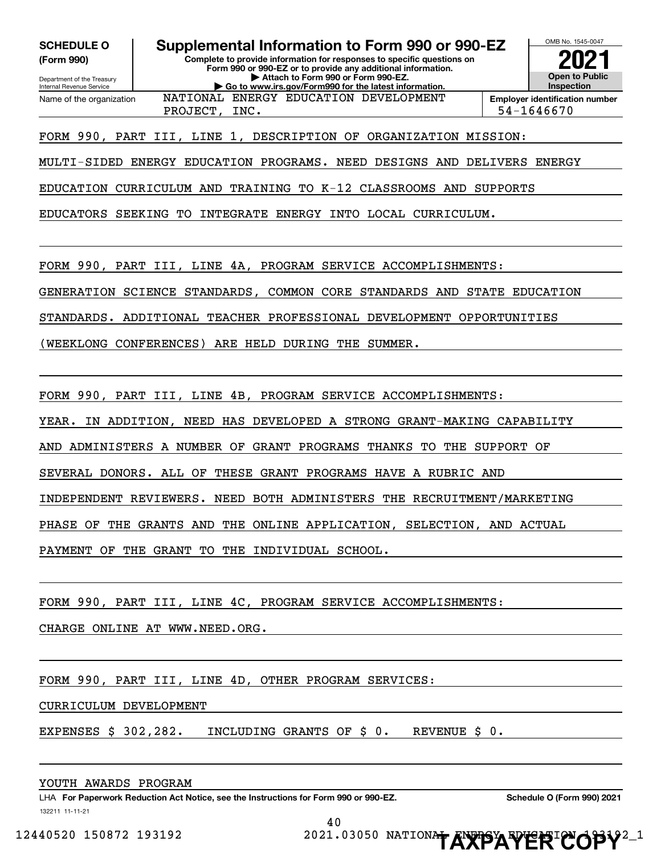**(Form 990)**

Department of the Treasury Internal Revenue Service

Name of the organization

**Complete to provide information for responses to specific questions on Form 990 or 990-EZ or to provide any additional information. SCHEDULE O Supplemental Information to Form 990 or 990-EZ**

**| Attach to Form 990 or Form 990-EZ. | Go to www.irs.gov/Form990 for the latest information.**

OMB No. 1545-0047 **Open to Public InspectionEmployer identification number 2021**

PROJECT, INC. Sanction of the set of the set of the set of the set of the set of the set of the set of the set of the set of the set of the set of the set of the set of the set of the set of the set of the set of the set o NATIONAL ENERGY EDUCATION DEVELOPMENT

FORM 990, PART III, LINE 1, DESCRIPTION OF ORGANIZATION MISSION:

MULTI-SIDED ENERGY EDUCATION PROGRAMS. NEED DESIGNS AND DELIVERS ENERGY

EDUCATION CURRICULUM AND TRAINING TO K-12 CLASSROOMS AND SUPPORTS

EDUCATORS SEEKING TO INTEGRATE ENERGY INTO LOCAL CURRICULUM.

FORM 990, PART III, LINE 4A, PROGRAM SERVICE ACCOMPLISHMENTS:

GENERATION SCIENCE STANDARDS, COMMON CORE STANDARDS AND STATE EDUCATION

STANDARDS. ADDITIONAL TEACHER PROFESSIONAL DEVELOPMENT OPPORTUNITIES

(WEEKLONG CONFERENCES) ARE HELD DURING THE SUMMER.

FORM 990, PART III, LINE 4B, PROGRAM SERVICE ACCOMPLISHMENTS:

YEAR. IN ADDITION, NEED HAS DEVELOPED A STRONG GRANT-MAKING CAPABILITY

AND ADMINISTERS A NUMBER OF GRANT PROGRAMS THANKS TO THE SUPPORT OF

SEVERAL DONORS. ALL OF THESE GRANT PROGRAMS HAVE A RUBRIC AND

INDEPENDENT REVIEWERS. NEED BOTH ADMINISTERS THE RECRUITMENT/MARKETING

PHASE OF THE GRANTS AND THE ONLINE APPLICATION, SELECTION, AND ACTUAL

PAYMENT OF THE GRANT TO THE INDIVIDUAL SCHOOL.

FORM 990, PART III, LINE 4C, PROGRAM SERVICE ACCOMPLISHMENTS:

CHARGE ONLINE AT WWW.NEED.ORG.

FORM 990, PART III, LINE 4D, OTHER PROGRAM SERVICES:

#### CURRICULUM DEVELOPMENT

EXPENSES \$ 302,282. INCLUDING GRANTS OF \$ 0. REVENUE \$ 0.

#### YOUTH AWARDS PROGRAM

132211 11-11-21 LHA For Paperwork Reduction Act Notice, see the Instructions for Form 990 or 990-EZ. Schedule O (Form 990) 2021

40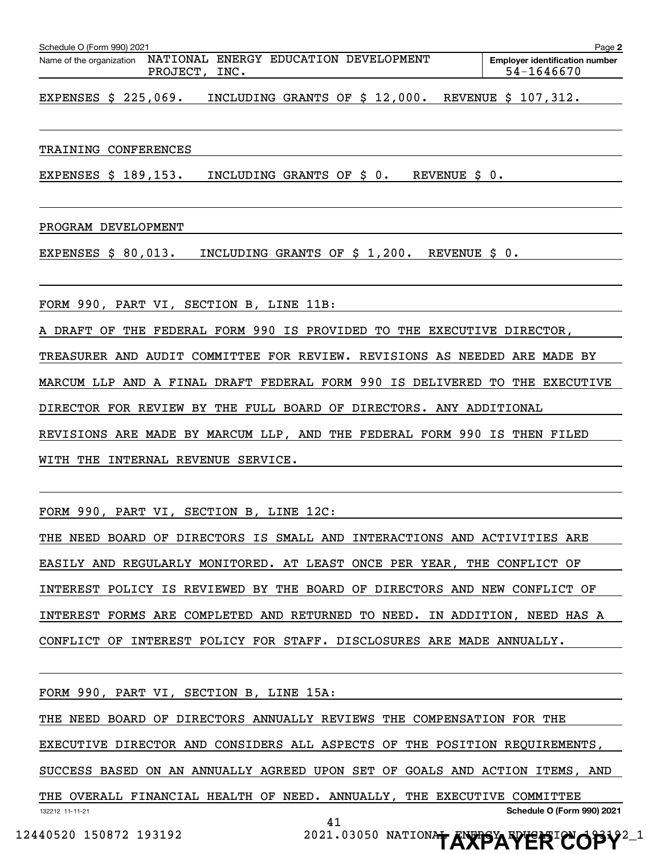| Schedule O (Form 990) 2021<br>Page 2 |          |      |  |                                       |  |                                                     |  |  |
|--------------------------------------|----------|------|--|---------------------------------------|--|-----------------------------------------------------|--|--|
| Name of the organization             | PROJECT, | INC. |  | NATIONAL ENERGY EDUCATION DEVELOPMENT |  | <b>Emplover identification number</b><br>54-1646670 |  |  |

EXPENSES \$ 225,069. INCLUDING GRANTS OF \$ 12,000. REVENUE \$ 107,312.

#### TRAINING CONFERENCES

EXPENSES \$ 189,153. INCLUDING GRANTS OF \$ 0. REVENUE \$ 0.

#### PROGRAM DEVELOPMENT

EXPENSES \$ 80,013. INCLUDING GRANTS OF \$ 1,200. REVENUE \$ 0.

FORM 990, PART VI, SECTION B, LINE 11B:

A DRAFT OF THE FEDERAL FORM 990 IS PROVIDED TO THE EXECUTIVE DIRECTOR,

TREASURER AND AUDIT COMMITTEE FOR REVIEW. REVISIONS AS NEEDED ARE MADE BY

MARCUM LLP AND A FINAL DRAFT FEDERAL FORM 990 IS DELIVERED TO THE EXECUTIVE

DIRECTOR FOR REVIEW BY THE FULL BOARD OF DIRECTORS. ANY ADDITIONAL

REVISIONS ARE MADE BY MARCUM LLP, AND THE FEDERAL FORM 990 IS THEN FILED

WITH THE INTERNAL REVENUE SERVICE.

FORM 990, PART VI, SECTION B, LINE 12C:

THE NEED BOARD OF DIRECTORS IS SMALL AND INTERACTIONS AND ACTIVITIES ARE EASILY AND REGULARLY MONITORED. AT LEAST ONCE PER YEAR, THE CONFLICT OF INTEREST POLICY IS REVIEWED BY THE BOARD OF DIRECTORS AND NEW CONFLICT OF INTEREST FORMS ARE COMPLETED AND RETURNED TO NEED. IN ADDITION, NEED HAS A CONFLICT OF INTEREST POLICY FOR STAFF. DISCLOSURES ARE MADE ANNUALLY.

132212 11-11-21 **Schedule O (Form 990) 2021** FORM 990, PART VI, SECTION B, LINE 15A: THE NEED BOARD OF DIRECTORS ANNUALLY REVIEWS THE COMPENSATION FOR THE EXECUTIVE DIRECTOR AND CONSIDERS ALL ASPECTS OF THE POSITION REQUIREMENTS, SUCCESS BASED ON AN ANNUALLY AGREED UPON SET OF GOALS AND ACTION ITEMS, AND THE OVERALL FINANCIAL HEALTH OF NEED. ANNUALLY, THE EXECUTIVE COMMITTEE 41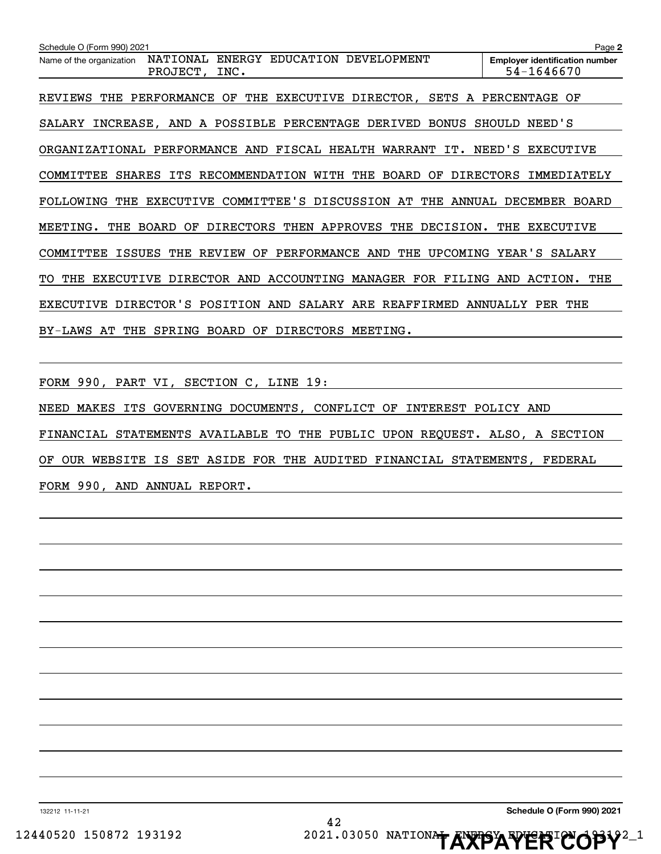| Schedule O (Form 990) 2021                                                                                   | Page 2                                              |
|--------------------------------------------------------------------------------------------------------------|-----------------------------------------------------|
| <b>ENERGY</b><br><b>EDUCATION</b><br>DEVELOPMENT<br>NATIONAL<br>Name of the organization<br>PROJECT,<br>INC. | <b>Employer identification number</b><br>54-1646670 |
| <b>EXECUTIVE</b><br>DIRECTOR,<br>REVIEWS<br>THE<br>PERFORMANCE<br>OF<br>THE<br>SETS A                        | PERCENTAGE<br>OF                                    |
| POSSIBLE<br>PERCENTAGE<br>DERIVED<br><b>BONUS</b><br>SALARY<br>INCREASE,<br>AND<br>A                         | SHOULD<br>NEED'S                                    |
| PERFORMANCE<br>AND<br>FISCAL HEALTH<br>WARRANT<br>IT.<br>ORGANIZATIONAL                                      | NEED'S<br>EXECUTIVE                                 |
| <b>BOARD</b><br>COMMITTEE<br>SHARES<br>ITS<br>RECOMMENDATION<br>WITH<br>THE<br>ΟF                            | <b>DIRECTORS</b><br>IMMEDIATELY                     |
| COMMITTEE'S<br>DISCUSSION<br>AТ<br>FOLLOWING<br>THE<br><b>EXECUTIVE</b><br>THE<br>ANNUAL                     | DECEMBER<br>BOARD                                   |
| <b>DIRECTORS</b><br><b>APPROVES</b><br>THE<br>MEETING.<br>THE<br><b>BOARD</b><br>ΟF<br>THEN<br>DECISION.     | THE<br>EXECUTIVE                                    |
| PERFORMANCE<br><b>UPCOMING</b><br>COMMITTEE<br>ISSUES<br>THE<br><b>REVIEW</b><br>OF<br>AND<br>THE            | YEAR'S<br>SALARY                                    |
| DIRECTOR<br>ACCOUNTING<br>MANAGER<br>FOR.<br>FILING<br>THE<br><b>EXECUTIVE</b><br>AND<br>TО                  | THE<br>AND<br>ACTION.                               |
| <b>EXECUTIVE</b><br>DIRECTOR'S<br>POSITION<br>AND<br>ARE<br>SALARY<br><b>REAFFIRMED</b>                      | ANNUALLY<br>PER<br>THE                              |
| BY-LAWS<br>SPRING<br><b>BOARD</b><br>OF<br><b>DIRECTORS</b><br>ΆT<br>THE<br>MEETING.                         |                                                     |

FORM 990, PART VI, SECTION C, LINE 19:

NEED MAKES ITS GOVERNING DOCUMENTS, CONFLICT OF INTEREST POLICY AND FINANCIAL STATEMENTS AVAILABLE TO THE PUBLIC UPON REQUEST. ALSO, A SECTION OF OUR WEBSITE IS SET ASIDE FOR THE AUDITED FINANCIAL STATEMENTS, FEDERAL FORM 990, AND ANNUAL REPORT.

**Schedule O (Form 990) 2021**

132212 11-11-21